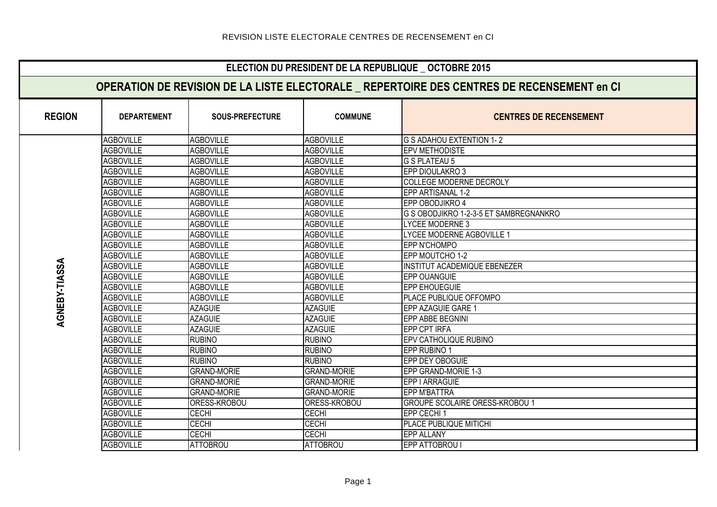|                      | ELECTION DU PRESIDENT DE LA REPUBLIQUE _ OCTOBRE 2015                                      |                        |                    |                                        |  |  |  |
|----------------------|--------------------------------------------------------------------------------------------|------------------------|--------------------|----------------------------------------|--|--|--|
|                      | OPERATION DE REVISION DE LA LISTE ELECTORALE _ REPERTOIRE DES CENTRES DE RECENSEMENT en CI |                        |                    |                                        |  |  |  |
| <b>REGION</b>        | <b>DEPARTEMENT</b>                                                                         | <b>SOUS-PREFECTURE</b> | <b>COMMUNE</b>     | <b>CENTRES DE RECENSEMENT</b>          |  |  |  |
|                      | <b>AGBOVILLE</b>                                                                           | <b>AGBOVILLE</b>       | <b>AGBOVILLE</b>   | G S ADAHOU EXTENTION 1-2               |  |  |  |
|                      | <b>AGBOVILLE</b>                                                                           | <b>AGBOVILLE</b>       | <b>AGBOVILLE</b>   | <b>EPV METHODISTE</b>                  |  |  |  |
|                      | <b>AGBOVILLE</b>                                                                           | <b>AGBOVILLE</b>       | <b>AGBOVILLE</b>   | G S PLATEAU 5                          |  |  |  |
|                      | <b>AGBOVILLE</b>                                                                           | <b>AGBOVILLE</b>       | <b>AGBOVILLE</b>   | EPP DIOULAKRO 3                        |  |  |  |
|                      | <b>AGBOVILLE</b>                                                                           | <b>AGBOVILLE</b>       | <b>AGBOVILLE</b>   | <b>COLLEGE MODERNE DECROLY</b>         |  |  |  |
|                      | <b>AGBOVILLE</b>                                                                           | <b>AGBOVILLE</b>       | <b>AGBOVILLE</b>   | EPP ARTISANAL 1-2                      |  |  |  |
|                      | <b>AGBOVILLE</b>                                                                           | <b>AGBOVILLE</b>       | <b>AGBOVILLE</b>   | EPP OBODJIKRO 4                        |  |  |  |
|                      | <b>AGBOVILLE</b>                                                                           | <b>AGBOVILLE</b>       | <b>AGBOVILLE</b>   | G S OBODJIKRO 1-2-3-5 ET SAMBREGNANKRO |  |  |  |
|                      | <b>AGBOVILLE</b>                                                                           | <b>AGBOVILLE</b>       | <b>AGBOVILLE</b>   | LYCEE MODERNE 3                        |  |  |  |
|                      | <b>AGBOVILLE</b>                                                                           | <b>AGBOVILLE</b>       | <b>AGBOVILLE</b>   | <b>LYCEE MODERNE AGBOVILLE 1</b>       |  |  |  |
|                      | <b>AGBOVILLE</b>                                                                           | <b>AGBOVILLE</b>       | <b>AGBOVILLE</b>   | EPP N'CHOMPO                           |  |  |  |
|                      | <b>AGBOVILLE</b>                                                                           | <b>AGBOVILLE</b>       | <b>AGBOVILLE</b>   | EPP MOUTCHO 1-2                        |  |  |  |
|                      | <b>AGBOVILLE</b>                                                                           | <b>AGBOVILLE</b>       | <b>AGBOVILLE</b>   | <b>INSTITUT ACADEMIQUE EBENEZER</b>    |  |  |  |
| <b>AGNEBY-TIASSA</b> | <b>AGBOVILLE</b>                                                                           | <b>AGBOVILLE</b>       | <b>AGBOVILLE</b>   | EPP OUANGUIE                           |  |  |  |
|                      | <b>AGBOVILLE</b>                                                                           | <b>AGBOVILLE</b>       | <b>AGBOVILLE</b>   | <b>EPP EHOUEGUIE</b>                   |  |  |  |
|                      | <b>AGBOVILLE</b>                                                                           | <b>AGBOVILLE</b>       | <b>AGBOVILLE</b>   | PLACE PUBLIQUE OFFOMPO                 |  |  |  |
|                      | <b>AGBOVILLE</b>                                                                           | <b>AZAGUIE</b>         | <b>AZAGUIE</b>     | EPP AZAGUIE GARE 1                     |  |  |  |
|                      | <b>AGBOVILLE</b>                                                                           | <b>AZAGUIE</b>         | <b>AZAGUIE</b>     | EPP ABBE BEGNINI                       |  |  |  |
|                      | <b>AGBOVILLE</b>                                                                           | <b>AZAGUIE</b>         | <b>AZAGUIE</b>     | <b>EPP CPT IRFA</b>                    |  |  |  |
|                      | <b>AGBOVILLE</b>                                                                           | <b>RUBINO</b>          | <b>RUBINO</b>      | EPV CATHOLIQUE RUBINO                  |  |  |  |
|                      | <b>AGBOVILLE</b>                                                                           | <b>RUBINO</b>          | <b>RUBINO</b>      | EPP RUBINO 1                           |  |  |  |
|                      | <b>AGBOVILLE</b>                                                                           | <b>RUBINO</b>          | <b>RUBINO</b>      | EPP DEY OBOGUIE                        |  |  |  |
|                      | <b>AGBOVILLE</b>                                                                           | <b>GRAND-MORIE</b>     | <b>GRAND-MORIE</b> | EPP GRAND-MORIE 1-3                    |  |  |  |
|                      | <b>AGBOVILLE</b>                                                                           | <b>GRAND-MORIE</b>     | <b>GRAND-MORIE</b> | EPP I ARRAGUIE                         |  |  |  |
|                      | <b>AGBOVILLE</b>                                                                           | <b>GRAND-MORIE</b>     | <b>GRAND-MORIE</b> | <b>EPP M'BATTRA</b>                    |  |  |  |
|                      | <b>AGBOVILLE</b>                                                                           | ORESS-KROBOU           | ORESS-KROBOU       | <b>GROUPE SCOLAIRE ORESS-KROBOU 1</b>  |  |  |  |
|                      | <b>AGBOVILLE</b>                                                                           | CECHI                  | <b>CECHI</b>       | EPP CECHI 1                            |  |  |  |
|                      | <b>AGBOVILLE</b>                                                                           | <b>CECHI</b>           | <b>CECHI</b>       | PLACE PUBLIQUE MITICHI                 |  |  |  |
|                      | <b>AGBOVILLE</b>                                                                           | CECHI                  | <b>CECHI</b>       | <b>EPP ALLANY</b>                      |  |  |  |
|                      | <b>AGBOVILLE</b>                                                                           | <b>ATTOBROU</b>        | <b>ATTOBROU</b>    | EPP ATTOBROU I                         |  |  |  |
|                      |                                                                                            |                        |                    |                                        |  |  |  |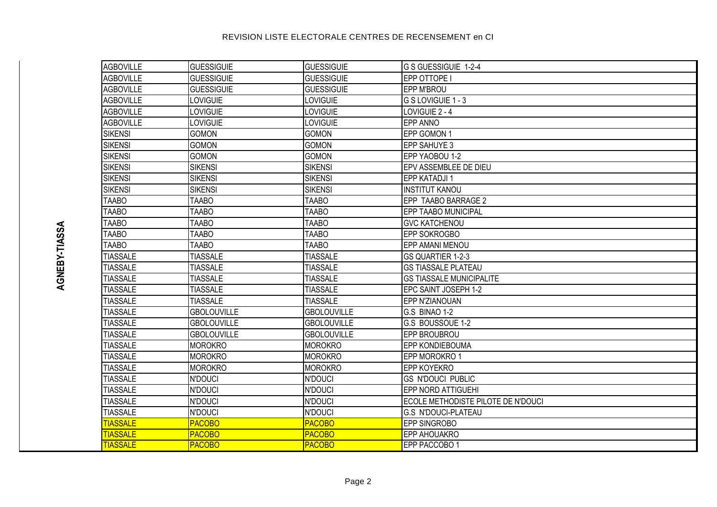| <b>AGBOVILLE</b> | <b>GUESSIGUIE</b>  | <b>GUESSIGUIE</b>  | G S GUESSIGUIE 1-2-4               |
|------------------|--------------------|--------------------|------------------------------------|
| AGBOVILLE        | <b>GUESSIGUIE</b>  | <b>GUESSIGUIE</b>  | EPP OTTOPE I                       |
| AGBOVILLE        | <b>GUESSIGUIE</b>  | <b>GUESSIGUIE</b>  | <b>EPP M'BROU</b>                  |
| <b>AGBOVILLE</b> | LOVIGUIE           | LOVIGUIE           | G S LOVIGUIE 1 - 3                 |
| AGBOVILLE        | LOVIGUIE           | LOVIGUIE           | LOVIGUIE 2 - 4                     |
| AGBOVILLE        | LOVIGUIE           | LOVIGUIE           | <b>EPP ANNO</b>                    |
| SIKENSI          | <b>GOMON</b>       | <b>GOMON</b>       | EPP GOMON 1                        |
| SIKENSI          | <b>GOMON</b>       | <b>GOMON</b>       | <b>EPP SAHUYE 3</b>                |
| <b>SIKENSI</b>   | <b>GOMON</b>       | <b>GOMON</b>       | <b>IEPP YAOBOU 1-2</b>             |
| <b>SIKENSI</b>   | <b>SIKENSI</b>     | <b>SIKENSI</b>     | EPV ASSEMBLEE DE DIEU              |
| SIKENSI          | <b>SIKENSI</b>     | <b>SIKENSI</b>     | <b>EPP KATADJI1</b>                |
| SIKENSI          | <b>SIKENSI</b>     | <b>SIKENSI</b>     | <b>INSTITUT KANOU</b>              |
| <b>TAABO</b>     | <b>TAABO</b>       | <b>TAABO</b>       | EPP TAABO BARRAGE 2                |
| <b>TAABO</b>     | <b>TAABO</b>       | <b>TAABO</b>       | <b>EPP TAABO MUNICIPAL</b>         |
| <b>TAABO</b>     | <b>TAABO</b>       | <b>TAABO</b>       | <b>GVC KATCHENOU</b>               |
| <b>TAABO</b>     | <b>TAABO</b>       | <b>TAABO</b>       | <b>EPP SOKROGBO</b>                |
| <b>TAABO</b>     | <b>TAABO</b>       | <b>TAABO</b>       | <b>EPP AMANI MENOU</b>             |
| <b>TIASSALE</b>  | <b>TIASSALE</b>    | <b>TIASSALE</b>    | <b>GS QUARTIER 1-2-3</b>           |
| <b>TIASSALE</b>  | <b>TIASSALE</b>    | <b>TIASSALE</b>    | <b>GS TIASSALE PLATEAU</b>         |
| <b>TIASSALE</b>  | <b>TIASSALE</b>    | <b>TIASSALE</b>    | <b>GS TIASSALE MUNICIPALITE</b>    |
| <b>TIASSALE</b>  | <b>TIASSALE</b>    | <b>TIASSALE</b>    | EPC SAINT JOSEPH 1-2               |
| <b>TIASSALE</b>  | <b>TIASSALE</b>    | <b>TIASSALE</b>    | <b>EPP N'ZIANOUAN</b>              |
| <b>TIASSALE</b>  | <b>GBOLOUVILLE</b> | <b>GBOLOUVILLE</b> | G.S BINAO 1-2                      |
| <b>TIASSALE</b>  | <b>GBOLOUVILLE</b> | <b>GBOLOUVILLE</b> | G.S BOUSSOUE 1-2                   |
| <b>TIASSALE</b>  | <b>GBOLOUVILLE</b> | <b>GBOLOUVILLE</b> | EPP BROUBROU                       |
| <b>TIASSALE</b>  | <b>MOROKRO</b>     | <b>MOROKRO</b>     | <b>EPP KONDIEBOUMA</b>             |
| <b>TIASSALE</b>  | <b>MOROKRO</b>     | <b>MOROKRO</b>     | EPP MOROKRO 1                      |
| <b>TIASSALE</b>  | <b>MOROKRO</b>     | <b>MOROKRO</b>     | <b>EPP KOYEKRO</b>                 |
| <b>TIASSALE</b>  | <b>N'DOUCI</b>     | <b>N'DOUCI</b>     | <b>GS N'DOUCI PUBLIC</b>           |
| <b>TIASSALE</b>  | <b>N'DOUCI</b>     | <b>N'DOUCI</b>     | <b>EPP NORD ATTIGUEHI</b>          |
| <b>TIASSALE</b>  | <b>N'DOUCI</b>     | <b>N'DOUCI</b>     | ECOLE METHODISTE PILOTE DE N'DOUCI |
| <b>TIASSALE</b>  | <b>N'DOUCI</b>     | <b>N'DOUCI</b>     | <b>G.S N'DOUCI-PLATEAU</b>         |
| <b>TIASSALE</b>  | <b>PACOBO</b>      | <b>PACOBO</b>      | <b>EPP SINGROBO</b>                |
| <b>TIASSALE</b>  | <b>PACOBO</b>      | <b>PACOBO</b>      | EPP AHOUAKRO                       |
| <b>TIASSALE</b>  | <b>PACOBO</b>      | <b>PACOBO</b>      | EPP PACCOBO 1                      |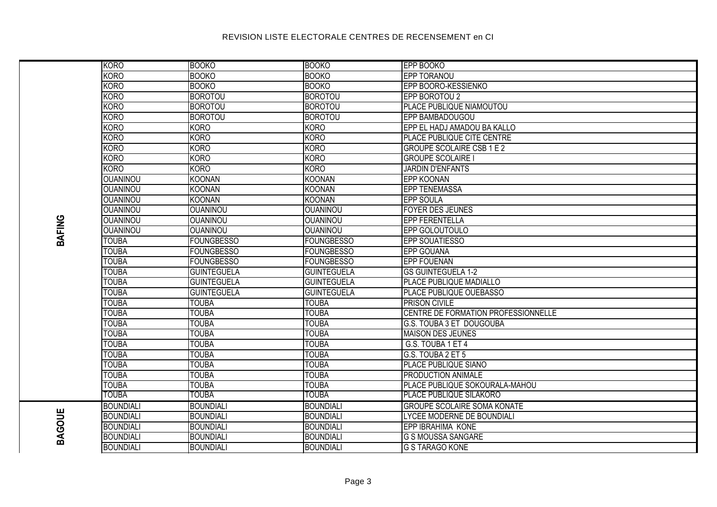|               | KORO             | <b>BOOKO</b>       | <b>BOOKO</b>       | <b>EPP BOOKO</b>                    |
|---------------|------------------|--------------------|--------------------|-------------------------------------|
|               | <b>KORO</b>      | <b>BOOKO</b>       | <b>BOOKO</b>       | EPP TORANOU                         |
|               | <b>KORO</b>      | <b>BOOKO</b>       | <b>BOOKO</b>       | EPP BOORO-KESSIENKO                 |
|               | <b>KORO</b>      | <b>BOROTOU</b>     | <b>BOROTOU</b>     | EPP BOROTOU 2                       |
|               | <b>KORO</b>      | <b>BOROTOU</b>     | <b>BOROTOU</b>     | PLACE PUBLIQUE NIAMOUTOU            |
|               | <b>KORO</b>      | <b>BOROTOU</b>     | <b>BOROTOU</b>     | EPP BAMBADOUGOU                     |
|               | <b>KORO</b>      | <b>KORO</b>        | <b>KORO</b>        | EPP EL HADJ AMADOU BA KALLO         |
|               | KORO             | <b>KORO</b>        | <b>KORO</b>        | PLACE PUBLIQUE CITE CENTRE          |
|               | <b>KORO</b>      | <b>KORO</b>        | <b>KORO</b>        | <b>GROUPE SCOLAIRE CSB 1 E 2</b>    |
|               | KORO             | <b>KORO</b>        | <b>KORO</b>        | <b>GROUPE SCOLAIRE I</b>            |
|               | <b>KORO</b>      | <b>KORO</b>        | <b>KORO</b>        | <b>JARDIN D'ENFANTS</b>             |
|               | <b>OUANINOU</b>  | <b>KOONAN</b>      | <b>KOONAN</b>      | <b>EPP KOONAN</b>                   |
|               | <b>OUANINOU</b>  | <b>KOONAN</b>      | <b>KOONAN</b>      | <b>EPP TENEMASSA</b>                |
|               | <b>OUANINOU</b>  | <b>KOONAN</b>      | <b>KOONAN</b>      | <b>EPP SOULA</b>                    |
|               | <b>OUANINOU</b>  | <b>OUANINOU</b>    | <b>OUANINOU</b>    | <b>FOYER DES JEUNES</b>             |
|               | <b>OUANINOU</b>  | <b>OUANINOU</b>    | <b>OUANINOU</b>    | <b>EPP FERENTELLA</b>               |
|               | <b>OUANINOU</b>  | <b>OUANINOU</b>    | <b>OUANINOU</b>    | EPP GOLOUTOULO                      |
| <b>BAFING</b> | <b>TOUBA</b>     | <b>FOUNGBESSO</b>  | <b>FOUNGBESSO</b>  | <b>EPP SOUATIESSO</b>               |
|               | <b>TOUBA</b>     | <b>FOUNGBESSO</b>  | <b>FOUNGBESSO</b>  | <b>EPP GOUANA</b>                   |
|               | <b>TOUBA</b>     | <b>FOUNGBESSO</b>  | <b>FOUNGBESSO</b>  | <b>EPP FOUENAN</b>                  |
|               | <b>TOUBA</b>     | <b>GUINTEGUELA</b> | <b>GUINTEGUELA</b> | <b>GS GUINTEGUELA 1-2</b>           |
|               | <b>TOUBA</b>     | <b>GUINTEGUELA</b> | <b>GUINTEGUELA</b> | PLACE PUBLIQUE MADIALLO             |
|               | <b>TOUBA</b>     | <b>GUINTEGUELA</b> | <b>GUINTEGUELA</b> | <b>PLACE PUBLIQUE OUEBASSO</b>      |
|               | <b>TOUBA</b>     | <b>TOUBA</b>       | <b>TOUBA</b>       | <b>PRISON CIVILE</b>                |
|               | <b>TOUBA</b>     | <b>TOUBA</b>       | <b>TOUBA</b>       | CENTRE DE FORMATION PROFESSIONNELLE |
|               | <b>TOUBA</b>     | <b>TOUBA</b>       | <b>TOUBA</b>       | <b>G.S. TOUBA 3 ET DOUGOUBA</b>     |
|               | <b>TOUBA</b>     | <b>TOUBA</b>       | <b>TOUBA</b>       | <b>MAISON DES JEUNES</b>            |
|               | <b>TOUBA</b>     | <b>TOUBA</b>       | <b>TOUBA</b>       | G.S. TOUBA 1 ET 4                   |
|               | <b>TOUBA</b>     | <b>TOUBA</b>       | <b>TOUBA</b>       | G.S. TOUBA 2 ET 5                   |
|               | <b>TOUBA</b>     | <b>TOUBA</b>       | <b>TOUBA</b>       | PLACE PUBLIQUE SIANO                |
|               | <b>TOUBA</b>     | <b>TOUBA</b>       | <b>TOUBA</b>       | PRODUCTION ANIMALE                  |
|               | <b>TOUBA</b>     | <b>TOUBA</b>       | <b>TOUBA</b>       | PLACE PUBLIQUE SOKOURALA-MAHOU      |
|               | <b>TOUBA</b>     | TOUBA              | <b>TOUBA</b>       | <b>PLACE PUBLIQUE SILAKORO</b>      |
|               | <b>BOUNDIALI</b> | <b>BOUNDIALI</b>   | <b>BOUNDIALI</b>   | <b>GROUPE SCOLAIRE SOMA KONATE</b>  |
|               | <b>BOUNDIALI</b> | <b>BOUNDIALI</b>   | <b>BOUNDIALI</b>   | LYCEE MODERNE DE BOUNDIALI          |
| <b>BAGOUE</b> | <b>BOUNDIALI</b> | <b>BOUNDIALI</b>   | <b>BOUNDIALI</b>   | <b>EPP IBRAHIMA KONE</b>            |
|               | <b>BOUNDIALI</b> | <b>BOUNDIALI</b>   | <b>BOUNDIALI</b>   | <b>G S MOUSSA SANGARE</b>           |
|               | BOUNDIALI        | <b>BOUNDIALI</b>   | <b>BOUNDIALI</b>   | <b>G S TARAGO KONE</b>              |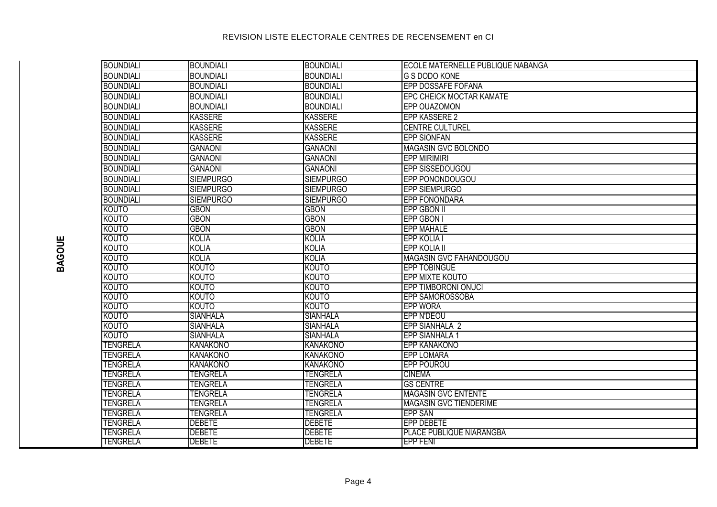| BOUNDIALI        | <b>BOUNDIALI</b> | <b>BOUNDIALI</b> | ECOLE MATERNELLE PUBLIQUE NABANGA |
|------------------|------------------|------------------|-----------------------------------|
| <b>BOUNDIALI</b> | <b>BOUNDIALI</b> | <b>BOUNDIALI</b> | <b>G S DODO KONE</b>              |
| <b>BOUNDIALI</b> | <b>BOUNDIALI</b> | <b>BOUNDIALI</b> | EPP DOSSAFE FOFANA                |
| <b>BOUNDIALI</b> | <b>BOUNDIALI</b> | <b>BOUNDIALI</b> | <b>EPC CHEICK MOCTAR KAMATE</b>   |
| <b>BOUNDIALI</b> | <b>BOUNDIALI</b> | <b>BOUNDIALI</b> | EPP OUAZOMON                      |
| <b>BOUNDIALI</b> | <b>KASSERE</b>   | <b>KASSERE</b>   | <b>EPP KASSERE 2</b>              |
| <b>BOUNDIALI</b> | <b>KASSERE</b>   | <b>KASSERE</b>   | <b>CENTRE CULTUREL</b>            |
| <b>BOUNDIALI</b> | <b>KASSERE</b>   | <b>KASSERE</b>   | <b>EPP SIONFAN</b>                |
| <b>BOUNDIALI</b> | <b>GANAONI</b>   | <b>GANAONI</b>   | MAGASIN GVC BOLONDO               |
| <b>BOUNDIALI</b> | <b>GANAONI</b>   | <b>GANAONI</b>   | <b>EPP MIRIMIRI</b>               |
| <b>BOUNDIALI</b> | <b>GANAONI</b>   | <b>GANAONI</b>   | EPP SISSEDOUGOU                   |
| <b>BOUNDIALI</b> | <b>SIEMPURGO</b> | <b>SIEMPURGO</b> | EPP PONONDOUGOU                   |
| <b>BOUNDIALI</b> | <b>SIEMPURGO</b> | <b>SIEMPURGO</b> | <b>EPP SIEMPURGO</b>              |
| <b>BOUNDIALI</b> | <b>SIEMPURGO</b> | <b>SIEMPURGO</b> | <b>EPP FONONDARA</b>              |
| <b>KOUTO</b>     | <b>GBON</b>      | <b>GBON</b>      | <b>EPP GBON II</b>                |
| <b>KOUTO</b>     | <b>GBON</b>      | <b>GBON</b>      | <b>EPP GBON I</b>                 |
| <b>KOUTO</b>     | <b>GBON</b>      | <b>GBON</b>      | <b>EPP MAHALE</b>                 |
| <b>KOUTO</b>     | <b>KOLIA</b>     | <b>KOLIA</b>     | EPP KOLIA I                       |
| <b>KOUTO</b>     | <b>KOLIA</b>     | <b>KOLIA</b>     | <b>EPP KOLIA II</b>               |
| <b>KOUTO</b>     | <b>KOLIA</b>     | <b>KOLIA</b>     | <b>MAGASIN GVC FAHANDOUGOU</b>    |
| <b>KOUTO</b>     | <b>KOUTO</b>     | <b>KOUTO</b>     | <b>EPP TOBINGUE</b>               |
| <b>KOUTO</b>     | <b>KOUTO</b>     | <b>KOUTO</b>     | EPP MIXTE KOUTO                   |
| <b>KOUTO</b>     | KOUTO            | <b>KOUTO</b>     | <b>EPP TIMBORONI ONUCI</b>        |
| <b>KOUTO</b>     | <b>KOUTO</b>     | KOUTO            | <b>EPP SAMOROSSOBA</b>            |
| <b>KOUTO</b>     | <b>KOUTO</b>     | <b>KOUTO</b>     | <b>EPP WORA</b>                   |
| <b>KOUTO</b>     | <b>SIANHALA</b>  | <b>SIANHALA</b>  | <b>EPP N'DEOU</b>                 |
| <b>KOUTO</b>     | <b>SIANHALA</b>  | <b>SIANHALA</b>  | <b>EPP SIANHALA 2</b>             |
| <b>KOUTO</b>     | <b>SIANHALA</b>  | <b>SIANHALA</b>  | <b>EPP SIANHALA 1</b>             |
| <b>TENGRELA</b>  | <b>KANAKONO</b>  | <b>KANAKONO</b>  | <b>EPP KANAKONO</b>               |
| <b>TENGRELA</b>  | <b>KANAKONO</b>  | <b>KANAKONO</b>  | <b>EPP LOMARA</b>                 |
| <b>TENGRELA</b>  | <b>KANAKONO</b>  | <b>KANAKONO</b>  | <b>EPP POUROU</b>                 |
| <b>TENGRELA</b>  | <b>TENGRELA</b>  | <b>TENGRELA</b>  | <b>CINEMA</b>                     |
| <b>TENGRELA</b>  | <b>TENGRELA</b>  | <b>TENGRELA</b>  | <b>GS CENTRE</b>                  |
| <b>TENGRELA</b>  | TENGRELA         | TENGRELA         | <b>MAGASIN GVC ENTENTE</b>        |
| <b>TENGRELA</b>  | TENGRELA         | TENGRELA         | <b>MAGASIN GVC TIENDERIME</b>     |
| <b>TENGRELA</b>  | <b>TENGRELA</b>  | <b>TENGRELA</b>  | <b>EPP SAN</b>                    |
| <b>TENGRELA</b>  | <b>DEBETE</b>    | <b>DEBETE</b>    | <b>EPP DEBETE</b>                 |
| <b>TENGRELA</b>  | <b>DEBETE</b>    | <b>DEBETE</b>    | PLACE PUBLIQUE NIARANGBA          |
| <b>TENGRELA</b>  | <b>DEBETE</b>    | <b>DEBETE</b>    | <b>EPP FENT</b>                   |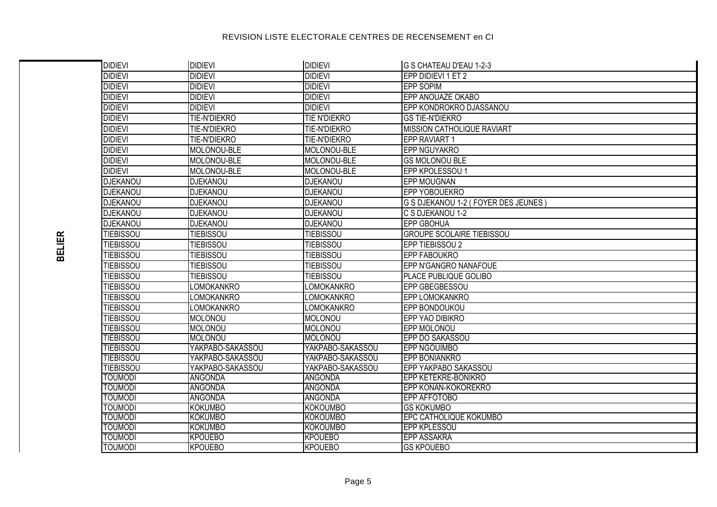| <b>DIDIEVI</b>                   | <b>DIDIEVI</b>                   | <b>DIDIEVI</b>                     | G S CHATEAU D'EAU 1-2-3                              |
|----------------------------------|----------------------------------|------------------------------------|------------------------------------------------------|
| <b>DIDIEVI</b>                   | <b>DIDIEVI</b>                   | <b>DIDIEVI</b>                     | EPP DIDIEVI 1 ET 2                                   |
| <b>DIDIEVI</b>                   | <b>DIDIEVI</b>                   | <b>DIDIEVI</b>                     | <b>EPP SOPIM</b>                                     |
| <b>DIDIEVI</b>                   | <b>DIDIEVI</b>                   | <b>DIDIEVI</b>                     | EPP ANOUAZE OKABO                                    |
| <b>DIDIEVI</b>                   | <b>DIDIEVI</b>                   | <b>DIDIEVI</b>                     | EPP KONDROKRO DJASSANOU                              |
| <b>DIDIEVI</b>                   | TIE-N'DIEKRO                     | <b>TIE N'DIEKRO</b>                | <b>GS TIE-N'DIEKRO</b>                               |
| <b>DIDIEVI</b>                   | TIE-N'DIEKRO                     | TIE-N'DIEKRO                       | <b>MISSION CATHOLIQUE RAVIART</b>                    |
| <b>DIDIEVI</b>                   | TIE-N'DIEKRO                     | TIE-N'DIEKRO                       | EPP RAVIART 1                                        |
| <b>DIDIEVI</b>                   | MOLONOU-BLE                      | MOLONOU-BLE                        | EPP NGUYAKRO                                         |
| <b>DIDIEVI</b>                   | MOLONOU-BLE                      | MOLONOU-BLE                        | <b>GS MOLONOU BLE</b>                                |
| <b>DIDIEVI</b>                   | MOLONOU-BLE                      | MOLONOU-BLE                        | EPP KPOLESSOU 1                                      |
| <b>DJEKANOU</b>                  | <b>DJEKANOU</b>                  | <b>DJEKANOU</b>                    | <b>EPP MOUGNAN</b>                                   |
| <b>DJEKANOU</b>                  | <b>DJEKANOU</b>                  | <b>DJEKANOU</b>                    | EPP YOBOUEKRO                                        |
| <b>DJEKANOU</b>                  | <b>DJEKANOU</b>                  | <b>DJEKANOU</b>                    | G S DJEKANOU 1-2 (FOYER DES JEUNES)                  |
| DJEKANOU                         | <b>DJEKANOU</b>                  | <b>DJEKANOU</b>                    | C S DJEKANOU 1-2                                     |
| DJEKANOU                         | <b>DJEKANOU</b>                  | <b>DJEKANOU</b>                    | <b>EPP GBOHUA</b>                                    |
| <b>TIEBISSOU</b>                 | <b>TIEBISSOU</b>                 | <b>TIEBISSOU</b>                   | <b>GROUPE SCOLAIRE TIEBISSOU</b>                     |
| <b>TIEBISSOU</b>                 | <b>TIEBISSOU</b>                 | <b>TIEBISSOU</b>                   | EPP TIEBISSOU 2                                      |
| <b>TIEBISSOU</b>                 | <b>TIEBISSOU</b>                 | <b>TIEBISSOU</b>                   | <b>EPP FABOUKRO</b>                                  |
| <b>TIEBISSOU</b>                 | <b>TIEBISSOU</b>                 | <b>TIEBISSOU</b>                   | EPP N'GANGRO NANAFOUE                                |
| <b>TIEBISSOU</b>                 | <b>TIEBISSOU</b>                 | <b>TIEBISSOU</b>                   | PLACE PUBLIQUE GOLIBO                                |
| <b>TIEBISSOU</b>                 | LOMOKANKRO                       | <b>LOMOKANKRO</b>                  | EPP GBEGBESSOU                                       |
| <b>TIEBISSOU</b>                 | LOMOKANKRO                       | <b>LOMOKANKRO</b>                  | EPP LOMOKANKRO                                       |
| <b>TIEBISSOU</b>                 | LOMOKANKRO                       | <b>LOMOKANKRO</b>                  | EPP BONDOUKOU                                        |
| <b>TIEBISSOU</b>                 | <b>MOLONOU</b>                   | MOLONOU                            | EPP YAO DIBIKRO                                      |
| <b>TIEBISSOU</b>                 | <b>MOLONOU</b>                   | <b>MOLONOU</b>                     | EPP MOLONOU                                          |
| <b>TIEBISSOU</b>                 | <b>MOLONOU</b>                   | <b>MOLONOU</b>                     | EPP DO SAKASSOU                                      |
| <b>TIEBISSOU</b>                 | YAKPABO-SAKASSOU                 | YAKPABO-SAKASSOU                   | <b>EPP NGOUIMBO</b>                                  |
| <b>TIEBISSOU</b>                 | YAKPABO-SAKASSOU                 | YAKPABO-SAKASSOU                   | <b>EPP BONIANKRO</b>                                 |
| <b>TIEBISSOU</b>                 | YAKPABO-SAKASSOU                 | YAKPABO-SAKASSOU                   | EPP YAKPABO SAKASSOU                                 |
| <b>TOUMODI</b>                   | <b>ANGONDA</b>                   | <b>ANGONDA</b>                     | <b>EPP KETEKRE-BONIKRO</b>                           |
| <b>TOUMODI</b>                   | <b>ANGONDA</b>                   | <b>ANGONDA</b>                     | EPP KONAN-KOKOREKRO                                  |
| <b>TOUMODI</b>                   | <b>ANGONDA</b>                   | ANGONDA                            | EPP AFFOTOBO                                         |
| <b>TOUMODI</b>                   | <b>KOKUMBO</b>                   | <b>KOKOUMBO</b>                    | <b>GS KOKUMBO</b>                                    |
| <b>TOUMODI</b><br><b>TOUMODI</b> | <b>KOKUMBO</b><br><b>KOKUMBO</b> | <b>KOKOUMBO</b><br><b>KOKOUMBO</b> | <b>EPC CATHOLIQUE KOKUMBO</b><br><b>EPP KPLESSOU</b> |
| <b>TOUMODI</b>                   | <b>KPOUEBO</b>                   | <b>KPOUEBO</b>                     | <b>EPP ASSAKRA</b>                                   |
| <b>TOUMODI</b>                   | <b>KPOUEBO</b>                   | <b>KPOUEBO</b>                     | <b>GS KPOUEBO</b>                                    |
|                                  |                                  |                                    |                                                      |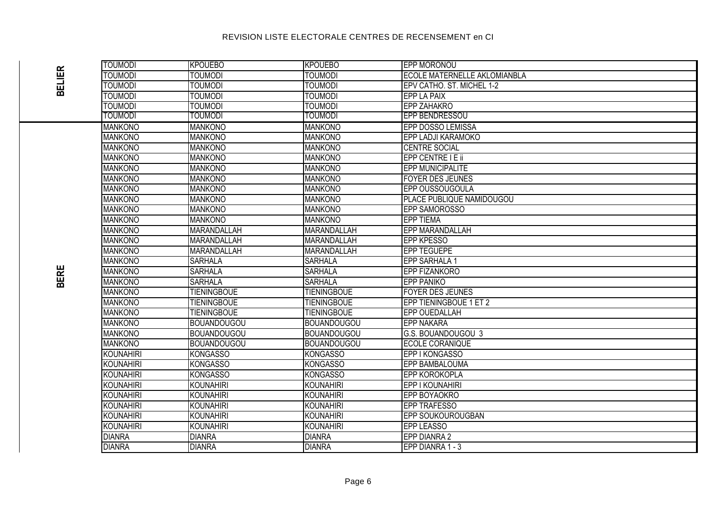| <b>TOUMODI</b>   | <b>KPOUEBO</b>     | <b>KPOUEBO</b>     | <b>EPP MORONOU</b>                  |
|------------------|--------------------|--------------------|-------------------------------------|
| <b>TOUMODI</b>   | <b>TOUMODI</b>     | <b>TOUMODI</b>     | <b>ECOLE MATERNELLE AKLOMIANBLA</b> |
| <b>TOUMODI</b>   | <b>TOUMODI</b>     | <b>TOUMODI</b>     | EPV CATHO. ST. MICHEL 1-2           |
| <b>TOUMODI</b>   | <b>TOUMODI</b>     | <b>TOUMODI</b>     | <b>EPP LA PAIX</b>                  |
| <b>TOUMODI</b>   | <b>TOUMODI</b>     | <b>TOUMODI</b>     | <b>EPP ZAHAKRO</b>                  |
| <b>TOUMODI</b>   | <b>TOUMODI</b>     | <b>TOUMODI</b>     | EPP BENDRESSOU                      |
| <b>MANKONO</b>   | <b>MANKONO</b>     | <b>MANKONO</b>     | <b>EPP DOSSO LEMISSA</b>            |
| <b>MANKONO</b>   | <b>MANKONO</b>     | <b>MANKONO</b>     | <b>EPP LADJI KARAMOKO</b>           |
| <b>MANKONO</b>   | <b>MANKONO</b>     | <b>MANKONO</b>     | <b>CENTRE SOCIAL</b>                |
| <b>MANKONO</b>   | <b>MANKONO</b>     | <b>MANKONO</b>     | EPP CENTRE I E ii                   |
| <b>MANKONO</b>   | <b>MANKONO</b>     | <b>MANKONO</b>     | <b>EPP MUNICIPALITE</b>             |
| <b>MANKONO</b>   | <b>MANKONO</b>     | <b>MANKONO</b>     | <b>FOYER DES JEUNES</b>             |
| <b>MANKONO</b>   | <b>MANKONO</b>     | <b>MANKONO</b>     | EPP OUSSOUGOULA                     |
| <b>MANKONO</b>   | <b>MANKONO</b>     | <b>MANKONO</b>     | PLACE PUBLIQUE NAMIDOUGOU           |
| <b>MANKONO</b>   | <b>MANKONO</b>     | <b>MANKONO</b>     | EPP SAMOROSSO                       |
| <b>MANKONO</b>   | <b>MANKONO</b>     | <b>MANKONO</b>     | <b>EPP TIEMA</b>                    |
| <b>MANKONO</b>   | <b>MARANDALLAH</b> | MARANDALLAH        | <b>EPP MARANDALLAH</b>              |
| <b>MANKONO</b>   | MARANDALLAH        | MARANDALLAH        | <b>EPP KPESSO</b>                   |
| <b>MANKONO</b>   | MARANDALLAH        | MARANDALLAH        | <b>EPP TEGUEPE</b>                  |
| <b>MANKONO</b>   | <b>SARHALA</b>     | <b>SARHALA</b>     | <b>EPP SARHALA 1</b>                |
| <b>MANKONO</b>   | <b>SARHALA</b>     | <b>SARHALA</b>     | <b>EPP FIZANKORO</b>                |
| <b>MANKONO</b>   | <b>SARHALA</b>     | <b>SARHALA</b>     | <b>EPP PANIKO</b>                   |
| <b>MANKONO</b>   | <b>TIENINGBOUE</b> | <b>TIENINGBOUE</b> | <b>FOYER DES JEUNES</b>             |
| <b>MANKONO</b>   | <b>TIENINGBOUE</b> | <b>TIENINGBOUE</b> | EPP TIENINGBOUE 1 ET 2              |
| <b>MANKONO</b>   | <b>TIENINGBOUE</b> | <b>TIENINGBOUE</b> | EPP OUEDALLAH                       |
| <b>MANKONO</b>   | <b>BOUANDOUGOU</b> | <b>BOUANDOUGOU</b> | <b>EPP NAKARA</b>                   |
| <b>MANKONO</b>   | <b>BOUANDOUGOU</b> | BOUANDOUGOU        | G.S. BOUANDOUGOU 3                  |
| <b>MANKONO</b>   | <b>BOUANDOUGOU</b> | <b>BOUANDOUGOU</b> | <b>ECOLE CORANIQUE</b>              |
| <b>KOUNAHIRI</b> | <b>KONGASSO</b>    | <b>KONGASSO</b>    | EPP I KONGASSO                      |
| <b>KOUNAHIRI</b> | <b>KONGASSO</b>    | <b>KONGASSO</b>    | <b>EPP BAMBALOUMA</b>               |
| <b>KOUNAHIRI</b> | <b>KONGASSO</b>    | <b>KONGASSO</b>    | <b>EPP KOROKOPLA</b>                |
| <b>KOUNAHIRI</b> | <b>KOUNAHIRI</b>   | KOUNAHIRI          | <b>EPP I KOUNAHIRI</b>              |
| <b>KOUNAHIRI</b> | <b>KOUNAHIRI</b>   | <b>KOUNAHIRI</b>   | EPP BOYAOKRO                        |
| <b>KOUNAHIRI</b> | <b>KOUNAHIRI</b>   | <b>KOUNAHIRI</b>   | <b>EPP TRAFESSO</b>                 |
| <b>KOUNAHIRI</b> | <b>KOUNAHIRI</b>   | <b>KOUNAHIRI</b>   | <b>EPP SOUKOUROUGBAN</b>            |
| <b>KOUNAHIRI</b> | <b>KOUNAHIRI</b>   | <b>KOUNAHIRI</b>   | <b>EPP LEASSO</b>                   |
| <b>DIANRA</b>    | <b>DIANRA</b>      | <b>DIANRA</b>      | EPP DIANRA 2                        |
| <b>DIANRA</b>    | <b>DIANRA</b>      | <b>DIANRA</b>      | EPP DIANRA 1 - 3                    |
|                  |                    |                    |                                     |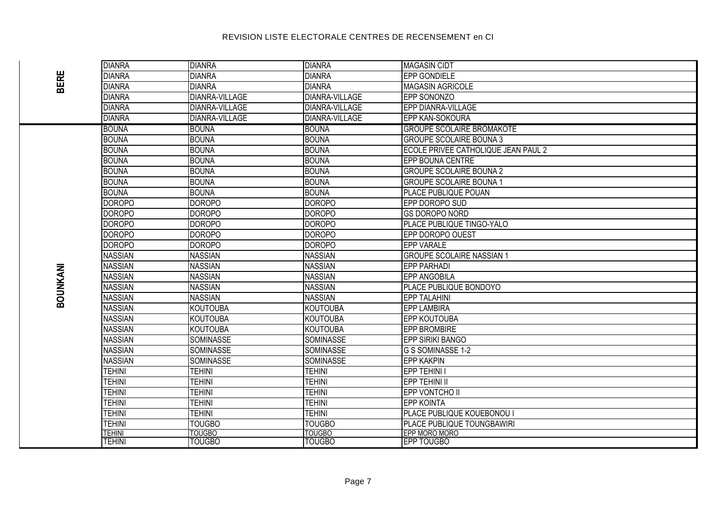| <b>BERE</b> | <b>DIANRA</b>  | <b>DIANRA</b>         | <b>DIANRA</b>         | <b>MAGASIN CIDT</b>                 |
|-------------|----------------|-----------------------|-----------------------|-------------------------------------|
|             | <b>DIANRA</b>  | <b>DIANRA</b>         | <b>DIANRA</b>         | <b>EPP GONDIELE</b>                 |
|             | <b>DIANRA</b>  | <b>DIANRA</b>         | <b>DIANRA</b>         | <b>MAGASIN AGRICOLE</b>             |
|             | <b>DIANRA</b>  | <b>DIANRA-VILLAGE</b> | <b>DIANRA-VILLAGE</b> | EPP SONONZO                         |
|             | <b>DIANRA</b>  | <b>DIANRA-VILLAGE</b> | <b>DIANRA-VILLAGE</b> | <b>EPP DIANRA-VILLAGE</b>           |
|             | <b>DIANRA</b>  | <b>DIANRA-VILLAGE</b> | <b>DIANRA-VILLAGE</b> | <b>EPP KAN-SOKOURA</b>              |
|             | <b>BOUNA</b>   | <b>BOUNA</b>          | <b>BOUNA</b>          | <b>GROUPE SCOLAIRE BROMAKOTE</b>    |
|             | <b>BOUNA</b>   | <b>BOUNA</b>          | <b>BOUNA</b>          | <b>GROUPE SCOLAIRE BOUNA 3</b>      |
|             | <b>BOUNA</b>   | <b>BOUNA</b>          | <b>BOUNA</b>          | ECOLE PRIVEE CATHOLIQUE JEAN PAUL 2 |
|             | <b>BOUNA</b>   | <b>BOUNA</b>          | <b>BOUNA</b>          | <b>EPP BOUNA CENTRE</b>             |
|             | <b>BOUNA</b>   | <b>BOUNA</b>          | <b>BOUNA</b>          | <b>GROUPE SCOLAIRE BOUNA 2</b>      |
|             | <b>BOUNA</b>   | <b>BOUNA</b>          | <b>BOUNA</b>          | <b>GROUPE SCOLAIRE BOUNA 1</b>      |
|             | <b>BOUNA</b>   | <b>BOUNA</b>          | <b>BOUNA</b>          | <b>PLACE PUBLIQUE POUAN</b>         |
|             | <b>DOROPO</b>  | <b>DOROPO</b>         | <b>DOROPO</b>         | EPP DOROPO SUD                      |
|             | <b>DOROPO</b>  | <b>DOROPO</b>         | <b>DOROPO</b>         | <b>GS DOROPO NORD</b>               |
|             | <b>DOROPO</b>  | <b>DOROPO</b>         | DOROPO                | <b>PLACE PUBLIQUE TINGO-YALO</b>    |
|             | <b>DOROPO</b>  | <b>DOROPO</b>         | <b>DOROPO</b>         | EPP DOROPO OUEST                    |
|             | <b>DOROPO</b>  | <b>DOROPO</b>         | DOROPO                | <b>EPP VARALE</b>                   |
|             | <b>NASSIAN</b> | <b>NASSIAN</b>        | <b>NASSIAN</b>        | <b>GROUPE SCOLAIRE NASSIAN 1</b>    |
|             | <b>NASSIAN</b> | <b>NASSIAN</b>        | <b>NASSIAN</b>        | <b>EPP PARHADI</b>                  |
|             | <b>NASSIAN</b> | <b>NASSIAN</b>        | <b>NASSIAN</b>        | <b>EPP ANGOBILA</b>                 |
|             | <b>NASSIAN</b> | <b>NASSIAN</b>        | <b>NASSIAN</b>        | PLACE PUBLIQUE BONDOYO              |
| BOUNKANI    | <b>NASSIAN</b> | <b>NASSIAN</b>        | <b>NASSIAN</b>        | <b>EPP TALAHINI</b>                 |
|             | <b>NASSIAN</b> | <b>KOUTOUBA</b>       | <b>KOUTOUBA</b>       | <b>EPP LAMBIRA</b>                  |
|             | <b>NASSIAN</b> | <b>KOUTOUBA</b>       | <b>KOUTOUBA</b>       | <b>EPP KOUTOUBA</b>                 |
|             | <b>NASSIAN</b> | <b>KOUTOUBA</b>       | <b>KOUTOUBA</b>       | <b>EPP BROMBIRE</b>                 |
|             | <b>NASSIAN</b> | <b>SOMINASSE</b>      | SOMINASSE             | <b>EPP SIRIKI BANGO</b>             |
|             | <b>NASSIAN</b> | SOMINASSE             | SOMINASSE             | G S SOMINASSE 1-2                   |
|             | <b>NASSIAN</b> | <b>SOMINASSE</b>      | <b>SOMINASSE</b>      | <b>EPP KAKPIN</b>                   |
|             | <b>TEHINI</b>  | <b>TEHINI</b>         | <b>TEHINI</b>         | EPP TEHINI I                        |
|             | <b>TEHINI</b>  | <b>TEHINI</b>         | <b>TEHINI</b>         | <b>EPP TEHINI II</b>                |
|             | <b>TEHINI</b>  | <b>TEHINI</b>         | <b>TEHINI</b>         | <b>EPP VONTCHO II</b>               |
|             | <b>TEHINI</b>  | <b>TEHINI</b>         | <b>TEHINI</b>         | <b>EPP KOINTA</b>                   |
|             | <b>TEHINI</b>  | <b>TEHINI</b>         | <b>TEHINI</b>         | PLACE PUBLIQUE KOUEBONOU I          |
|             | <b>TEHINI</b>  | <b>TOUGBO</b>         | <b>TOUGBO</b>         | <b>PLACE PUBLIQUE TOUNGBAWIRI</b>   |
|             | TEHINI         | <b>TOUGBO</b>         | <b>TOUGBO</b>         | EPP MORO MORO                       |
|             | <b>TEHINI</b>  | <b>TOUGBO</b>         | <b>TOUGBO</b>         | <b>EPP TOUGBO</b>                   |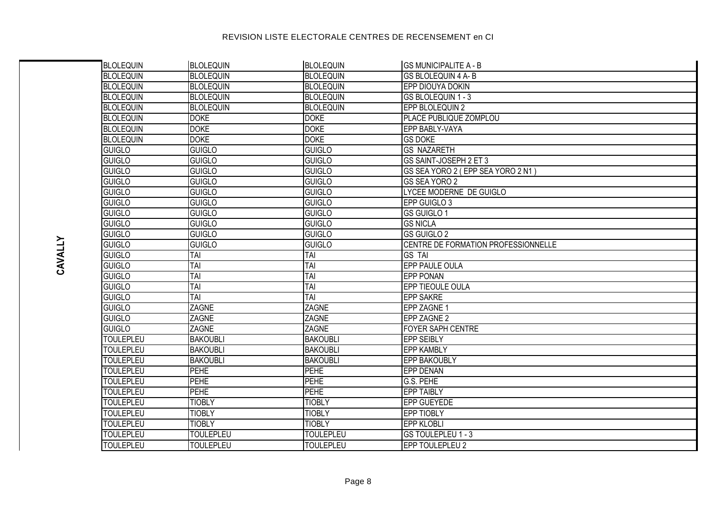| BLOLEQUIN        | <b>BLOLEQUIN</b> | <b>BLOLEQUIN</b> | <b>GS MUNICIPALITE A - B</b>        |
|------------------|------------------|------------------|-------------------------------------|
| <b>BLOLEQUIN</b> | <b>BLOLEQUIN</b> | <b>BLOLEQUIN</b> | <b>GS BLOLEQUIN 4 A-B</b>           |
| <b>BLOLEQUIN</b> | <b>BLOLEQUIN</b> | <b>BLOLEQUIN</b> | <b>EPP DIOUYA DOKIN</b>             |
| <b>BLOLEQUIN</b> | <b>BLOLEQUIN</b> | <b>BLOLEQUIN</b> | GS BLOLEQUIN 1 - 3                  |
| <b>BLOLEQUIN</b> | <b>BLOLEQUIN</b> | <b>BLOLEQUIN</b> | EPP BLOLEQUIN 2                     |
| <b>BLOLEQUIN</b> | <b>DOKE</b>      | <b>DOKE</b>      | PLACE PUBLIQUE ZOMPLOU              |
| <b>BLOLEQUIN</b> | <b>DOKE</b>      | <b>DOKE</b>      | EPP BABLY-VAYA                      |
| <b>BLOLEQUIN</b> | <b>DOKE</b>      | <b>DOKE</b>      | <b>GS DOKE</b>                      |
| <b>GUIGLO</b>    | <b>GUIGLO</b>    | <b>GUIGLO</b>    | <b>GS NAZARETH</b>                  |
| <b>GUIGLO</b>    | <b>GUIGLO</b>    | <b>GUIGLO</b>    | GS SAINT-JOSEPH 2 ET 3              |
| <b>GUIGLO</b>    | <b>GUIGLO</b>    | <b>GUIGLO</b>    | GS SEA YORO 2 (EPP SEA YORO 2 N1)   |
| <b>GUIGLO</b>    | <b>GUIGLO</b>    | <b>GUIGLO</b>    | <b>GS SEA YORO 2</b>                |
| <b>GUIGLO</b>    | <b>GUIGLO</b>    | <b>GUIGLO</b>    | LYCEE MODERNE DE GUIGLO             |
| <b>GUIGLO</b>    | <b>GUIGLO</b>    | <b>GUIGLO</b>    | EPP GUIGLO 3                        |
| <b>GUIGLO</b>    | <b>GUIGLO</b>    | <b>GUIGLO</b>    | <b>GS GUIGLO 1</b>                  |
| <b>GUIGLO</b>    | <b>GUIGLO</b>    | <b>GUIGLO</b>    | <b>GS NICLA</b>                     |
| <b>GUIGLO</b>    | <b>GUIGLO</b>    | <b>GUIGLO</b>    | GS GUIGLO 2                         |
| <b>GUIGLO</b>    | <b>GUIGLO</b>    | <b>GUIGLO</b>    | CENTRE DE FORMATION PROFESSIONNELLE |
| <b>GUIGLO</b>    | TAI              | TAI              | <b>GS TAI</b>                       |
| <b>GUIGLO</b>    | TAI              | TAI              | EPP PAULE OULA                      |
| <b>GUIGLO</b>    | TAI              | TAI              | <b>EPP PONAN</b>                    |
| <b>GUIGLO</b>    | TAI              | TAI              | EPP TIEOULE OULA                    |
| <b>GUIGLO</b>    | TAI              | TAI              | <b>EPP SAKRE</b>                    |
| <b>GUIGLO</b>    | <b>ZAGNE</b>     | ZAGNE            | EPP ZAGNE 1                         |
| <b>GUIGLO</b>    | ZAGNE            | ZAGNE            | EPP ZAGNE 2                         |
| <b>GUIGLO</b>    | ZAGNE            | <b>ZAGNE</b>     | <b>FOYER SAPH CENTRE</b>            |
| <b>TOULEPLEU</b> | <b>BAKOUBLI</b>  | <b>BAKOUBLI</b>  | <b>EPP SEIBLY</b>                   |
| <b>TOULEPLEU</b> | <b>BAKOUBLI</b>  | <b>BAKOUBLI</b>  | <b>EPP KAMBLY</b>                   |
| <b>TOULEPLEU</b> | <b>BAKOUBLI</b>  | <b>BAKOUBLI</b>  | <b>EPP BAKOUBLY</b>                 |
| <b>TOULEPLEU</b> | PEHE             | <b>PEHE</b>      | <b>EPP DENAN</b>                    |
| <b>TOULEPLEU</b> | PEHE             | <b>PEHE</b>      | G.S. PEHE                           |
| <b>TOULEPLEU</b> | PEHE             | <b>PEHE</b>      | <b>EPP TAIBLY</b>                   |
| <b>TOULEPLEU</b> | <b>TIOBLY</b>    | <b>TIOBLY</b>    | <b>EPP GUEYEDE</b>                  |
| <b>TOULEPLEU</b> | <b>TIOBLY</b>    | <b>TIOBLY</b>    | <b>EPP TIOBLY</b>                   |
| <b>TOULEPLEU</b> | <b>TIOBLY</b>    | <b>TIOBLY</b>    | <b>EPP KLOBLI</b>                   |
| <b>TOULEPLEU</b> | <b>TOULEPLEU</b> | <b>TOULEPLEU</b> | GS TOULEPLEU 1 - 3                  |
| <b>TOULEPLEU</b> | <b>TOULEPLEU</b> | <b>TOULEPLEU</b> | EPP TOULEPLEU 2                     |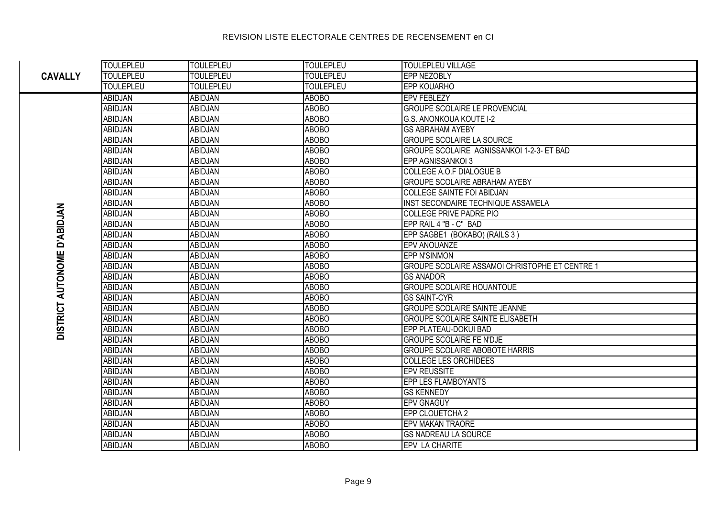#### **TOULEPLEU VILLAGE TOULEPLEU TOULEPLEU** TOULEPLEU **CAVALLY** TOULEPLEU **TOULEPLEU** TOULEPLEU FPP NF70RLY TOLIL EPI ELL TOULEPLEU TOULEPLEU **FPP KOLIARHO** ABIDJAN **ARORO** FPV FFRI F7Y **ABIDJAN ABIDJAN ABIDJAN ABOBO GROUPE SCOLAIRE LE PROVENCIAL ABIDJAN ABOBO G.S. ANONKOUA KOUTE I-2 ABIDJAN GS ABRAHAM AYEBY ABIDJAN** ABIDJAN **ABOBO ARIDJAN** ARID.IAN **ARORO GROUPE SCOLAIRE LA SOURCE** GROUPE SCOLAIRE AGNISSANKOI 1-2-3- ET BAD ABIDJAN **ABIDJAN ABOBO** ARID.IAN ARID.IAN **ARORO EPP AGNISSANKOI 3** ABIDJAN ABIDJAN **ABOBO** COLLEGE A.O.F DIALOGUE B **ABIDJAN ABIDJAN ABOBO GROUPE SCOLAIRE ABRAHAM AYEBY ABIDJAN ABOBO COLLEGE SAINTE FOI ABIDJAN ABIDJAN** ABIDJAN **ABIDJAN ABOBO** INST SECONDAIRE TECHNIQUE ASSAMELA **DISTRICT AUTONOME D'ABIDJAN** ABIDJAN **ABIDJAN ABOBO COLLEGE PRIVE PADRE PIO ARID.IAN** ARID.IAN **ARORO** FPP RAIL 4 "B - C" BAD ABIDJAN ABIDJAN **ABOBO** EPP SAGBE1 (BOKABO) (RAILS 3) ABIDJAN **ABIDJAN ABOBO** EPV ANOUANZE **ABIDJAN ABIDJAN ABOBO EPP N'SINMON GROUPE SCOLAIRE ASSAMOI CHRISTOPHE ET CENTRE 1** ABIDJAN ABIDJAN **ABOBO** ABIDJAN **ABIDJAN ABOBO GS ANADOR GROUPE SCOLAIRE HOUANTOUF ABIDJAN ABIDJAN ABOBO ABOBO** ABIDJAN **ABIDJAN GS SAINT-CYR** ABIDJAN ARID.IAN **ABOBO GROUPE SCOLAIRE SAINTE JEANNE ABIDJAN** ABIDJAN **ABOBO GROUPE SCOLAIRE SAINTE ELISABETH ARID.IAN** ARID.IAN **ARORO** FPP PLATFAU-DOKULBAD **GROUPE SCOLAIRE FE N'DJE** ABIDJAN ABIDJAN **ABOBO ABIDJAN** ABIDJAN **ABOBO GROUPE SCOLAIRE ABOBOTE HARRIS** ABIDJAN **ABIDJAN ABOBO COLLEGE LES ORCHIDEES** ABIDJAN **ABIDJAN ABOBO EPV REUSSITE ABIDJAN ABIDJAN ABOBO EPP LES FLAMBOYANTS ARID.IAN** ARID.IAN **ARORO GS KENNEDY ABIDJAN** ARID.IAN **ABOBO EPV GNAGUY ABOBO** EPP CLOUETCHA 2 ABIDJAN **ABIDJAN ARID.IAN** ARID.IAN ARORO **FPV MAKAN TRAORF ABOBO** ABIDJAN ABIDJAN **GS NADREAU LA SOURCE** ABIDJAN ABIDJAN **ABOBO FPV LA CHARITE**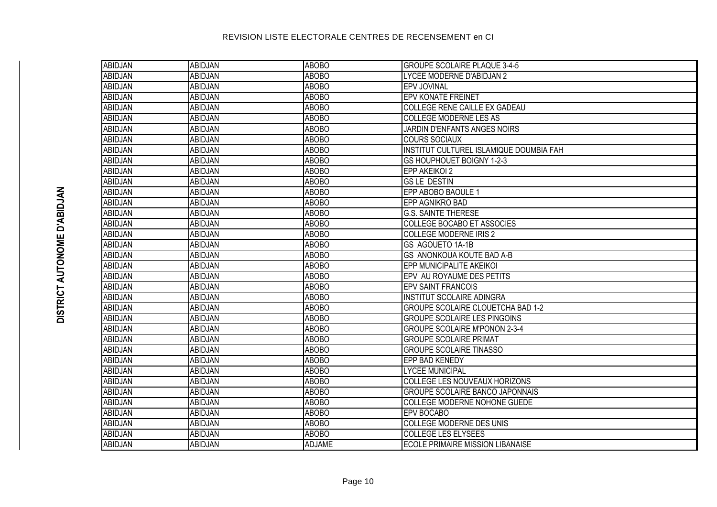| <b>ABIDJAN</b> | <b>ABIDJAN</b> | <b>ABOBO</b>  | <b>GROUPE SCOLAIRE PLAQUE 3-4-5</b>      |
|----------------|----------------|---------------|------------------------------------------|
| <b>ABIDJAN</b> | <b>ABIDJAN</b> | <b>ABOBO</b>  | LYCEE MODERNE D'ABIDJAN 2                |
| <b>ABIDJAN</b> | <b>ABIDJAN</b> | <b>ABOBO</b>  | <b>EPV JOVINAL</b>                       |
| <b>ABIDJAN</b> | <b>ABIDJAN</b> | <b>ABOBO</b>  | <b>EPV KONATE FREINET</b>                |
| <b>ABIDJAN</b> | <b>ABIDJAN</b> | <b>ABOBO</b>  | <b>COLLEGE RENE CAILLE EX GADEAU</b>     |
| <b>ABIDJAN</b> | ABIDJAN        | <b>ABOBO</b>  | <b>COLLEGE MODERNE LES AS</b>            |
| <b>ABIDJAN</b> | ABIDJAN        | <b>ABOBO</b>  | JARDIN D'ENFANTS ANGES NOIRS             |
| <b>ABIDJAN</b> | <b>ABIDJAN</b> | <b>ABOBO</b>  | <b>COURS SOCIAUX</b>                     |
| <b>ABIDJAN</b> | <b>ABIDJAN</b> | <b>ABOBO</b>  | INSTITUT CULTUREL ISLAMIQUE DOUMBIA FAH  |
| <b>ABIDJAN</b> | <b>ABIDJAN</b> | <b>ABOBO</b>  | GS HOUPHOUET BOIGNY 1-2-3                |
| <b>ABIDJAN</b> | ABIDJAN        | <b>ABOBO</b>  | EPP AKEIKOI 2                            |
| <b>ABIDJAN</b> | <b>ABIDJAN</b> | <b>ABOBO</b>  | <b>GSLE DESTIN</b>                       |
| <b>ABIDJAN</b> | <b>ABIDJAN</b> | <b>ABOBO</b>  | EPP ABOBO BAOULE 1                       |
| <b>ABIDJAN</b> | <b>ABIDJAN</b> | <b>ABOBO</b>  | EPP AGNIKRO BAD                          |
| ABIDJAN        | ABIDJAN        | <b>ABOBO</b>  | <b>G.S. SAINTE THERESE</b>               |
| ABIDJAN        | <b>ABIDJAN</b> | <b>ABOBO</b>  | COLLEGE BOCABO ET ASSOCIES               |
| ABIDJAN        | <b>ABIDJAN</b> | <b>ABOBO</b>  | <b>COLLEGE MODERNE IRIS 2</b>            |
| ABIDJAN        | <b>ABIDJAN</b> | <b>ABOBO</b>  | <b>GS AGOUETO 1A-1B</b>                  |
| <b>ABIDJAN</b> | <b>ABIDJAN</b> | <b>ABOBO</b>  | <b>GS ANONKOUA KOUTE BAD A-B</b>         |
| ABIDJAN        | <b>ABIDJAN</b> | <b>ABOBO</b>  | EPP MUNICIPALITE AKEIKOI                 |
| ABIDJAN        | <b>ABIDJAN</b> | <b>ABOBO</b>  | EPV AU ROYAUME DES PETITS                |
| ABIDJAN        | <b>ABIDJAN</b> | <b>ABOBO</b>  | <b>EPV SAINT FRANCOIS</b>                |
| ABIDJAN        | ABIDJAN        | <b>ABOBO</b>  | <b>INSTITUT SCOLAIRE ADINGRA</b>         |
| ABIDJAN        | <b>ABIDJAN</b> | <b>ABOBO</b>  | <b>GROUPE SCOLAIRE CLOUETCHA BAD 1-2</b> |
| ABIDJAN        | <b>ABIDJAN</b> | <b>ABOBO</b>  | <b>GROUPE SCOLAIRE LES PINGOINS</b>      |
| ABIDJAN        | <b>ABIDJAN</b> | <b>ABOBO</b>  | <b>GROUPE SCOLAIRE M'PONON 2-3-4</b>     |
| ABIDJAN        | <b>ABIDJAN</b> | <b>ABOBO</b>  | <b>GROUPE SCOLAIRE PRIMAT</b>            |
| ABIDJAN        | ABIDJAN        | <b>ABOBO</b>  | <b>GROUPE SCOLAIRE TINASSO</b>           |
| ABIDJAN        | ABIDJAN        | <b>ABOBO</b>  | EPP BAD KENEDY                           |
| ABIDJAN        | ABIDJAN        | <b>ABOBO</b>  | <b>LYCEE MUNICIPAL</b>                   |
| ABIDJAN        | <b>ABIDJAN</b> | <b>ABOBO</b>  | COLLEGE LES NOUVEAUX HORIZONS            |
| ABIDJAN        | <b>ABIDJAN</b> | <b>ABOBO</b>  | <b>GROUPE SCOLAIRE BANCO JAPONNAIS</b>   |
| ABIDJAN        | <b>ABIDJAN</b> | <b>ABOBO</b>  | COLLEGE MODERNE NOHONE GUEDE             |
| ABIDJAN        | <b>ABIDJAN</b> | <b>ABOBO</b>  | <b>EPV BOCABO</b>                        |
| <b>ABIDJAN</b> | <b>ABIDJAN</b> | <b>ABOBO</b>  | <b>COLLEGE MODERNE DES UNIS</b>          |
| ABIDJAN        | <b>ABIDJAN</b> | <b>ABOBO</b>  | <b>COLLEGE LES ELYSEES</b>               |
| ABIDJAN        | <b>ABIDJAN</b> | <b>ADJAME</b> | <b>ECOLE PRIMAIRE MISSION LIBANAISE</b>  |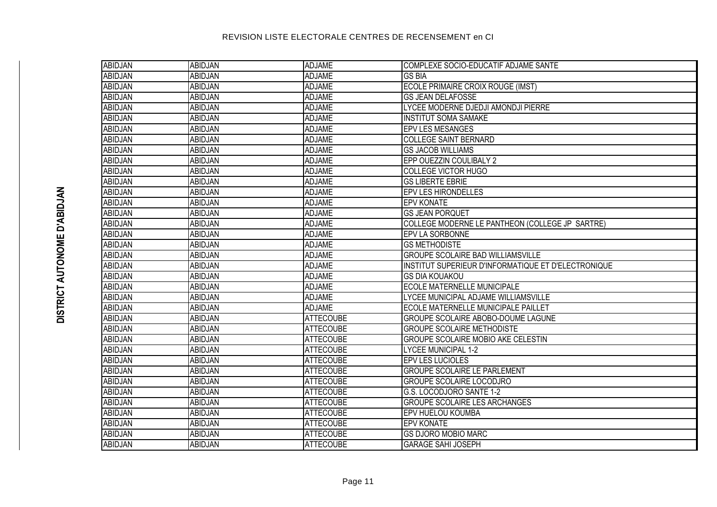| ABIDJAN        | <b>ABIDJAN</b> | ADJAME           | COMPLEXE SOCIO-EDUCATIF ADJAME SANTE                |
|----------------|----------------|------------------|-----------------------------------------------------|
| <b>ABIDJAN</b> | <b>ABIDJAN</b> | <b>ADJAME</b>    | <b>GS BIA</b>                                       |
| <b>ABIDJAN</b> | ABIDJAN        | <b>ADJAME</b>    | ECOLE PRIMAIRE CROIX ROUGE (IMST)                   |
| <b>ABIDJAN</b> | <b>ABIDJAN</b> | <b>ADJAME</b>    | <b>GS JEAN DELAFOSSE</b>                            |
| <b>ABIDJAN</b> | <b>ABIDJAN</b> | <b>ADJAME</b>    | LYCEE MODERNE DJEDJI AMONDJI PIERRE                 |
| <b>ABIDJAN</b> | ABIDJAN        | <b>ADJAME</b>    | <b>INSTITUT SOMA SAMAKE</b>                         |
| <b>ABIDJAN</b> | <b>ABIDJAN</b> | <b>ADJAME</b>    | <b>EPV LES MESANGES</b>                             |
| <b>ABIDJAN</b> | ABIDJAN        | <b>ADJAME</b>    | <b>COLLEGE SAINT BERNARD</b>                        |
| <b>ABIDJAN</b> | <b>ABIDJAN</b> | <b>ADJAME</b>    | <b>GS JACOB WILLIAMS</b>                            |
| <b>ABIDJAN</b> | ABIDJAN        | <b>ADJAME</b>    | EPP OUEZZIN COULIBALY 2                             |
| <b>ABIDJAN</b> | ABIDJAN        | <b>ADJAME</b>    | <b>COLLEGE VICTOR HUGO</b>                          |
| <b>ABIDJAN</b> | <b>ABIDJAN</b> | <b>ADJAME</b>    | <b>GS LIBERTE EBRIE</b>                             |
| <b>ABIDJAN</b> | <b>ABIDJAN</b> | <b>ADJAME</b>    | <b>EPV LES HIRONDELLES</b>                          |
| <b>ABIDJAN</b> | <b>ABIDJAN</b> | <b>ADJAME</b>    | <b>EPV KONATE</b>                                   |
| <b>ABIDJAN</b> | <b>ABIDJAN</b> | <b>ADJAME</b>    | <b>GS JEAN PORQUET</b>                              |
| <b>ABIDJAN</b> | <b>ABIDJAN</b> | <b>ADJAME</b>    | COLLEGE MODERNE LE PANTHEON (COLLEGE JP SARTRE)     |
| <b>ABIDJAN</b> | <b>ABIDJAN</b> | <b>ADJAME</b>    | <b>EPV LA SORBONNE</b>                              |
| <b>ABIDJAN</b> | <b>ABIDJAN</b> | <b>ADJAME</b>    | <b>GS METHODISTE</b>                                |
| <b>ABIDJAN</b> | <b>ABIDJAN</b> | <b>ADJAME</b>    | <b>GROUPE SCOLAIRE BAD WILLIAMSVILLE</b>            |
| <b>ABIDJAN</b> | <b>ABIDJAN</b> | <b>ADJAME</b>    | INSTITUT SUPERIEUR D'INFORMATIQUE ET D'ELECTRONIQUE |
| <b>ABIDJAN</b> | ABIDJAN        | <b>ADJAME</b>    | <b>GS DIA KOUAKOU</b>                               |
| <b>ABIDJAN</b> | ABIDJAN        | <b>ADJAME</b>    | <b>ECOLE MATERNELLE MUNICIPALE</b>                  |
| <b>ABIDJAN</b> | ABIDJAN        | <b>ADJAME</b>    | LYCEE MUNICIPAL ADJAME WILLIAMSVILLE                |
| <b>ABIDJAN</b> | ABIDJAN        | ADJAME           | ECOLE MATERNELLE MUNICIPALE PAILLET                 |
| <b>ABIDJAN</b> | ABIDJAN        | <b>ATTECOUBE</b> | GROUPE SCOLAIRE ABOBO-DOUME LAGUNE                  |
| <b>ABIDJAN</b> | <b>ABIDJAN</b> | <b>ATTECOUBE</b> | <b>GROUPE SCOLAIRE METHODISTE</b>                   |
| <b>ABIDJAN</b> | <b>ABIDJAN</b> | <b>ATTECOUBE</b> | <b>GROUPE SCOLAIRE MOBIO AKE CELESTIN</b>           |
| <b>ABIDJAN</b> | ABIDJAN        | <b>ATTECOUBE</b> | <b>LYCEE MUNICIPAL 1-2</b>                          |
| <b>ABIDJAN</b> | ABIDJAN        | <b>ATTECOUBE</b> | EPV LES LUCIOLES                                    |
| <b>ABIDJAN</b> | ABIDJAN        | <b>ATTECOUBE</b> | <b>GROUPE SCOLAIRE LE PARLEMENT</b>                 |
| <b>ABIDJAN</b> | ABIDJAN        | <b>ATTECOUBE</b> | <b>GROUPE SCOLAIRE LOCODJRO</b>                     |
| <b>ABIDJAN</b> | <b>ABIDJAN</b> | <b>ATTECOUBE</b> | G.S. LOCODJORO SANTE 1-2                            |
| <b>ABIDJAN</b> | ABIDJAN        | <b>ATTECOUBE</b> | <b>GROUPE SCOLAIRE LES ARCHANGES</b>                |
| <b>ABIDJAN</b> | <b>ABIDJAN</b> | <b>ATTECOUBE</b> | EPV HUELOU KOUMBA                                   |
| <b>ABIDJAN</b> | <b>ABIDJAN</b> | <b>ATTECOUBE</b> | <b>EPV KONATE</b>                                   |
| <b>ABIDJAN</b> | <b>ABIDJAN</b> | <b>ATTECOUBE</b> | <b>GS DJORO MOBIO MARC</b>                          |
| ABIDJAN        | <b>ABIDJAN</b> | <b>ATTECOUBE</b> | <b>GARAGE SAHI JOSEPH</b>                           |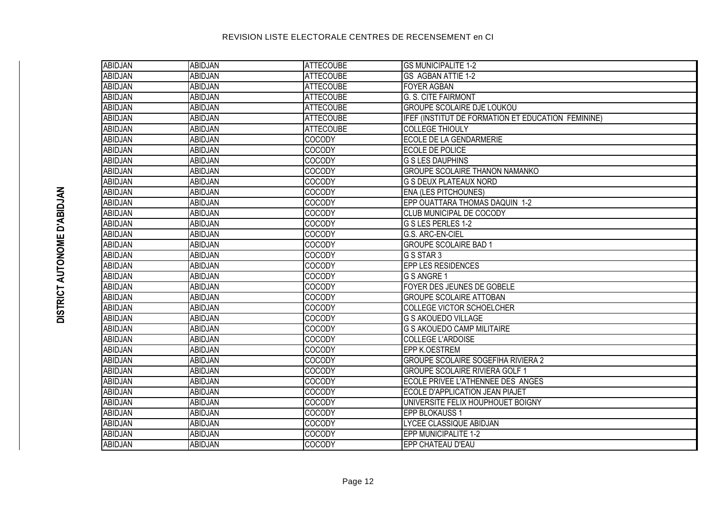| ABIDJAN        | ABIDJAN        | <b>ATTECOUBE</b> | <b>GS MUNICIPALITE 1-2</b>                         |
|----------------|----------------|------------------|----------------------------------------------------|
| <b>ABIDJAN</b> | <b>ABIDJAN</b> | <b>ATTECOUBE</b> | <b>GS AGBAN ATTIE 1-2</b>                          |
| <b>ABIDJAN</b> | <b>ABIDJAN</b> | <b>ATTECOUBE</b> | <b>FOYER AGBAN</b>                                 |
| <b>ABIDJAN</b> | ABIDJAN        | <b>ATTECOUBE</b> | <b>G. S. CITE FAIRMONT</b>                         |
| <b>ABIDJAN</b> | <b>ABIDJAN</b> | <b>ATTECOUBE</b> | <b>GROUPE SCOLAIRE DJE LOUKOU</b>                  |
| <b>ABIDJAN</b> | ABIDJAN        | <b>ATTECOUBE</b> | IFEF (INSTITUT DE FORMATION ET EDUCATION FEMININE) |
| <b>ABIDJAN</b> | ABIDJAN        | <b>ATTECOUBE</b> | <b>COLLEGE THIOULY</b>                             |
| <b>ABIDJAN</b> | <b>ABIDJAN</b> | <b>COCODY</b>    | <b>ECOLE DE LA GENDARMERIE</b>                     |
| <b>ABIDJAN</b> | <b>ABIDJAN</b> | <b>COCODY</b>    | <b>ECOLE DE POLICE</b>                             |
| <b>ABIDJAN</b> | ABIDJAN        | <b>COCODY</b>    | <b>G S LES DAUPHINS</b>                            |
| <b>ABIDJAN</b> | <b>ABIDJAN</b> | <b>COCODY</b>    | <b>GROUPE SCOLAIRE THANON NAMANKO</b>              |
| <b>ABIDJAN</b> | <b>ABIDJAN</b> | <b>COCODY</b>    | <b>G S DEUX PLATEAUX NORD</b>                      |
| <b>ABIDJAN</b> | <b>ABIDJAN</b> | <b>COCODY</b>    | <b>ENA (LES PITCHOUNES)</b>                        |
| <b>ABIDJAN</b> | <b>ABIDJAN</b> | <b>COCODY</b>    | EPP OUATTARA THOMAS DAQUIN 1-2                     |
| <b>ABIDJAN</b> | ABIDJAN        | <b>COCODY</b>    | <b>CLUB MUNICIPAL DE COCODY</b>                    |
| <b>ABIDJAN</b> | ABIDJAN        | <b>COCODY</b>    | G S LES PERLES 1-2                                 |
| <b>ABIDJAN</b> | <b>ABIDJAN</b> | <b>COCODY</b>    | G.S. ARC-EN-CIEL                                   |
| <b>ABIDJAN</b> | ABIDJAN        | <b>COCODY</b>    | <b>GROUPE SCOLAIRE BAD 1</b>                       |
| <b>ABIDJAN</b> | ABIDJAN        | <b>COCODY</b>    | G S STAR 3                                         |
| <b>ABIDJAN</b> | ABIDJAN        | <b>COCODY</b>    | <b>EPP LES RESIDENCES</b>                          |
| <b>ABIDJAN</b> | ABIDJAN        | <b>COCODY</b>    | G S ANGRE 1                                        |
| <b>ABIDJAN</b> | ABIDJAN        | <b>COCODY</b>    | <b>FOYER DES JEUNES DE GOBELE</b>                  |
| <b>ABIDJAN</b> | ABIDJAN        | <b>COCODY</b>    | <b>GROUPE SCOLAIRE ATTOBAN</b>                     |
| <b>ABIDJAN</b> | ABIDJAN        | COCODY           | COLLEGE VICTOR SCHOELCHER                          |
| <b>ABIDJAN</b> | ABIDJAN        | COCODY           | <b>G S AKOUEDO VILLAGE</b>                         |
| <b>ABIDJAN</b> | ABIDJAN        | COCODY           | <b>G S AKOUEDO CAMP MILITAIRE</b>                  |
| <b>ABIDJAN</b> | ABIDJAN        | COCODY           | <b>COLLEGE L'ARDOISE</b>                           |
| <b>ABIDJAN</b> | ABIDJAN        | <b>COCODY</b>    | <b>EPP K.OESTREM</b>                               |
| <b>ABIDJAN</b> | ABIDJAN        | COCODY           | <b>GROUPE SCOLAIRE SOGEFIHA RIVIERA 2</b>          |
| <b>ABIDJAN</b> | ABIDJAN        | <b>COCODY</b>    | <b>GROUPE SCOLAIRE RIVIERA GOLF 1</b>              |
| <b>ABIDJAN</b> | ABIDJAN        | COCODY           | ECOLE PRIVEE L'ATHENNEE DES ANGES                  |
| <b>ABIDJAN</b> | ABIDJAN        | COCODY           | ECOLE D'APPLICATION JEAN PIAJET                    |
| <b>ABIDJAN</b> | ABIDJAN        | <b>COCODY</b>    | UNIVERSITE FELIX HOUPHOUET BOIGNY                  |
| <b>ABIDJAN</b> | ABIDJAN        | COCODY           | <b>EPP BLOKAUSS 1</b>                              |
| <b>ABIDJAN</b> | ABIDJAN        | <b>COCODY</b>    | LYCEE CLASSIQUE ABIDJAN                            |
| <b>ABIDJAN</b> | ABIDJAN        | COCODY           | EPP MUNICIPALITE 1-2                               |
| ABIDJAN        | ABIDJAN        | <b>COCODY</b>    | EPP CHATEAU D'EAU                                  |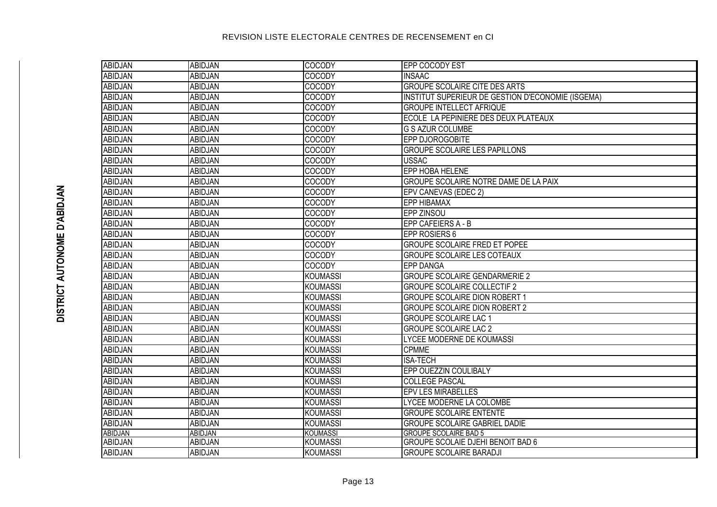| <b>ABIDJAN</b> | <b>ABIDJAN</b> | COCODY          | <b>EPP COCODY EST</b>                             |
|----------------|----------------|-----------------|---------------------------------------------------|
| <b>ABIDJAN</b> | <b>ABIDJAN</b> | <b>COCODY</b>   | <b>INSAAC</b>                                     |
| <b>ABIDJAN</b> | <b>ABIDJAN</b> | <b>COCODY</b>   | <b>GROUPE SCOLAIRE CITE DES ARTS</b>              |
| ABIDJAN        | ABIDJAN        | <b>COCODY</b>   | INSTITUT SUPERIEUR DE GESTION D'ECONOMIE (ISGEMA) |
| <b>ABIDJAN</b> | <b>ABIDJAN</b> | <b>COCODY</b>   | <b>GROUPE INTELLECT AFRIQUE</b>                   |
| <b>ABIDJAN</b> | <b>ABIDJAN</b> | COCODY          | ECOLE LA PEPINIERE DES DEUX PLATEAUX              |
| <b>ABIDJAN</b> | <b>ABIDJAN</b> | <b>COCODY</b>   | <b>G S AZUR COLUMBE</b>                           |
| <b>ABIDJAN</b> | <b>ABIDJAN</b> | <b>COCODY</b>   | EPP DJOROGOBITE                                   |
| <b>ABIDJAN</b> | <b>ABIDJAN</b> | <b>COCODY</b>   | <b>GROUPE SCOLAIRE LES PAPILLONS</b>              |
| <b>ABIDJAN</b> | <b>ABIDJAN</b> | <b>COCODY</b>   | <b>USSAC</b>                                      |
| <b>ABIDJAN</b> | <b>ABIDJAN</b> | <b>COCODY</b>   | <b>EPP HOBA HELENE</b>                            |
| <b>ABIDJAN</b> | <b>ABIDJAN</b> | <b>COCODY</b>   | GROUPE SCOLAIRE NOTRE DAME DE LA PAIX             |
| <b>ABIDJAN</b> | <b>ABIDJAN</b> | <b>COCODY</b>   | EPV CANEVAS (EDEC 2)                              |
| <b>ABIDJAN</b> | <b>ABIDJAN</b> | <b>COCODY</b>   | <b>EPP HIBAMAX</b>                                |
| ABIDJAN        | <b>ABIDJAN</b> | <b>COCODY</b>   | <b>EPP ZINSOU</b>                                 |
| <b>ABIDJAN</b> | <b>ABIDJAN</b> | <b>COCODY</b>   | EPP CAFEIERS A - B                                |
| <b>ABIDJAN</b> | <b>ABIDJAN</b> | <b>COCODY</b>   | EPP ROSIERS 6                                     |
| <b>ABIDJAN</b> | <b>ABIDJAN</b> | <b>COCODY</b>   | <b>GROUPE SCOLAIRE FRED ET POPEE</b>              |
| ABIDJAN        | ABIDJAN        | <b>COCODY</b>   | <b>GROUPE SCOLAIRE LES COTEAUX</b>                |
| ABIDJAN        | ABIDJAN        | <b>COCODY</b>   | <b>EPP DANGA</b>                                  |
| ABIDJAN        | ABIDJAN        | <b>KOUMASSI</b> | <b>GROUPE SCOLAIRE GENDARMERIE 2</b>              |
| <b>ABIDJAN</b> | <b>ABIDJAN</b> | <b>KOUMASSI</b> | <b>GROUPE SCOLAIRE COLLECTIF 2</b>                |
| ABIDJAN        | <b>ABIDJAN</b> | <b>KOUMASSI</b> | <b>GROUPE SCOLAIRE DION ROBERT 1</b>              |
| <b>ABIDJAN</b> | <b>ABIDJAN</b> | <b>KOUMASSI</b> | <b>GROUPE SCOLAIRE DION ROBERT 2</b>              |
| <b>ABIDJAN</b> | <b>ABIDJAN</b> | <b>KOUMASSI</b> | <b>GROUPE SCOLAIRE LAC 1</b>                      |
| ABIDJAN        | <b>ABIDJAN</b> | <b>KOUMASSI</b> | <b>GROUPE SCOLAIRE LAC 2</b>                      |
| ABIDJAN        | <b>ABIDJAN</b> | <b>KOUMASSI</b> | LYCEE MODERNE DE KOUMASSI                         |
| <b>ABIDJAN</b> | <b>ABIDJAN</b> | <b>KOUMASSI</b> | <b>CPMME</b>                                      |
| <b>ABIDJAN</b> | <b>ABIDJAN</b> | <b>KOUMASSI</b> | <b>ISA-TECH</b>                                   |
| ABIDJAN        | ABIDJAN        | <b>KOUMASSI</b> | EPP OUEZZIN COULIBALY                             |
| ABIDJAN        | <b>ABIDJAN</b> | <b>KOUMASSI</b> | <b>COLLEGE PASCAL</b>                             |
| <b>ABIDJAN</b> | <b>ABIDJAN</b> | <b>KOUMASSI</b> | <b>EPV LES MIRABELLES</b>                         |
| <b>ABIDJAN</b> | <b>ABIDJAN</b> | <b>KOUMASSI</b> | LYCEE MODERNE LA COLOMBE                          |
| ABIDJAN        | <b>ABIDJAN</b> | <b>KOUMASSI</b> | <b>GROUPE SCOLAIRE ENTENTE</b>                    |
| ABIDJAN        | <b>ABIDJAN</b> | <b>KOUMASSI</b> | <b>GROUPE SCOLAIRE GABRIEL DADIE</b>              |
| <b>ABIDJAN</b> | <b>ABIDJAN</b> | <b>KOUMASSI</b> | <b>GROUPE SCOLAIRE BAD 5</b>                      |
| ABIDJAN        | ABIDJAN        | <b>KOUMASSI</b> | <b>GROUPE SCOLAIE DJEHI BENOIT BAD 6</b>          |
| ABIDJAN        | <b>ABIDJAN</b> | <b>KOUMASSI</b> | <b>GROUPE SCOLAIRE BARADJI</b>                    |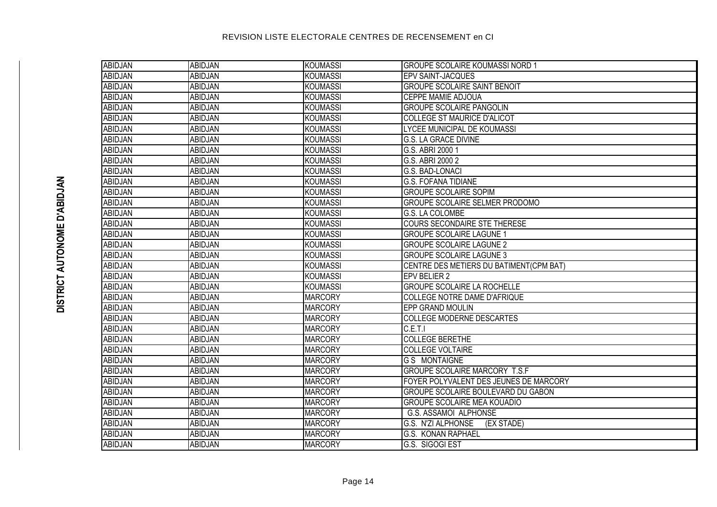| ABIDJAN        | <b>ABIDJAN</b> | <b>KOUMASSI</b> | <b>GROUPE SCOLAIRE KOUMASSI NORD 1</b>  |
|----------------|----------------|-----------------|-----------------------------------------|
| <b>ABIDJAN</b> | <b>ABIDJAN</b> | <b>KOUMASSI</b> | <b>EPV SAINT-JACQUES</b>                |
| <b>ABIDJAN</b> | <b>ABIDJAN</b> | <b>KOUMASSI</b> | <b>GROUPE SCOLAIRE SAINT BENOIT</b>     |
| <b>ABIDJAN</b> | <b>ABIDJAN</b> | <b>KOUMASSI</b> | <b>CEPPE MAMIE ADJOUA</b>               |
| <b>ABIDJAN</b> | <b>ABIDJAN</b> | <b>KOUMASSI</b> | <b>GROUPE SCOLAIRE PANGOLIN</b>         |
| <b>ABIDJAN</b> | <b>ABIDJAN</b> | <b>KOUMASSI</b> | <b>COLLEGE ST MAURICE D'ALICOT</b>      |
| <b>ABIDJAN</b> | ABIDJAN        | <b>KOUMASSI</b> | <b>LYCEE MUNICIPAL DE KOUMASSI</b>      |
| <b>ABIDJAN</b> | <b>ABIDJAN</b> | <b>KOUMASSI</b> | <b>G.S. LA GRACE DIVINE</b>             |
| <b>ABIDJAN</b> | <b>ABIDJAN</b> | <b>KOUMASSI</b> | G.S. ABRI 2000 1                        |
| <b>ABIDJAN</b> | <b>ABIDJAN</b> | <b>KOUMASSI</b> | G.S. ABRI 2000 2                        |
| <b>ABIDJAN</b> | <b>ABIDJAN</b> | <b>KOUMASSI</b> | <b>G.S. BAD-LONACI</b>                  |
| <b>ABIDJAN</b> | <b>ABIDJAN</b> | <b>KOUMASSI</b> | <b>G.S. FOFANA TIDIANE</b>              |
| <b>ABIDJAN</b> | <b>ABIDJAN</b> | <b>KOUMASSI</b> | <b>GROUPE SCOLAIRE SOPIM</b>            |
| <b>ABIDJAN</b> | <b>ABIDJAN</b> | <b>KOUMASSI</b> | GROUPE SCOLAIRE SELMER PRODOMO          |
| ABIDJAN        | ABIDJAN        | <b>KOUMASSI</b> | G.S. LA COLOMBE                         |
| ABIDJAN        | ABIDJAN        | <b>KOUMASSI</b> | <b>COURS SECONDAIRE STE THERESE</b>     |
| ABIDJAN        | ABIDJAN        | <b>KOUMASSI</b> | <b>GROUPE SCOLAIRE LAGUNE 1</b>         |
| ABIDJAN        | ABIDJAN        | <b>KOUMASSI</b> | <b>GROUPE SCOLAIRE LAGUNE 2</b>         |
| <b>ABIDJAN</b> | ABIDJAN        | <b>KOUMASSI</b> | <b>GROUPE SCOLAIRE LAGUNE 3</b>         |
| ABIDJAN        | ABIDJAN        | <b>KOUMASSI</b> | CENTRE DES METIERS DU BATIMENT(CPM BAT) |
| <b>ABIDJAN</b> | ABIDJAN        | <b>KOUMASSI</b> | EPV BELIER 2                            |
| ABIDJAN        | ABIDJAN        | <b>KOUMASSI</b> | <b>GROUPE SCOLAIRE LA ROCHELLE</b>      |
| <b>ABIDJAN</b> | <b>ABIDJAN</b> | <b>MARCORY</b>  | COLLEGE NOTRE DAME D'AFRIQUE            |
| <b>ABIDJAN</b> | ABIDJAN        | <b>MARCORY</b>  | <b>EPP GRAND MOULIN</b>                 |
| ABIDJAN        | ABIDJAN        | <b>MARCORY</b>  | <b>COLLEGE MODERNE DESCARTES</b>        |
| ABIDJAN        | ABIDJAN        | <b>MARCORY</b>  | C.E.T.I                                 |
| ABIDJAN        | ABIDJAN        | <b>MARCORY</b>  | <b>COLLEGE BERETHE</b>                  |
| ABIDJAN        | ABIDJAN        | <b>MARCORY</b>  | <b>COLLEGE VOLTAIRE</b>                 |
| ABIDJAN        | ABIDJAN        | <b>MARCORY</b>  | <b>G S MONTAIGNE</b>                    |
| ABIDJAN        | ABIDJAN        | <b>MARCORY</b>  | <b>GROUPE SCOLAIRE MARCORY T.S.F</b>    |
| ABIDJAN        | ABIDJAN        | <b>MARCORY</b>  | FOYER POLYVALENT DES JEUNES DE MARCORY  |
| <b>ABIDJAN</b> | <b>ABIDJAN</b> | <b>MARCORY</b>  | GROUPE SCOLAIRE BOULEVARD DU GABON      |
| ABIDJAN        | ABIDJAN        | <b>MARCORY</b>  | <b>GROUPE SCOLAIRE MEA KOUADIO</b>      |
| <b>ABIDJAN</b> | ABIDJAN        | <b>MARCORY</b>  | <b>G.S. ASSAMOI ALPHONSE</b>            |
| <b>ABIDJAN</b> | ABIDJAN        | <b>MARCORY</b>  | G.S. N'ZI ALPHONSE<br>(EX STADE)        |
| <b>ABIDJAN</b> | ABIDJAN        | <b>MARCORY</b>  | G.S. KONAN RAPHAEL                      |
| ABIDJAN        | ABIDJAN        | <b>MARCORY</b>  | G.S. SIGOGI EST                         |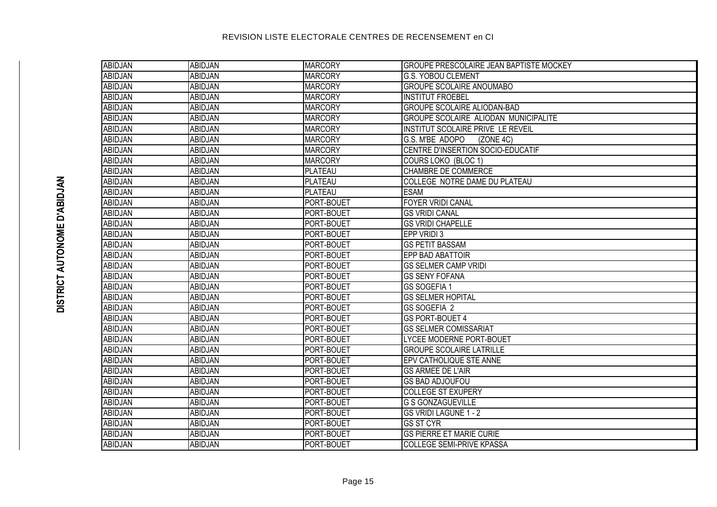| ABIDJAN        | <b>ABIDJAN</b> | <b>MARCORY</b>    | <b>GROUPE PRESCOLAIRE JEAN BAPTISTE MOCKEY</b> |
|----------------|----------------|-------------------|------------------------------------------------|
| <b>ABIDJAN</b> | <b>ABIDJAN</b> | <b>MARCORY</b>    | <b>G.S. YOBOU CLEMENT</b>                      |
| <b>ABIDJAN</b> | ABIDJAN        | <b>MARCORY</b>    | <b>GROUPE SCOLAIRE ANOUMABO</b>                |
| <b>ABIDJAN</b> | <b>ABIDJAN</b> | <b>MARCORY</b>    | <b>INSTITUT FROEBEL</b>                        |
| <b>ABIDJAN</b> | ABIDJAN        | <b>MARCORY</b>    | <b>GROUPE SCOLAIRE ALIODAN-BAD</b>             |
| <b>ABIDJAN</b> | <b>ABIDJAN</b> | <b>MARCORY</b>    | <b>GROUPE SCOLAIRE ALIODAN MUNICIPALITE</b>    |
| <b>ABIDJAN</b> | ABIDJAN        | <b>MARCORY</b>    | INSTITUT SCOLAIRE PRIVE LE REVEIL              |
| <b>ABIDJAN</b> | <b>ABIDJAN</b> | <b>MARCORY</b>    | G.S. M'BE ADOPO<br>(ZONE 4C)                   |
| <b>ABIDJAN</b> | <b>ABIDJAN</b> | <b>MARCORY</b>    | CENTRE D'INSERTION SOCIO-EDUCATIF              |
| <b>ABIDJAN</b> | <b>ABIDJAN</b> | <b>MARCORY</b>    | COURS LOKO (BLOC 1)                            |
| <b>ABIDJAN</b> | ABIDJAN        | <b>PLATEAU</b>    | CHAMBRE DE COMMERCE                            |
| <b>ABIDJAN</b> | <b>ABIDJAN</b> | <b>PLATEAU</b>    | COLLEGE NOTRE DAME DU PLATEAU                  |
| <b>ABIDJAN</b> | ABIDJAN        | <b>PLATEAU</b>    | <b>ESAM</b>                                    |
| <b>ABIDJAN</b> | <b>ABIDJAN</b> | PORT-BOUET        | <b>FOYER VRIDI CANAL</b>                       |
| <b>ABIDJAN</b> | ABIDJAN        | <b>PORT-BOUET</b> | <b>GS VRIDI CANAL</b>                          |
| <b>ABIDJAN</b> | ABIDJAN        | PORT-BOUET        | <b>GS VRIDI CHAPELLE</b>                       |
| <b>ABIDJAN</b> | ABIDJAN        | PORT-BOUET        | EPP VRIDI 3                                    |
| <b>ABIDJAN</b> | ABIDJAN        | PORT-BOUET        | <b>GS PETIT BASSAM</b>                         |
| <b>ABIDJAN</b> | ABIDJAN        | PORT-BOUET        | <b>EPP BAD ABATTOIR</b>                        |
| <b>ABIDJAN</b> | ABIDJAN        | PORT-BOUET        | <b>GS SELMER CAMP VRIDI</b>                    |
| <b>ABIDJAN</b> | ABIDJAN        | PORT-BOUET        | <b>GS SENY FOFANA</b>                          |
| <b>ABIDJAN</b> | ABIDJAN        | PORT-BOUET        | <b>GS SOGEFIA 1</b>                            |
| <b>ABIDJAN</b> | ABIDJAN        | PORT-BOUET        | <b>GS SELMER HOPITAL</b>                       |
| <b>ABIDJAN</b> | ABIDJAN        | PORT-BOUET        | GS SOGEFIA 2                                   |
| <b>ABIDJAN</b> | ABIDJAN        | PORT-BOUET        | <b>GS PORT-BOUET 4</b>                         |
| <b>ABIDJAN</b> | ABIDJAN        | PORT-BOUET        | <b>GS SELMER COMISSARIAT</b>                   |
| <b>ABIDJAN</b> | ABIDJAN        | PORT-BOUET        | LYCEE MODERNE PORT-BOUET                       |
| <b>ABIDJAN</b> | <b>ABIDJAN</b> | PORT-BOUET        | <b>GROUPE SCOLAIRE LATRILLE</b>                |
| <b>ABIDJAN</b> | ABIDJAN        | PORT-BOUET        | EPV CATHOLIQUE STE ANNE                        |
| <b>ABIDJAN</b> | ABIDJAN        | PORT-BOUET        | <b>GS ARMEE DE L'AIR</b>                       |
| <b>ABIDJAN</b> | ABIDJAN        | PORT-BOUET        | <b>GS BAD ADJOUFOU</b>                         |
| <b>ABIDJAN</b> | ABIDJAN        | PORT-BOUET        | <b>COLLEGE ST EXUPERY</b>                      |
| <b>ABIDJAN</b> | ABIDJAN        | PORT-BOUET        | <b>G S GONZAGUEVILLE</b>                       |
| <b>ABIDJAN</b> | ABIDJAN        | PORT-BOUET        | <b>GS VRIDI LAGUNE 1 - 2</b>                   |
| <b>ABIDJAN</b> | ABIDJAN        | PORT-BOUET        | <b>GS ST CYR</b>                               |
| <b>ABIDJAN</b> | ABIDJAN        | PORT-BOUET        | <b>GS PIERRE ET MARIE CURIE</b>                |
| ABIDJAN        | ABIDJAN        | <b>PORT-BOUET</b> | <b>COLLEGE SEMI-PRIVE KPASSA</b>               |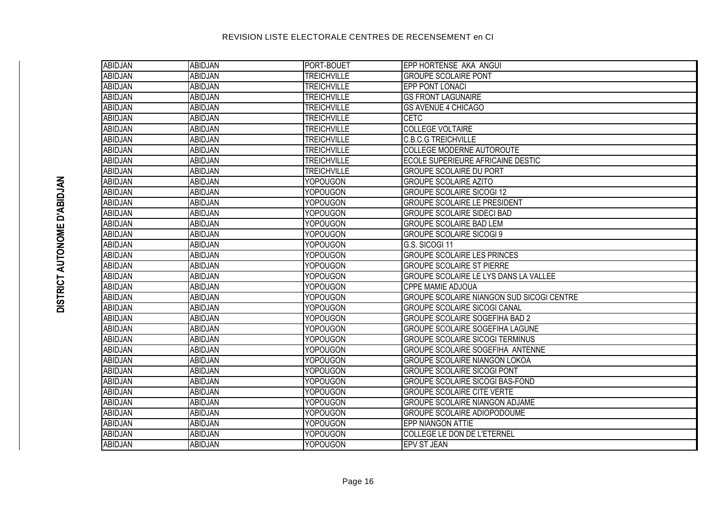| ABIDJAN        | <b>ABIDJAN</b> | PORT-BOUET         | EPP HORTENSE AKA ANGUI                           |
|----------------|----------------|--------------------|--------------------------------------------------|
| <b>ABIDJAN</b> | <b>ABIDJAN</b> | <b>TREICHVILLE</b> | <b>GROUPE SCOLAIRE PONT</b>                      |
| ABIDJAN        | <b>ABIDJAN</b> | <b>TREICHVILLE</b> | <b>EPP PONT LONACI</b>                           |
| <b>ABIDJAN</b> | <b>ABIDJAN</b> | <b>TREICHVILLE</b> | <b>GS FRONT LAGUNAIRE</b>                        |
| <b>ABIDJAN</b> | <b>ABIDJAN</b> | <b>TREICHVILLE</b> | <b>GS AVENUE 4 CHICAGO</b>                       |
| <b>ABIDJAN</b> | <b>ABIDJAN</b> | <b>TREICHVILLE</b> | <b>CETC</b>                                      |
| <b>ABIDJAN</b> | <b>ABIDJAN</b> | <b>TREICHVILLE</b> | <b>COLLEGE VOLTAIRE</b>                          |
| ABIDJAN        | ABIDJAN        | <b>TREICHVILLE</b> | <b>C.B.C.G TREICHVILLE</b>                       |
| <b>ABIDJAN</b> | <b>ABIDJAN</b> | <b>TREICHVILLE</b> | <b>COLLEGE MODERNE AUTOROUTE</b>                 |
| <b>ABIDJAN</b> | ABIDJAN        | <b>TREICHVILLE</b> | ECOLE SUPERIEURE AFRICAINE DESTIC                |
| <b>ABIDJAN</b> | <b>ABIDJAN</b> | <b>TREICHVILLE</b> | <b>GROUPE SCOLAIRE DU PORT</b>                   |
| <b>ABIDJAN</b> | <b>ABIDJAN</b> | <b>YOPOUGON</b>    | <b>GROUPE SCOLAIRE AZITO</b>                     |
| <b>ABIDJAN</b> | <b>ABIDJAN</b> | <b>YOPOUGON</b>    | <b>GROUPE SCOLAIRE SICOGI 12</b>                 |
| <b>ABIDJAN</b> | ABIDJAN        | <b>YOPOUGON</b>    | <b>GROUPE SCOLAIRE LE PRESIDENT</b>              |
| ABIDJAN        | ABIDJAN        | <b>YOPOUGON</b>    | <b>GROUPE SCOLAIRE SIDECI BAD</b>                |
| ABIDJAN        | <b>ABIDJAN</b> | <b>YOPOUGON</b>    | <b>GROUPE SCOLAIRE BAD LEM</b>                   |
| ABIDJAN        | <b>ABIDJAN</b> | <b>YOPOUGON</b>    | <b>GROUPE SCOLAIRE SICOGI 9</b>                  |
| ABIDJAN        | ABIDJAN        | <b>YOPOUGON</b>    | G.S. SICOGI 11                                   |
| ABIDJAN        | <b>ABIDJAN</b> | <b>YOPOUGON</b>    | <b>GROUPE SCOLAIRE LES PRINCES</b>               |
| ABIDJAN        | ABIDJAN        | <b>YOPOUGON</b>    | <b>GROUPE SCOLAIRE ST PIERRE</b>                 |
| ABIDJAN        | ABIDJAN        | <b>YOPOUGON</b>    | GROUPE SCOLAIRE LE LYS DANS LA VALLEE            |
| <b>ABIDJAN</b> | <b>ABIDJAN</b> | <b>YOPOUGON</b>    | CPPE MAMIE ADJOUA                                |
| <b>ABIDJAN</b> | ABIDJAN        | <b>YOPOUGON</b>    | <b>GROUPE SCOLAIRE NIANGON SUD SICOGI CENTRE</b> |
| <b>ABIDJAN</b> | <b>ABIDJAN</b> | <b>YOPOUGON</b>    | <b>GROUPE SCOLAIRE SICOGI CANAL</b>              |
| ABIDJAN        | <b>ABIDJAN</b> | <b>YOPOUGON</b>    | GROUPE SCOLAIRE SOGEFIHA BAD 2                   |
| <b>ABIDJAN</b> | <b>ABIDJAN</b> | <b>YOPOUGON</b>    | <b>GROUPE SCOLAIRE SOGEFIHA LAGUNE</b>           |
| <b>ABIDJAN</b> | ABIDJAN        | <b>YOPOUGON</b>    | <b>GROUPE SCOLAIRE SICOGI TERMINUS</b>           |
| <b>ABIDJAN</b> | <b>ABIDJAN</b> | <b>YOPOUGON</b>    | GROUPE SCOLAIRE SOGEFIHA ANTENNE                 |
| ABIDJAN        | ABIDJAN        | <b>YOPOUGON</b>    | GROUPE SCOLAIRE NIANGON LOKOA                    |
| <b>ABIDJAN</b> | ABIDJAN        | <b>YOPOUGON</b>    | <b>GROUPE SCOLAIRE SICOGI PONT</b>               |
| ABIDJAN        | ABIDJAN        | <b>YOPOUGON</b>    | <b>GROUPE SCOLAIRE SICOGI BAS-FOND</b>           |
| <b>ABIDJAN</b> | ABIDJAN        | <b>YOPOUGON</b>    | <b>GROUPE SCOLAIRE CITE VERTE</b>                |
| <b>ABIDJAN</b> | ABIDJAN        | <b>YOPOUGON</b>    | GROUPE SCOLAIRE NIANGON ADJAME                   |
| ABIDJAN        | ABIDJAN        | <b>YOPOUGON</b>    | GROUPE SCOLAIRE ADIOPODOUME                      |
| ABIDJAN        | <b>ABIDJAN</b> | <b>YOPOUGON</b>    | EPP NIANGON ATTIE                                |
| ABIDJAN        | ABIDJAN        | <b>YOPOUGON</b>    | COLLEGE LE DON DE L'ETERNEL                      |
| ABIDJAN        | <b>ABIDJAN</b> | <b>YOPOUGON</b>    | EPV ST JEAN                                      |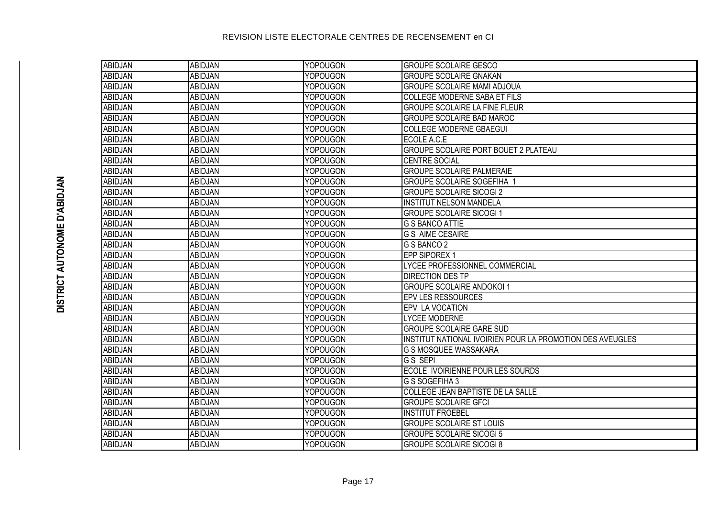| ABIDJAN        | <b>ABIDJAN</b> | <b>YOPOUGON</b> | <b>GROUPE SCOLAIRE GESCO</b>                              |
|----------------|----------------|-----------------|-----------------------------------------------------------|
| <b>ABIDJAN</b> | <b>ABIDJAN</b> | <b>YOPOUGON</b> | <b>GROUPE SCOLAIRE GNAKAN</b>                             |
| <b>ABIDJAN</b> | ABIDJAN        | <b>YOPOUGON</b> | <b>GROUPE SCOLAIRE MAMI ADJOUA</b>                        |
| ABIDJAN        | ABIDJAN        | <b>YOPOUGON</b> | COLLEGE MODERNE SABA ET FILS                              |
| <b>ABIDJAN</b> | <b>ABIDJAN</b> | <b>YOPOUGON</b> | <b>GROUPE SCOLAIRE LA FINE FLEUR</b>                      |
| <b>ABIDJAN</b> | ABIDJAN        | <b>YOPOUGON</b> | <b>GROUPE SCOLAIRE BAD MAROC</b>                          |
| ABIDJAN        | ABIDJAN        | <b>YOPOUGON</b> | <b>COLLEGE MODERNE GBAEGUI</b>                            |
| <b>ABIDJAN</b> | <b>ABIDJAN</b> | <b>YOPOUGON</b> | ECOLE A.C.E                                               |
| <b>ABIDJAN</b> | ABIDJAN        | <b>YOPOUGON</b> | GROUPE SCOLAIRE PORT BOUET 2 PLATEAU                      |
| <b>ABIDJAN</b> | <b>ABIDJAN</b> | <b>YOPOUGON</b> | <b>CENTRE SOCIAL</b>                                      |
| <b>ABIDJAN</b> | ABIDJAN        | YOPOUGON        | <b>GROUPE SCOLAIRE PALMERAIE</b>                          |
| <b>ABIDJAN</b> | ABIDJAN        | <b>YOPOUGON</b> | <b>GROUPE SCOLAIRE SOGEFIHA 1</b>                         |
| <b>ABIDJAN</b> | ABIDJAN        | <b>YOPOUGON</b> | <b>GROUPE SCOLAIRE SICOGI 2</b>                           |
| <b>ABIDJAN</b> | ABIDJAN        | <b>YOPOUGON</b> | <b>INSTITUT NELSON MANDELA</b>                            |
| ABIDJAN        | ABIDJAN        | <b>YOPOUGON</b> | <b>GROUPE SCOLAIRE SICOGI 1</b>                           |
| ABIDJAN        | ABIDJAN        | <b>YOPOUGON</b> | <b>G S BANCO ATTIE</b>                                    |
| ABIDJAN        | <b>ABIDJAN</b> | <b>YOPOUGON</b> | <b>G S AIME CESAIRE</b>                                   |
| ABIDJAN        | ABIDJAN        | <b>YOPOUGON</b> | G S BANCO 2                                               |
| <b>ABIDJAN</b> | ABIDJAN        | <b>YOPOUGON</b> | EPP SIPOREX 1                                             |
| <b>ABIDJAN</b> | ABIDJAN        | <b>YOPOUGON</b> | LYCEE PROFESSIONNEL COMMERCIAL                            |
| ABIDJAN        | ABIDJAN        | <b>YOPOUGON</b> | <b>DIRECTION DES TP</b>                                   |
| ABIDJAN        | ABIDJAN        | YOPOUGON        | <b>GROUPE SCOLAIRE ANDOKOI 1</b>                          |
| ABIDJAN        | ABIDJAN        | <b>YOPOUGON</b> | <b>EPV LES RESSOURCES</b>                                 |
| ABIDJAN        | ABIDJAN        | <b>YOPOUGON</b> | EPV LA VOCATION                                           |
| ABIDJAN        | ABIDJAN        | YOPOUGON        | <b>LYCEE MODERNE</b>                                      |
| ABIDJAN        | ABIDJAN        | <b>YOPOUGON</b> | <b>GROUPE SCOLAIRE GARE SUD</b>                           |
| ABIDJAN        | <b>ABIDJAN</b> | <b>YOPOUGON</b> | INSTITUT NATIONAL IVOIRIEN POUR LA PROMOTION DES AVEUGLES |
| ABIDJAN        | ABIDJAN        | <b>YOPOUGON</b> | G S MOSQUEE WASSAKARA                                     |
| ABIDJAN        | ABIDJAN        | <b>YOPOUGON</b> | G S SEPI                                                  |
| <b>ABIDJAN</b> | ABIDJAN        | <b>YOPOUGON</b> | ECOLE IVOIRIENNE POUR LES SOURDS                          |
| ABIDJAN        | ABIDJAN        | <b>YOPOUGON</b> | G S SOGEFIHA 3                                            |
| ABIDJAN        | ABIDJAN        | <b>YOPOUGON</b> | COLLEGE JEAN BAPTISTE DE LA SALLE                         |
| <b>ABIDJAN</b> | ABIDJAN        | <b>YOPOUGON</b> | <b>GROUPE SCOLAIRE GFCI</b>                               |
| <b>ABIDJAN</b> | ABIDJAN        | <b>YOPOUGON</b> | <b>INSTITUT FROEBEL</b>                                   |
| ABIDJAN        | ABIDJAN        | <b>YOPOUGON</b> | <b>GROUPE SCOLAIRE ST LOUIS</b>                           |
| <b>ABIDJAN</b> | ABIDJAN        | <b>YOPOUGON</b> | <b>GROUPE SCOLAIRE SICOGI 5</b>                           |
| ABIDJAN        | ABIDJAN        | <b>YOPOUGON</b> | <b>GROUPE SCOLAIRE SICOGI 8</b>                           |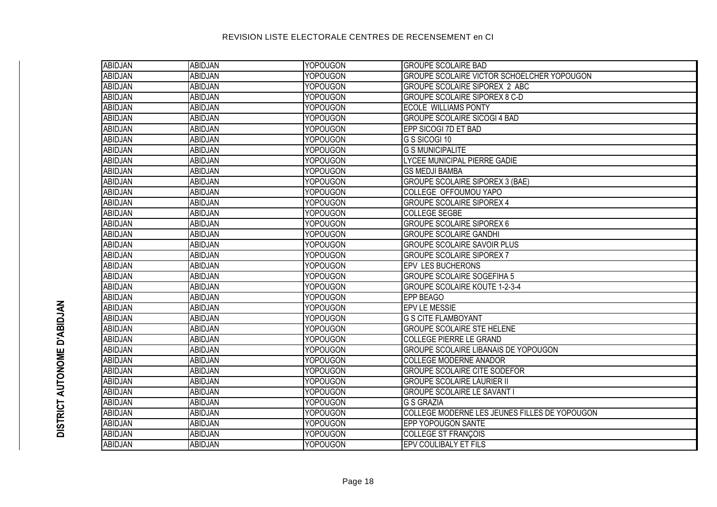| <b>ABIDJAN</b> | ABIDJAN        | <b>YOPOUGON</b> | <b>GROUPE SCOLAIRE BAD</b>                    |
|----------------|----------------|-----------------|-----------------------------------------------|
| <b>ABIDJAN</b> | <b>ABIDJAN</b> | <b>YOPOUGON</b> | GROUPE SCOLAIRE VICTOR SCHOELCHER YOPOUGON    |
| ABIDJAN        | <b>ABIDJAN</b> | <b>YOPOUGON</b> | <b>GROUPE SCOLAIRE SIPOREX 2 ABC</b>          |
| <b>ABIDJAN</b> | <b>ABIDJAN</b> | <b>YOPOUGON</b> | <b>GROUPE SCOLAIRE SIPOREX 8 C-D</b>          |
| <b>ABIDJAN</b> | <b>ABIDJAN</b> | <b>YOPOUGON</b> | <b>ECOLE WILLIAMS PONTY</b>                   |
| <b>ABIDJAN</b> | <b>ABIDJAN</b> | <b>YOPOUGON</b> | <b>GROUPE SCOLAIRE SICOGI 4 BAD</b>           |
| ABIDJAN        | <b>ABIDJAN</b> | YOPOUGON        | EPP SICOGI 7D ET BAD                          |
| ABIDJAN        | ABIDJAN        | <b>YOPOUGON</b> | G S SICOGI 10                                 |
| ABIDJAN        | ABIDJAN        | <b>YOPOUGON</b> | <b>G S MUNICIPALITE</b>                       |
| ABIDJAN        | <b>ABIDJAN</b> | YOPOUGON        | <b>LYCEE MUNICIPAL PIERRE GADIE</b>           |
| ABIDJAN        | ABIDJAN        | YOPOUGON        | <b>GS MEDJI BAMBA</b>                         |
| <b>ABIDJAN</b> | <b>ABIDJAN</b> | <b>YOPOUGON</b> | <b>GROUPE SCOLAIRE SIPOREX 3 (BAE)</b>        |
| <b>ABIDJAN</b> | <b>ABIDJAN</b> | <b>YOPOUGON</b> | COLLEGE OFFOUMOU YAPO                         |
| <b>ABIDJAN</b> | ABIDJAN        | YOPOUGON        | <b>GROUPE SCOLAIRE SIPOREX 4</b>              |
| ABIDJAN        | <b>ABIDJAN</b> | <b>YOPOUGON</b> | <b>COLLEGE SEGBE</b>                          |
| ABIDJAN        | <b>ABIDJAN</b> | <b>YOPOUGON</b> | <b>GROUPE SCOLAIRE SIPOREX 6</b>              |
| ABIDJAN        | <b>ABIDJAN</b> | YOPOUGON        | <b>GROUPE SCOLAIRE GANDHI</b>                 |
| ABIDJAN        | <b>ABIDJAN</b> | <b>YOPOUGON</b> | <b>GROUPE SCOLAIRE SAVOIR PLUS</b>            |
| ABIDJAN        | <b>ABIDJAN</b> | <b>YOPOUGON</b> | <b>GROUPE SCOLAIRE SIPOREX 7</b>              |
| ABIDJAN        | <b>ABIDJAN</b> | <b>YOPOUGON</b> | <b>EPV LES BUCHERONS</b>                      |
| ABIDJAN        | <b>ABIDJAN</b> | <b>YOPOUGON</b> | <b>GROUPE SCOLAIRE SOGEFIHA 5</b>             |
| ABIDJAN        | <b>ABIDJAN</b> | <b>YOPOUGON</b> | <b>GROUPE SCOLAIRE KOUTE 1-2-3-4</b>          |
| ABIDJAN        | <b>ABIDJAN</b> | <b>YOPOUGON</b> | <b>EPP BEAGO</b>                              |
| ABIDJAN        | ABIDJAN        | <b>YOPOUGON</b> | EPV LE MESSIE                                 |
| ABIDJAN        | <b>ABIDJAN</b> | <b>YOPOUGON</b> | <b>G S CITE FLAMBOYANT</b>                    |
| ABIDJAN        | ABIDJAN        | <b>YOPOUGON</b> | <b>GROUPE SCOLAIRE STE HELENE</b>             |
| ABIDJAN        | <b>ABIDJAN</b> | <b>YOPOUGON</b> | <b>COLLEGE PIERRE LE GRAND</b>                |
| <b>ABIDJAN</b> | ABIDJAN        | <b>YOPOUGON</b> | GROUPE SCOLAIRE LIBANAIS DE YOPOUGON          |
| <b>ABIDJAN</b> | ABIDJAN        | <b>YOPOUGON</b> | COLLEGE MODERNE ANADOR                        |
| ABIDJAN        | ABIDJAN        | <b>YOPOUGON</b> | <b>GROUPE SCOLAIRE CITE SODEFOR</b>           |
| ABIDJAN        | ABIDJAN        | <b>YOPOUGON</b> | <b>GROUPE SCOLAIRE LAURIER II</b>             |
| <b>ABIDJAN</b> | <b>ABIDJAN</b> | <b>YOPOUGON</b> | <b>GROUPE SCOLAIRE LE SAVANT</b>              |
| ABIDJAN        | <b>ABIDJAN</b> | <b>YOPOUGON</b> | <b>G S GRAZIA</b>                             |
| ABIDJAN        | <b>ABIDJAN</b> | <b>YOPOUGON</b> | COLLEGE MODERNE LES JEUNES FILLES DE YOPOUGON |
| ABIDJAN        | <b>ABIDJAN</b> | <b>YOPOUGON</b> | <b>EPP YOPOUGON SANTE</b>                     |
| ABIDJAN        | <b>ABIDJAN</b> | <b>YOPOUGON</b> | COLLEGE ST FRANÇOIS                           |
| <b>ABIDJAN</b> | <b>ABIDJAN</b> | <b>YOPOUGON</b> | <b>EPV COULIBALY ET FILS</b>                  |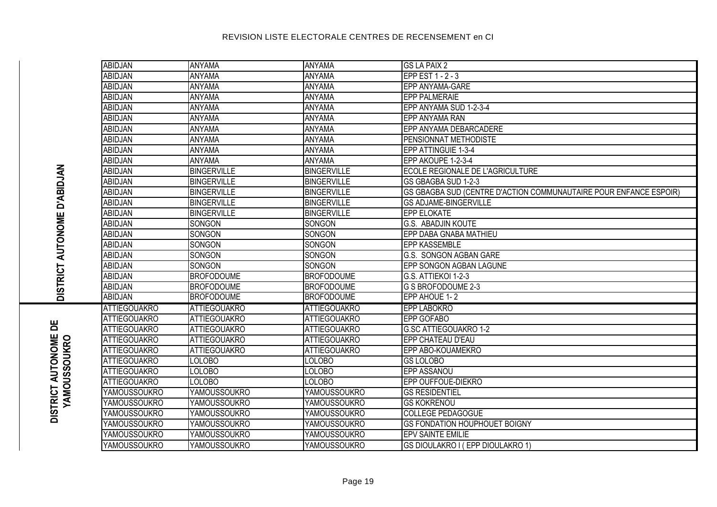| <b>ABIDJAN</b>      | <b>ANYAMA</b>       | <b>ANYAMA</b>       | <b>GS LA PAIX 2</b>                                               |
|---------------------|---------------------|---------------------|-------------------------------------------------------------------|
| <b>ABIDJAN</b>      | <b>ANYAMA</b>       | <b>ANYAMA</b>       | EPP EST 1 - 2 - 3                                                 |
| <b>ABIDJAN</b>      | <b>ANYAMA</b>       | <b>ANYAMA</b>       | EPP ANYAMA-GARE                                                   |
| ABIDJAN             | ANYAMA              | <b>ANYAMA</b>       | <b>EPP PALMERAIE</b>                                              |
| <b>ABIDJAN</b>      | <b>ANYAMA</b>       | <b>ANYAMA</b>       | EPP ANYAMA SUD 1-2-3-4                                            |
| <b>ABIDJAN</b>      | ANYAMA              | <b>ANYAMA</b>       | EPP ANYAMA RAN                                                    |
| <b>ABIDJAN</b>      | ANYAMA              | <b>ANYAMA</b>       | EPP ANYAMA DEBARCADERE                                            |
| <b>ABIDJAN</b>      | ANYAMA              | <b>ANYAMA</b>       | PENSIONNAT METHODISTE                                             |
| <b>ABIDJAN</b>      | ANYAMA              | <b>ANYAMA</b>       | EPP ATTINGUIE 1-3-4                                               |
| <b>ABIDJAN</b>      | ANYAMA              | ANYAMA              | EPP AKOUPE 1-2-3-4                                                |
| <b>ABIDJAN</b>      | <b>BINGERVILLE</b>  | <b>BINGERVILLE</b>  | ECOLE REGIONALE DE L'AGRICULTURE                                  |
| <b>ABIDJAN</b>      | <b>BINGERVILLE</b>  | <b>BINGERVILLE</b>  | GS GBAGBA SUD 1-2-3                                               |
| <b>ABIDJAN</b>      | <b>BINGERVILLE</b>  | <b>BINGERVILLE</b>  | GS GBAGBA SUD (CENTRE D'ACTION COMMUNAUTAIRE POUR ENFANCE ESPOIR) |
| <b>ABIDJAN</b>      | <b>BINGERVILLE</b>  | <b>BINGERVILLE</b>  | <b>GS ADJAME-BINGERVILLE</b>                                      |
| <b>ABIDJAN</b>      | <b>BINGERVILLE</b>  | <b>BINGERVILLE</b>  | <b>EPP ELOKATE</b>                                                |
| <b>ABIDJAN</b>      | SONGON              | SONGON              | <b>G.S. ABADJIN KOUTE</b>                                         |
| <b>ABIDJAN</b>      | SONGON              | SONGON              | EPP DABA GNABA MATHIEU                                            |
| ABIDJAN             | SONGON              | SONGON              | <b>EPP KASSEMBLE</b>                                              |
| <b>ABIDJAN</b>      | SONGON              | SONGON              | G.S. SONGON AGBAN GARE                                            |
| <b>ABIDJAN</b>      | SONGON              | SONGON              | EPP SONGON AGBAN LAGUNE                                           |
| ABIDJAN             | <b>BROFODOUME</b>   | <b>BROFODOUME</b>   | G.S. ATTIEKOI 1-2-3                                               |
| <b>ABIDJAN</b>      | <b>BROFODOUME</b>   | <b>BROFODOUME</b>   | G S BROFODOUME 2-3                                                |
| <b>ABIDJAN</b>      | <b>BROFODOUME</b>   | <b>BROFODOUME</b>   | EPP AHOUE 1-2                                                     |
| <b>ATTIEGOUAKRO</b> | <b>ATTIEGOUAKRO</b> | <b>ATTIEGOUAKRO</b> | <b>EPP LABOKRO</b>                                                |
| <b>ATTIEGOUAKRO</b> | <b>ATTIEGOUAKRO</b> | <b>ATTIEGOUAKRO</b> | <b>EPP GOFABO</b>                                                 |
| <b>ATTIEGOUAKRO</b> | <b>ATTIEGOUAKRO</b> | <b>ATTIEGOUAKRO</b> | G.SC ATTIEGOUAKRO 1-2                                             |
| <b>ATTIEGOUAKRO</b> | <b>ATTIEGOUAKRO</b> | <b>ATTIEGOUAKRO</b> | EPP CHATEAU D'EAU                                                 |
| <b>ATTIEGOUAKRO</b> | <b>ATTIEGOUAKRO</b> | <b>ATTIEGOUAKRO</b> | EPP ABO-KOUAMEKRO                                                 |
| <b>ATTIEGOUAKRO</b> | <b>LOLOBO</b>       | <b>LOLOBO</b>       | <b>GS LOLOBO</b>                                                  |
| <b>ATTIEGOUAKRO</b> | <b>LOLOBO</b>       | <b>LOLOBO</b>       | EPP ASSANOU                                                       |
| <b>ATTIEGOUAKRO</b> | <b>LOLOBO</b>       | LOLOBO              | EPP OUFFOUE-DIEKRO                                                |
| YAMOUSSOUKRO        | <b>YAMOUSSOUKRO</b> | <b>YAMOUSSOUKRO</b> | <b>GS RESIDENTIEL</b>                                             |
| YAMOUSSOUKRO        | <b>YAMOUSSOUKRO</b> | <b>YAMOUSSOUKRO</b> | <b>GS KOKRENOU</b>                                                |
| YAMOUSSOUKRO        | <b>YAMOUSSOUKRO</b> | <b>YAMOUSSOUKRO</b> | <b>COLLEGE PEDAGOGUE</b>                                          |
| YAMOUSSOUKRO        | <b>YAMOUSSOUKRO</b> | <b>YAMOUSSOUKRO</b> | <b>GS FONDATION HOUPHOUET BOIGNY</b>                              |
| YAMOUSSOUKRO        | <b>YAMOUSSOUKRO</b> | <b>YAMOUSSOUKRO</b> | EPV SAINTE EMILIE                                                 |
| YAMOUSSOUKRO        | <b>YAMOUSSOUKRO</b> | <b>YAMOUSSOUKRO</b> | GS DIOULAKRO I (EPP DIOULAKRO 1)                                  |

**DISTRICT AUTONOME D'ABIDJAN**

DISTRICT AUTONOME D'ABIDJAN

**DISTRICT AUTONOME DE YAMOUSSOUKRO**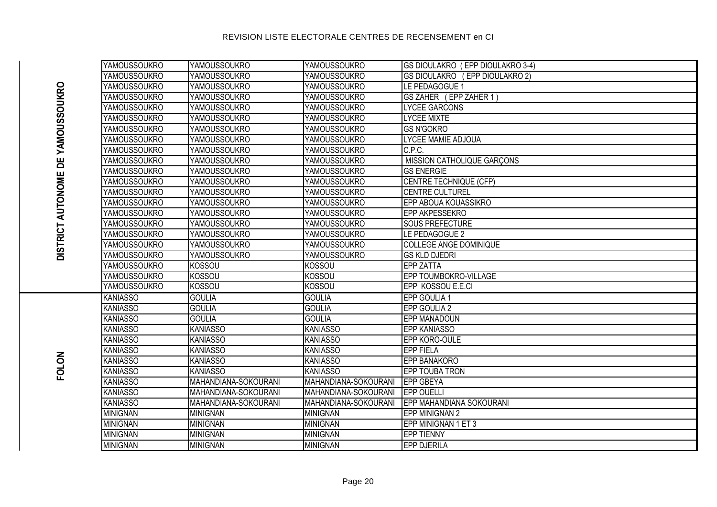**DISTRICT AUTONOME DE YAMOUSSOUKRO**

DISTRICT AUTONOME DE YAMOUSSOUKRO

**FOLON**

| <b>YAMOUSSOUKRO</b> | YAMOUSSOUKRO         | <b>YAMOUSSOUKRO</b>  | GS DIOULAKRO (EPP DIOULAKRO 3-4) |
|---------------------|----------------------|----------------------|----------------------------------|
| <b>YAMOUSSOUKRO</b> | <b>YAMOUSSOUKRO</b>  | <b>YAMOUSSOUKRO</b>  | GS DIOULAKRO (EPP DIOULAKRO 2)   |
| <b>YAMOUSSOUKRO</b> | <b>YAMOUSSOUKRO</b>  | <b>YAMOUSSOUKRO</b>  | LE PEDAGOGUE 1                   |
| <b>YAMOUSSOUKRO</b> | <b>YAMOUSSOUKRO</b>  | <b>YAMOUSSOUKRO</b>  | GS ZAHER (EPP ZAHER 1)           |
| <b>YAMOUSSOUKRO</b> | <b>YAMOUSSOUKRO</b>  | <b>YAMOUSSOUKRO</b>  | <b>LYCEE GARCONS</b>             |
| <b>YAMOUSSOUKRO</b> | <b>YAMOUSSOUKRO</b>  | <b>YAMOUSSOUKRO</b>  | <b>LYCEE MIXTE</b>               |
| <b>YAMOUSSOUKRO</b> | <b>YAMOUSSOUKRO</b>  | <b>YAMOUSSOUKRO</b>  | <b>GS N'GOKRO</b>                |
| <b>YAMOUSSOUKRO</b> | <b>YAMOUSSOUKRO</b>  | <b>YAMOUSSOUKRO</b>  | LYCEE MAMIE ADJOUA               |
| <b>YAMOUSSOUKRO</b> | <b>YAMOUSSOUKRO</b>  | <b>YAMOUSSOUKRO</b>  | C.P.C.                           |
| <b>YAMOUSSOUKRO</b> | <b>YAMOUSSOUKRO</b>  | <b>YAMOUSSOUKRO</b>  | MISSION CATHOLIQUE GARÇONS       |
| <b>YAMOUSSOUKRO</b> | <b>YAMOUSSOUKRO</b>  | <b>YAMOUSSOUKRO</b>  | <b>GS ENERGIE</b>                |
| <b>YAMOUSSOUKRO</b> | <b>YAMOUSSOUKRO</b>  | <b>YAMOUSSOUKRO</b>  | <b>CENTRE TECHNIQUE (CFP)</b>    |
| <b>YAMOUSSOUKRO</b> | <b>YAMOUSSOUKRO</b>  | <b>YAMOUSSOUKRO</b>  | CENTRE CULTUREL                  |
| <b>YAMOUSSOUKRO</b> | <b>YAMOUSSOUKRO</b>  | <b>YAMOUSSOUKRO</b>  | EPP ABOUA KOUASSIKRO             |
| <b>YAMOUSSOUKRO</b> | <b>YAMOUSSOUKRO</b>  | <b>YAMOUSSOUKRO</b>  | EPP AKPESSEKRO                   |
| <b>YAMOUSSOUKRO</b> | <b>YAMOUSSOUKRO</b>  | <b>YAMOUSSOUKRO</b>  | <b>SOUS PREFECTURE</b>           |
| <b>YAMOUSSOUKRO</b> | <b>YAMOUSSOUKRO</b>  | <b>YAMOUSSOUKRO</b>  | LE PEDAGOGUE 2                   |
| <b>YAMOUSSOUKRO</b> | <b>YAMOUSSOUKRO</b>  | <b>YAMOUSSOUKRO</b>  | COLLEGE ANGE DOMINIQUE           |
| <b>YAMOUSSOUKRO</b> | <b>YAMOUSSOUKRO</b>  | <b>YAMOUSSOUKRO</b>  | <b>GS KLD DJEDRI</b>             |
| <b>YAMOUSSOUKRO</b> | <b>KOSSOU</b>        | <b>KOSSOU</b>        | <b>EPP ZATTA</b>                 |
| <b>YAMOUSSOUKRO</b> | <b>KOSSOU</b>        | <b>KOSSOU</b>        | EPP TOUMBOKRO-VILLAGE            |
| <b>YAMOUSSOUKRO</b> | <b>KOSSOU</b>        | <b>KOSSOU</b>        | EPP KOSSOU E.E.CI                |
| <b>KANIASSO</b>     | <b>GOULIA</b>        | <b>GOULIA</b>        | EPP GOULIA 1                     |
| <b>KANIASSO</b>     | <b>GOULIA</b>        | <b>GOULIA</b>        | EPP GOULIA 2                     |
| <b>KANIASSO</b>     | <b>GOULIA</b>        | <b>GOULIA</b>        | <b>EPP MANADOUN</b>              |
| <b>KANIASSO</b>     | <b>KANIASSO</b>      | <b>KANIASSO</b>      | <b>EPP KANIASSO</b>              |
| <b>KANIASSO</b>     | <b>KANIASSO</b>      | <b>KANIASSO</b>      | EPP KORO-OULE                    |
| <b>KANIASSO</b>     | <b>KANIASSO</b>      | <b>KANIASSO</b>      | <b>EPP FIELA</b>                 |
| <b>KANIASSO</b>     | <b>KANIASSO</b>      | <b>KANIASSO</b>      | <b>EPP BANAKORO</b>              |
| <b>KANIASSO</b>     | <b>KANIASSO</b>      | <b>KANIASSO</b>      | <b>EPP TOUBA TRON</b>            |
| <b>KANIASSO</b>     | MAHANDIANA-SOKOURANI | MAHANDIANA-SOKOURANI | <b>EPP GBEYA</b>                 |
| <b>KANIASSO</b>     | MAHANDIANA-SOKOURANI | MAHANDIANA-SOKOURANI | <b>EPP OUELLI</b>                |
| <b>KANIASSO</b>     | MAHANDIANA-SOKOURANI | MAHANDIANA-SOKOURANI | EPP MAHANDIANA SOKOURANI         |
| <b>MINIGNAN</b>     | <b>MINIGNAN</b>      | <b>MINIGNAN</b>      | <b>EPP MINIGNAN 2</b>            |
| <b>MINIGNAN</b>     | <b>MINIGNAN</b>      | <b>MINIGNAN</b>      | EPP MINIGNAN 1 ET 3              |
| <b>MINIGNAN</b>     | <b>MINIGNAN</b>      | <b>MINIGNAN</b>      | <b>EPP TIENNY</b>                |
| <b>I</b> MINIGNAN   | <b>MINIGNAN</b>      | <b>MINIGNAN</b>      | <b>EPP DJERILA</b>               |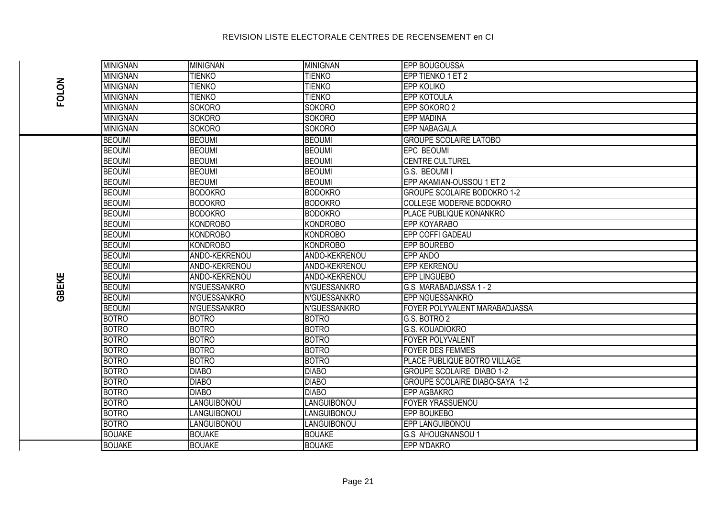|              | <b>MINIGNAN</b> | <b>MINIGNAN</b>    | <b>MINIGNAN</b>    | <b>EPP BOUGOUSSA</b>               |
|--------------|-----------------|--------------------|--------------------|------------------------------------|
| <b>FOLON</b> | <b>MINIGNAN</b> | <b>TIENKO</b>      | <b>TIENKO</b>      | EPP TIENKO 1 ET 2                  |
|              | <b>MINIGNAN</b> | <b>TIENKO</b>      | <b>TIENKO</b>      | <b>EPP KOLIKO</b>                  |
|              | <b>MINIGNAN</b> | <b>TIENKO</b>      | <b>TIENKO</b>      | <b>EPP KOTOULA</b>                 |
|              | <b>MINIGNAN</b> | <b>SOKORO</b>      | <b>SOKORO</b>      | EPP SOKORO 2                       |
|              | <b>MINIGNAN</b> | <b>SOKORO</b>      | <b>SOKORO</b>      | <b>EPP MADINA</b>                  |
|              | <b>MINIGNAN</b> | <b>SOKORO</b>      | <b>SOKORO</b>      | <b>EPP NABAGALA</b>                |
|              | <b>BEOUMI</b>   | <b>BEOUMI</b>      | <b>BEOUMI</b>      | <b>GROUPE SCOLAIRE LATOBO</b>      |
|              | <b>BEOUMI</b>   | <b>BEOUMI</b>      | <b>BEOUMI</b>      | <b>EPC BEOUMI</b>                  |
|              | <b>BEOUMI</b>   | <b>BEOUMI</b>      | <b>BEOUMI</b>      | <b>CENTRE CULTUREL</b>             |
|              | <b>BEOUMI</b>   | <b>BEOUMI</b>      | <b>BEOUMI</b>      | G.S. BEOUMI I                      |
|              | <b>BEOUMI</b>   | <b>BEOUMI</b>      | <b>BEOUMI</b>      | EPP AKAMIAN-OUSSOU 1 ET 2          |
|              | <b>BEOUMI</b>   | <b>BODOKRO</b>     | <b>BODOKRO</b>     | <b>GROUPE SCOLAIRE BODOKRO 1-2</b> |
|              | <b>BEOUMI</b>   | <b>BODOKRO</b>     | <b>BODOKRO</b>     | <b>COLLEGE MODERNE BODOKRO</b>     |
|              | <b>BEOUMI</b>   | <b>BODOKRO</b>     | <b>BODOKRO</b>     | PLACE PUBLIQUE KONANKRO            |
|              | <b>BEOUMI</b>   | <b>KONDROBO</b>    | <b>KONDROBO</b>    | EPP KOYARABO                       |
|              | <b>BEOUMI</b>   | <b>KONDROBO</b>    | KONDROBO           | EPP COFFI GADEAU                   |
|              | <b>BEOUMI</b>   | <b>KONDROBO</b>    | KONDROBO           | EPP BOUREBO                        |
|              | <b>BEOUMI</b>   | ANDO-KEKRENOU      | ANDO-KEKRENOU      | <b>EPP ANDO</b>                    |
|              | <b>BEOUMI</b>   | ANDO-KEKRENOU      | ANDO-KEKRENOU      | <b>EPP KEKRENOU</b>                |
| GBEKE        | <b>BEOUMI</b>   | ANDO-KEKRENOU      | ANDO-KEKRENOU      | <b>EPP LINGUEBO</b>                |
|              | <b>BEOUMI</b>   | N'GUESSANKRO       | N'GUESSANKRO       | G.S MARABADJASSA 1 - 2             |
|              | <b>BEOUMI</b>   | N'GUESSANKRO       | N'GUESSANKRO       | EPP NGUESSANKRO                    |
|              | <b>BEOUMI</b>   | N'GUESSANKRO       | N'GUESSANKRO       | FOYER POLYVALENT MARABADJASSA      |
|              | <b>BOTRO</b>    | <b>BOTRO</b>       | <b>BOTRO</b>       | G.S. BOTRO 2                       |
|              | <b>BOTRO</b>    | <b>BOTRO</b>       | <b>BOTRO</b>       | <b>G.S. KOUADIOKRO</b>             |
|              | <b>BOTRO</b>    | <b>BOTRO</b>       | <b>BOTRO</b>       | <b>FOYER POLYVALENT</b>            |
|              | <b>BOTRO</b>    | <b>BOTRO</b>       | <b>BOTRO</b>       | <b>FOYER DES FEMMES</b>            |
|              | <b>BOTRO</b>    | <b>BOTRO</b>       | <b>BOTRO</b>       | PLACE PUBLIQUE BOTRO VILLAGE       |
|              | <b>BOTRO</b>    | <b>DIABO</b>       | <b>DIABO</b>       | <b>GROUPE SCOLAIRE DIABO 1-2</b>   |
|              | <b>BOTRO</b>    | <b>DIABO</b>       | <b>DIABO</b>       | GROUPE SCOLAIRE DIABO-SAYA 1-2     |
|              | <b>BOTRO</b>    | <b>DIABO</b>       | <b>DIABO</b>       | EPP AGBAKRO                        |
|              | <b>BOTRO</b>    | <b>LANGUIBONOU</b> | LANGUIBONOU        | <b>FOYER YRASSUENOU</b>            |
|              | <b>BOTRO</b>    | LANGUIBONOU        | LANGUIBONOU        | EPP BOUKEBO                        |
|              | <b>BOTRO</b>    | LANGUIBONOU        | <b>LANGUIBONOU</b> | EPP LANGUIBONOU                    |
|              | <b>BOUAKE</b>   | <b>BOUAKE</b>      | <b>BOUAKE</b>      | <b>G.S AHOUGNANSOU 1</b>           |
|              | <b>BOUAKE</b>   | <b>BOUAKE</b>      | <b>BOUAKE</b>      | EPP N'DAKRO                        |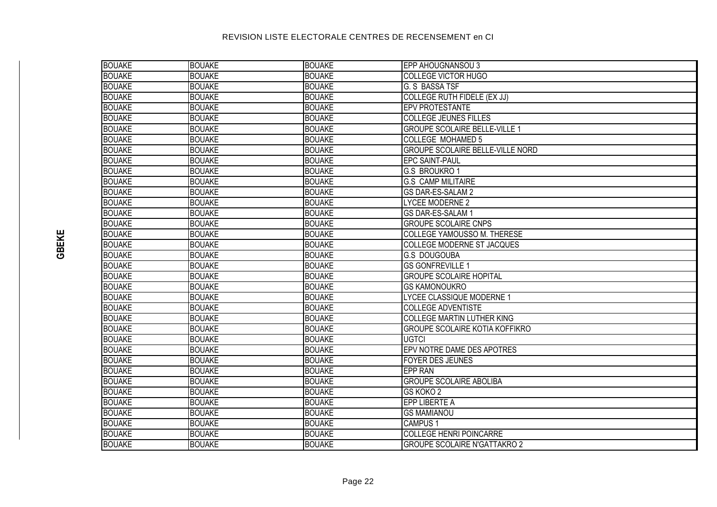# BOUAKE BOUAKE BOUAKE EPP AHOUGNANSOU 3 BOUAKE BOUAKE BOUAKE COLLEGE VICTOR HUGO **BOUAKE** BOUAKE G. S BASSA TSF BOUAKE BOUAKE BOUAKE BOUAKE BOUAKE COLLEGE RUTH FIDELE (EX JJ) BOUAKE BOUAKE BOUAKE EPV PROTESTANTE BOUAKE BOUAKE BOUAKE COLLEGE JEUNES FILLES **BOUAKE BOUAKE BOUAKE GROUPE SCOLAIRE BELLE-VILLE 1** BOUAKE BOUAKE BOUAKE BOUAKE BOUAKE COLLEGE MOHAMED 5 BOUAKE BOUAKE BOUAKE GROUPE SCOLAIRE BELLE-VILLE NORD BOUAKE BOUAKE BOUAKE EPC SAINT-PAUL BOUAKE BOUAKE BOUAKE G.S BROUKRO 1 BOUAKE BOUAKE BOUAKE G.S CAMP MILITAIRE BOUAKE BOUAKE BOUAKE GS DAR-ES-SALAM 2 BOUAKE BOUAKE BOUAKE BOUAKE LYCEE MODERNE 2 BOUAKE BOUAKE BOUAKE GS DAR-ES-SALAM 1 BOUAKE BOUAKE BOUAKE GROUPE SCOLAIRE CNPS BOUAKE BOUAKE BOUAKE BOUAKE BOUAKE COLLEGE YAMOUSSO M. THERESE

| <b>BOUAKE</b> | <b>BOUAKE</b> | <b>BOUAKE</b> | EPC SAINT-PAUL                        |
|---------------|---------------|---------------|---------------------------------------|
| <b>BOUAKE</b> | <b>BOUAKE</b> | <b>BOUAKE</b> | <b>G.S BROUKRO1</b>                   |
| <b>BOUAKE</b> | <b>BOUAKE</b> | <b>BOUAKE</b> | <b>G.S CAMP MILITAIRE</b>             |
| <b>BOUAKE</b> | <b>BOUAKE</b> | <b>BOUAKE</b> | GS DAR-ES-SALAM 2                     |
| <b>BOUAKE</b> | <b>BOUAKE</b> | <b>BOUAKE</b> | <b>LYCEE MODERNE 2</b>                |
| <b>BOUAKE</b> | <b>BOUAKE</b> | <b>BOUAKE</b> | GS DAR-ES-SALAM 1                     |
| <b>BOUAKE</b> | <b>BOUAKE</b> | <b>BOUAKE</b> | <b>GROUPE SCOLAIRE CNPS</b>           |
| <b>BOUAKE</b> | <b>BOUAKE</b> | <b>BOUAKE</b> | COLLEGE YAMOUSSO M. THERESE           |
| <b>BOUAKE</b> | <b>BOUAKE</b> | <b>BOUAKE</b> | COLLEGE MODERNE ST JACQUES            |
| <b>BOUAKE</b> | <b>BOUAKE</b> | <b>BOUAKE</b> | G.S DOUGOUBA                          |
| <b>BOUAKE</b> | <b>BOUAKE</b> | <b>BOUAKE</b> | <b>GS GONFREVILLE 1</b>               |
| <b>BOUAKE</b> | <b>BOUAKE</b> | <b>BOUAKE</b> | <b>GROUPE SCOLAIRE HOPITAL</b>        |
| <b>BOUAKE</b> | <b>BOUAKE</b> | <b>BOUAKE</b> | <b>GS KAMONOUKRO</b>                  |
| <b>BOUAKE</b> | <b>BOUAKE</b> | <b>BOUAKE</b> | LYCEE CLASSIQUE MODERNE 1             |
| <b>BOUAKE</b> | <b>BOUAKE</b> | <b>BOUAKE</b> | <b>COLLEGE ADVENTISTE</b>             |
| <b>BOUAKE</b> | <b>BOUAKE</b> | <b>BOUAKE</b> | COLLEGE MARTIN LUTHER KING            |
| <b>BOUAKE</b> | <b>BOUAKE</b> | <b>BOUAKE</b> | <b>GROUPE SCOLAIRE KOTIA KOFFIKRO</b> |
| <b>BOUAKE</b> | <b>BOUAKE</b> | <b>BOUAKE</b> | <b>UGTCI</b>                          |
| <b>BOUAKE</b> | <b>BOUAKE</b> | <b>BOUAKE</b> | EPV NOTRE DAME DES APOTRES            |
| <b>BOUAKE</b> | <b>BOUAKE</b> | <b>BOUAKE</b> | <b>FOYER DES JEUNES</b>               |
| <b>BOUAKE</b> | <b>BOUAKE</b> | <b>BOUAKE</b> | EPP RAN                               |
| <b>BOUAKE</b> | <b>BOUAKE</b> | <b>BOUAKE</b> | <b>GROUPE SCOLAIRE ABOLIBA</b>        |
| <b>BOUAKE</b> | <b>BOUAKE</b> | <b>BOUAKE</b> | GS KOKO 2                             |
| <b>BOUAKE</b> | <b>BOUAKE</b> | <b>BOUAKE</b> | EPP LIBERTE A                         |
| <b>BOUAKE</b> | <b>BOUAKE</b> | <b>BOUAKE</b> | <b>GS MAMIANOU</b>                    |
| <b>BOUAKE</b> | <b>BOUAKE</b> | <b>BOUAKE</b> | <b>CAMPUS 1</b>                       |
| <b>BOUAKE</b> | <b>BOUAKE</b> | <b>BOUAKE</b> | <b>COLLEGE HENRI POINCARRE</b>        |
| <b>BOUAKE</b> | <b>BOUAKE</b> | <b>BOUAKE</b> | <b>GROUPE SCOLAIRE N'GATTAKRO 2</b>   |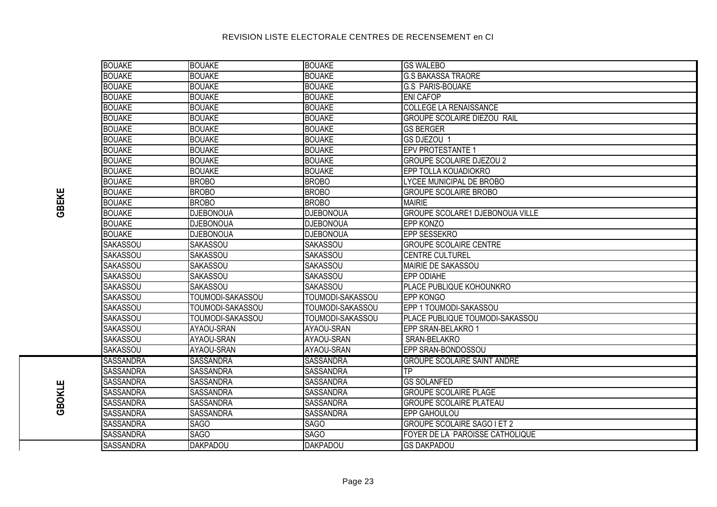| <b>BOUAKE</b><br><b>BOUAKE</b><br><b>BOUAKE</b><br><b>GS WALEBO</b><br><b>BOUAKE</b><br><b>BOUAKE</b><br><b>BOUAKE</b><br><b>G.S BAKASSA TRAORE</b><br><b>BOUAKE</b><br><b>BOUAKE</b><br><b>BOUAKE</b><br><b>G.S PARIS-BOUAKE</b><br><b>BOUAKE</b><br><b>BOUAKE</b><br><b>BOUAKE</b><br><b>ENI CAFOP</b><br><b>BOUAKE</b><br><b>COLLEGE LA RENAISSANCE</b><br><b>BOUAKE</b><br><b>BOUAKE</b><br><b>BOUAKE</b><br><b>BOUAKE</b><br><b>BOUAKE</b><br><b>GROUPE SCOLAIRE DIEZOU RAIL</b><br><b>BOUAKE</b><br><b>BOUAKE</b><br><b>BOUAKE</b><br><b>GS BERGER</b><br><b>BOUAKE</b><br><b>BOUAKE</b><br><b>BOUAKE</b><br>GS DJEZOU 1<br><b>BOUAKE</b><br><b>BOUAKE</b><br><b>BOUAKE</b><br><b>EPV PROTESTANTE 1</b><br><b>BOUAKE</b><br><b>BOUAKE</b><br><b>BOUAKE</b><br><b>GROUPE SCOLAIRE DJEZOU 2</b><br><b>BOUAKE</b><br><b>BOUAKE</b><br><b>BOUAKE</b><br>EPP TOLLA KOUADIOKRO<br><b>BOUAKE</b><br><b>BROBO</b><br><b>BROBO</b><br>LYCEE MUNICIPAL DE BROBO<br><b>BOUAKE</b><br><b>BROBO</b><br><b>BROBO</b><br><b>GROUPE SCOLAIRE BROBO</b><br><b>BOUAKE</b><br><b>BROBO</b><br><b>BROBO</b><br><b>MAIRIE</b><br><b>BOUAKE</b><br><b>GROUPE SCOLARE1 DJEBONOUA VILLE</b><br><b>DJEBONOUA</b><br><b>DJEBONOUA</b><br><b>BOUAKE</b><br><b>DJEBONOUA</b><br><b>DJEBONOUA</b><br>EPP KONZO<br><b>BOUAKE</b><br><b>EPP SESSEKRO</b><br><b>DJEBONOUA</b><br><b>DJEBONOUA</b><br><b>SAKASSOU</b><br>SAKASSOU<br><b>SAKASSOU</b><br><b>GROUPE SCOLAIRE CENTRE</b><br>SAKASSOU<br><b>SAKASSOU</b><br>SAKASSOU<br><b>CENTRE CULTUREL</b><br>SAKASSOU<br>SAKASSOU<br><b>SAKASSOU</b><br>MAIRIE DE SAKASSOU<br>SAKASSOU<br>SAKASSOU<br><b>SAKASSOU</b><br>EPP ODIAHE<br>SAKASSOU<br><b>SAKASSOU</b><br>PLACE PUBLIQUE KOHOUNKRO<br>SAKASSOU |  |
|----------------------------------------------------------------------------------------------------------------------------------------------------------------------------------------------------------------------------------------------------------------------------------------------------------------------------------------------------------------------------------------------------------------------------------------------------------------------------------------------------------------------------------------------------------------------------------------------------------------------------------------------------------------------------------------------------------------------------------------------------------------------------------------------------------------------------------------------------------------------------------------------------------------------------------------------------------------------------------------------------------------------------------------------------------------------------------------------------------------------------------------------------------------------------------------------------------------------------------------------------------------------------------------------------------------------------------------------------------------------------------------------------------------------------------------------------------------------------------------------------------------------------------------------------------------------------------------------------------------------------------------------------------------------------------------------------------------------------------|--|
|                                                                                                                                                                                                                                                                                                                                                                                                                                                                                                                                                                                                                                                                                                                                                                                                                                                                                                                                                                                                                                                                                                                                                                                                                                                                                                                                                                                                                                                                                                                                                                                                                                                                                                                                  |  |
|                                                                                                                                                                                                                                                                                                                                                                                                                                                                                                                                                                                                                                                                                                                                                                                                                                                                                                                                                                                                                                                                                                                                                                                                                                                                                                                                                                                                                                                                                                                                                                                                                                                                                                                                  |  |
|                                                                                                                                                                                                                                                                                                                                                                                                                                                                                                                                                                                                                                                                                                                                                                                                                                                                                                                                                                                                                                                                                                                                                                                                                                                                                                                                                                                                                                                                                                                                                                                                                                                                                                                                  |  |
|                                                                                                                                                                                                                                                                                                                                                                                                                                                                                                                                                                                                                                                                                                                                                                                                                                                                                                                                                                                                                                                                                                                                                                                                                                                                                                                                                                                                                                                                                                                                                                                                                                                                                                                                  |  |
|                                                                                                                                                                                                                                                                                                                                                                                                                                                                                                                                                                                                                                                                                                                                                                                                                                                                                                                                                                                                                                                                                                                                                                                                                                                                                                                                                                                                                                                                                                                                                                                                                                                                                                                                  |  |
|                                                                                                                                                                                                                                                                                                                                                                                                                                                                                                                                                                                                                                                                                                                                                                                                                                                                                                                                                                                                                                                                                                                                                                                                                                                                                                                                                                                                                                                                                                                                                                                                                                                                                                                                  |  |
|                                                                                                                                                                                                                                                                                                                                                                                                                                                                                                                                                                                                                                                                                                                                                                                                                                                                                                                                                                                                                                                                                                                                                                                                                                                                                                                                                                                                                                                                                                                                                                                                                                                                                                                                  |  |
|                                                                                                                                                                                                                                                                                                                                                                                                                                                                                                                                                                                                                                                                                                                                                                                                                                                                                                                                                                                                                                                                                                                                                                                                                                                                                                                                                                                                                                                                                                                                                                                                                                                                                                                                  |  |
|                                                                                                                                                                                                                                                                                                                                                                                                                                                                                                                                                                                                                                                                                                                                                                                                                                                                                                                                                                                                                                                                                                                                                                                                                                                                                                                                                                                                                                                                                                                                                                                                                                                                                                                                  |  |
|                                                                                                                                                                                                                                                                                                                                                                                                                                                                                                                                                                                                                                                                                                                                                                                                                                                                                                                                                                                                                                                                                                                                                                                                                                                                                                                                                                                                                                                                                                                                                                                                                                                                                                                                  |  |
|                                                                                                                                                                                                                                                                                                                                                                                                                                                                                                                                                                                                                                                                                                                                                                                                                                                                                                                                                                                                                                                                                                                                                                                                                                                                                                                                                                                                                                                                                                                                                                                                                                                                                                                                  |  |
|                                                                                                                                                                                                                                                                                                                                                                                                                                                                                                                                                                                                                                                                                                                                                                                                                                                                                                                                                                                                                                                                                                                                                                                                                                                                                                                                                                                                                                                                                                                                                                                                                                                                                                                                  |  |
|                                                                                                                                                                                                                                                                                                                                                                                                                                                                                                                                                                                                                                                                                                                                                                                                                                                                                                                                                                                                                                                                                                                                                                                                                                                                                                                                                                                                                                                                                                                                                                                                                                                                                                                                  |  |
|                                                                                                                                                                                                                                                                                                                                                                                                                                                                                                                                                                                                                                                                                                                                                                                                                                                                                                                                                                                                                                                                                                                                                                                                                                                                                                                                                                                                                                                                                                                                                                                                                                                                                                                                  |  |
|                                                                                                                                                                                                                                                                                                                                                                                                                                                                                                                                                                                                                                                                                                                                                                                                                                                                                                                                                                                                                                                                                                                                                                                                                                                                                                                                                                                                                                                                                                                                                                                                                                                                                                                                  |  |
|                                                                                                                                                                                                                                                                                                                                                                                                                                                                                                                                                                                                                                                                                                                                                                                                                                                                                                                                                                                                                                                                                                                                                                                                                                                                                                                                                                                                                                                                                                                                                                                                                                                                                                                                  |  |
|                                                                                                                                                                                                                                                                                                                                                                                                                                                                                                                                                                                                                                                                                                                                                                                                                                                                                                                                                                                                                                                                                                                                                                                                                                                                                                                                                                                                                                                                                                                                                                                                                                                                                                                                  |  |
|                                                                                                                                                                                                                                                                                                                                                                                                                                                                                                                                                                                                                                                                                                                                                                                                                                                                                                                                                                                                                                                                                                                                                                                                                                                                                                                                                                                                                                                                                                                                                                                                                                                                                                                                  |  |
|                                                                                                                                                                                                                                                                                                                                                                                                                                                                                                                                                                                                                                                                                                                                                                                                                                                                                                                                                                                                                                                                                                                                                                                                                                                                                                                                                                                                                                                                                                                                                                                                                                                                                                                                  |  |
|                                                                                                                                                                                                                                                                                                                                                                                                                                                                                                                                                                                                                                                                                                                                                                                                                                                                                                                                                                                                                                                                                                                                                                                                                                                                                                                                                                                                                                                                                                                                                                                                                                                                                                                                  |  |
|                                                                                                                                                                                                                                                                                                                                                                                                                                                                                                                                                                                                                                                                                                                                                                                                                                                                                                                                                                                                                                                                                                                                                                                                                                                                                                                                                                                                                                                                                                                                                                                                                                                                                                                                  |  |
|                                                                                                                                                                                                                                                                                                                                                                                                                                                                                                                                                                                                                                                                                                                                                                                                                                                                                                                                                                                                                                                                                                                                                                                                                                                                                                                                                                                                                                                                                                                                                                                                                                                                                                                                  |  |
| <b>SAKASSOU</b><br>TOUMODI-SAKASSOU<br>TOUMODI-SAKASSOU<br><b>EPP KONGO</b>                                                                                                                                                                                                                                                                                                                                                                                                                                                                                                                                                                                                                                                                                                                                                                                                                                                                                                                                                                                                                                                                                                                                                                                                                                                                                                                                                                                                                                                                                                                                                                                                                                                      |  |
| SAKASSOU<br>TOUMODI-SAKASSOU<br>TOUMODI-SAKASSOU<br>EPP 1 TOUMODI-SAKASSOU                                                                                                                                                                                                                                                                                                                                                                                                                                                                                                                                                                                                                                                                                                                                                                                                                                                                                                                                                                                                                                                                                                                                                                                                                                                                                                                                                                                                                                                                                                                                                                                                                                                       |  |
| SAKASSOU<br>PLACE PUBLIQUE TOUMODI-SAKASSOU<br>TOUMODI-SAKASSOU<br>TOUMODI-SAKASSOU                                                                                                                                                                                                                                                                                                                                                                                                                                                                                                                                                                                                                                                                                                                                                                                                                                                                                                                                                                                                                                                                                                                                                                                                                                                                                                                                                                                                                                                                                                                                                                                                                                              |  |
| <b>SAKASSOU</b><br>AYAOU-SRAN<br>AYAOU-SRAN<br>EPP SRAN-BELAKRO 1                                                                                                                                                                                                                                                                                                                                                                                                                                                                                                                                                                                                                                                                                                                                                                                                                                                                                                                                                                                                                                                                                                                                                                                                                                                                                                                                                                                                                                                                                                                                                                                                                                                                |  |
| SAKASSOU<br>AYAOU-SRAN<br>AYAOU-SRAN<br>SRAN-BELAKRO                                                                                                                                                                                                                                                                                                                                                                                                                                                                                                                                                                                                                                                                                                                                                                                                                                                                                                                                                                                                                                                                                                                                                                                                                                                                                                                                                                                                                                                                                                                                                                                                                                                                             |  |
| <b>SAKASSOU</b><br>AYAOU-SRAN<br>EPP SRAN-BONDOSSOU<br>AYAOU-SRAN                                                                                                                                                                                                                                                                                                                                                                                                                                                                                                                                                                                                                                                                                                                                                                                                                                                                                                                                                                                                                                                                                                                                                                                                                                                                                                                                                                                                                                                                                                                                                                                                                                                                |  |
| <b>SASSANDRA</b><br><b>SASSANDRA</b><br><b>SASSANDRA</b><br><b>GROUPE SCOLAIRE SAINT ANDRE</b>                                                                                                                                                                                                                                                                                                                                                                                                                                                                                                                                                                                                                                                                                                                                                                                                                                                                                                                                                                                                                                                                                                                                                                                                                                                                                                                                                                                                                                                                                                                                                                                                                                   |  |
| <b>SASSANDRA</b><br><b>SASSANDRA</b><br>$\overline{TP}$<br>SASSANDRA                                                                                                                                                                                                                                                                                                                                                                                                                                                                                                                                                                                                                                                                                                                                                                                                                                                                                                                                                                                                                                                                                                                                                                                                                                                                                                                                                                                                                                                                                                                                                                                                                                                             |  |
| <b>SASSANDRA</b><br><b>SASSANDRA</b><br><b>SASSANDRA</b><br><b>GS SOLANFED</b>                                                                                                                                                                                                                                                                                                                                                                                                                                                                                                                                                                                                                                                                                                                                                                                                                                                                                                                                                                                                                                                                                                                                                                                                                                                                                                                                                                                                                                                                                                                                                                                                                                                   |  |
| <b>SASSANDRA</b><br><b>SASSANDRA</b><br><b>SASSANDRA</b><br><b>GROUPE SCOLAIRE PLAGE</b>                                                                                                                                                                                                                                                                                                                                                                                                                                                                                                                                                                                                                                                                                                                                                                                                                                                                                                                                                                                                                                                                                                                                                                                                                                                                                                                                                                                                                                                                                                                                                                                                                                         |  |
| <b>SASSANDRA</b><br><b>SASSANDRA</b><br><b>SASSANDRA</b><br><b>GROUPE SCOLAIRE PLATEAU</b>                                                                                                                                                                                                                                                                                                                                                                                                                                                                                                                                                                                                                                                                                                                                                                                                                                                                                                                                                                                                                                                                                                                                                                                                                                                                                                                                                                                                                                                                                                                                                                                                                                       |  |
| <b>SASSANDRA</b><br><b>SASSANDRA</b><br><b>SASSANDRA</b><br>EPP GAHOULOU                                                                                                                                                                                                                                                                                                                                                                                                                                                                                                                                                                                                                                                                                                                                                                                                                                                                                                                                                                                                                                                                                                                                                                                                                                                                                                                                                                                                                                                                                                                                                                                                                                                         |  |
| <b>SASSANDRA</b><br><b>SAGO</b><br><b>SAGO</b><br><b>GROUPE SCOLAIRE SAGO I ET 2</b>                                                                                                                                                                                                                                                                                                                                                                                                                                                                                                                                                                                                                                                                                                                                                                                                                                                                                                                                                                                                                                                                                                                                                                                                                                                                                                                                                                                                                                                                                                                                                                                                                                             |  |
| SAGO<br><b>SAGO</b><br>FOYER DE LA PAROISSE CATHOLIQUE<br>SASSANDRA                                                                                                                                                                                                                                                                                                                                                                                                                                                                                                                                                                                                                                                                                                                                                                                                                                                                                                                                                                                                                                                                                                                                                                                                                                                                                                                                                                                                                                                                                                                                                                                                                                                              |  |
| <b>DAKPADOU</b><br><b>DAKPADOU</b><br><b>SASSANDRA</b><br><b>GS DAKPADOU</b>                                                                                                                                                                                                                                                                                                                                                                                                                                                                                                                                                                                                                                                                                                                                                                                                                                                                                                                                                                                                                                                                                                                                                                                                                                                                                                                                                                                                                                                                                                                                                                                                                                                     |  |

**GBOKLE**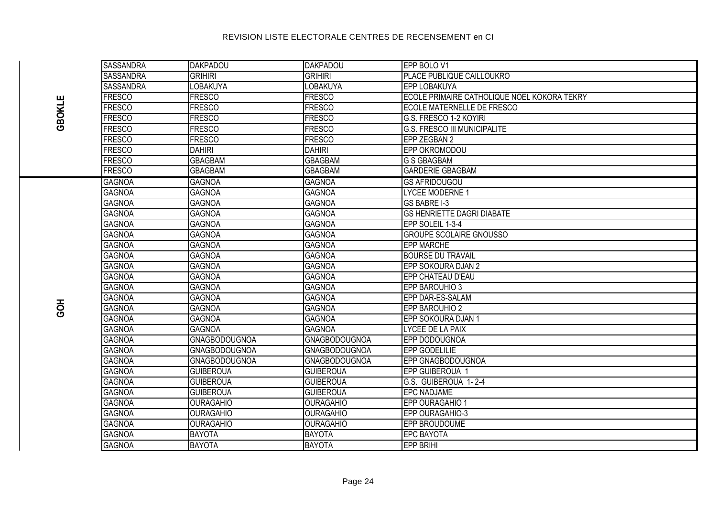|          | <b>SASSANDRA</b> | <b>DAKPADOU</b>      | DAKPADOU             | <b>EPP BOLO V1</b>                          |
|----------|------------------|----------------------|----------------------|---------------------------------------------|
|          | <b>SASSANDRA</b> | <b>GRIHIRI</b>       | <b>GRIHIRI</b>       | PLACE PUBLIQUE CAILLOUKRO                   |
|          | <b>SASSANDRA</b> | <b>LOBAKUYA</b>      | <b>LOBAKUYA</b>      | <b>EPP LOBAKUYA</b>                         |
|          | <b>FRESCO</b>    | <b>FRESCO</b>        | <b>FRESCO</b>        | ECOLE PRIMAIRE CATHOLIQUE NOEL KOKORA TEKRY |
| GBOKLE   | <b>FRESCO</b>    | <b>FRESCO</b>        | <b>FRESCO</b>        | <b>ECOLE MATERNELLE DE FRESCO</b>           |
|          | <b>FRESCO</b>    | <b>FRESCO</b>        | <b>FRESCO</b>        | G.S. FRESCO 1-2 KOYIRI                      |
|          | <b>FRESCO</b>    | <b>FRESCO</b>        | <b>FRESCO</b>        | <b>G.S. FRESCO III MUNICIPALITE</b>         |
|          | <b>FRESCO</b>    | <b>FRESCO</b>        | <b>FRESCO</b>        | EPP ZEGBAN 2                                |
|          | <b>FRESCO</b>    | <b>DAHIRI</b>        | <b>DAHIRI</b>        | <b>EPP OKROMODOU</b>                        |
|          | <b>FRESCO</b>    | <b>GBAGBAM</b>       | <b>GBAGBAM</b>       | <b>G S GBAGBAM</b>                          |
|          | <b>FRESCO</b>    | <b>GBAGBAM</b>       | <b>GBAGBAM</b>       | <b>GARDERIE GBAGBAM</b>                     |
|          | <b>GAGNOA</b>    | <b>GAGNOA</b>        | <b>GAGNOA</b>        | <b>GS AFRIDOUGOU</b>                        |
|          | <b>GAGNOA</b>    | <b>GAGNOA</b>        | <b>GAGNOA</b>        | <b>LYCEE MODERNE 1</b>                      |
|          | <b>GAGNOA</b>    | <b>GAGNOA</b>        | <b>GAGNOA</b>        | <b>GS BABRE I-3</b>                         |
|          | <b>GAGNOA</b>    | <b>GAGNOA</b>        | <b>GAGNOA</b>        | <b>IGS HENRIETTE DAGRI DIABATE</b>          |
|          | <b>GAGNOA</b>    | <b>GAGNOA</b>        | <b>GAGNOA</b>        | EPP SOLEIL 1-3-4                            |
|          | <b>GAGNOA</b>    | <b>GAGNOA</b>        | <b>GAGNOA</b>        | <b>GROUPE SCOLAIRE GNOUSSO</b>              |
|          | <b>GAGNOA</b>    | <b>GAGNOA</b>        | <b>GAGNOA</b>        | <b>EPP MARCHE</b>                           |
|          | <b>GAGNOA</b>    | <b>GAGNOA</b>        | <b>GAGNOA</b>        | <b>BOURSE DU TRAVAIL</b>                    |
|          | <b>GAGNOA</b>    | <b>GAGNOA</b>        | <b>GAGNOA</b>        | EPP SOKOURA DJAN 2                          |
|          | <b>GAGNOA</b>    | <b>GAGNOA</b>        | <b>GAGNOA</b>        | EPP CHATEAU D'EAU                           |
|          | <b>GAGNOA</b>    | <b>GAGNOA</b>        | <b>GAGNOA</b>        | EPP BAROUHIO 3                              |
|          | <b>GAGNOA</b>    | <b>GAGNOA</b>        | <b>GAGNOA</b>        | EPP DAR-ES-SALAM                            |
| この<br>この | <b>GAGNOA</b>    | <b>GAGNOA</b>        | <b>GAGNOA</b>        | EPP BAROUHIO 2                              |
|          | <b>GAGNOA</b>    | <b>GAGNOA</b>        | <b>GAGNOA</b>        | EPP SOKOURA DJAN 1                          |
|          | <b>GAGNOA</b>    | <b>GAGNOA</b>        | <b>GAGNOA</b>        | LYCEE DE LA PAIX                            |
|          | <b>GAGNOA</b>    | <b>GNAGBODOUGNOA</b> | <b>GNAGBODOUGNOA</b> | EPP DODOUGNOA                               |
|          | <b>GAGNOA</b>    | GNAGBODOUGNOA        | <b>GNAGBODOUGNOA</b> | EPP GODELILIE                               |
|          | <b>GAGNOA</b>    | GNAGBODOUGNOA        | GNAGBODOUGNOA        | EPP GNAGBODOUGNOA                           |
|          | <b>GAGNOA</b>    | <b>GUIBEROUA</b>     | <b>GUIBEROUA</b>     | EPP GUIBEROUA 1                             |
|          | <b>GAGNOA</b>    | <b>GUIBEROUA</b>     | <b>GUIBEROUA</b>     | G.S. GUIBEROUA 1-2-4                        |
|          | <b>GAGNOA</b>    | <b>GUIBEROUA</b>     | <b>GUIBEROUA</b>     | <b>EPC NADJAME</b>                          |
|          | <b>GAGNOA</b>    | <b>OURAGAHIO</b>     | <b>OURAGAHIO</b>     | EPP OURAGAHIO 1                             |
|          | <b>GAGNOA</b>    | <b>OURAGAHIO</b>     | <b>OURAGAHIO</b>     | EPP OURAGAHIO-3                             |
|          | <b>GAGNOA</b>    | <b>OURAGAHIO</b>     | <b>OURAGAHIO</b>     | <b>EPP BROUDOUME</b>                        |
|          | <b>GAGNOA</b>    | <b>BAYOTA</b>        | <b>BAYOTA</b>        | <b>EPC BAYOTA</b>                           |
|          | <b>GAGNOA</b>    | <b>BAYOTA</b>        | <b>BAYOTA</b>        | <b>EPP BRIHI</b>                            |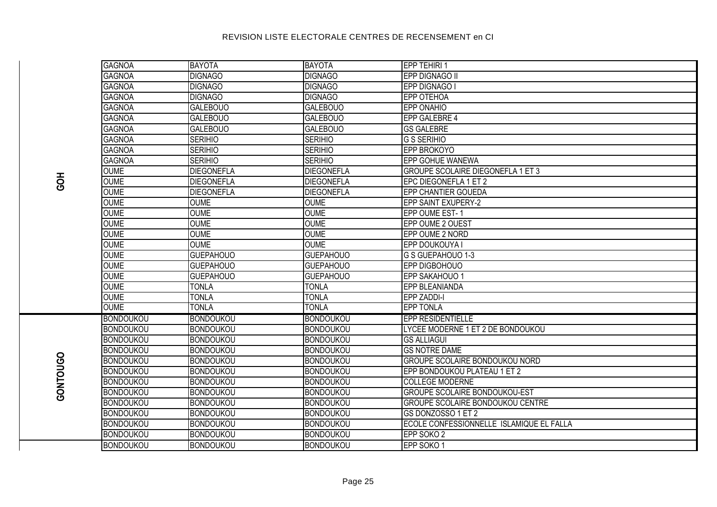|          | <b>GAGNOA</b>    | <b>BAYOTA</b>     | <b>BAYOTA</b>     | EPP TEHIRI 1                             |
|----------|------------------|-------------------|-------------------|------------------------------------------|
|          | <b>GAGNOA</b>    | <b>DIGNAGO</b>    | <b>DIGNAGO</b>    | <b>EPP DIGNAGO II</b>                    |
|          | <b>GAGNOA</b>    | <b>DIGNAGO</b>    | <b>DIGNAGO</b>    | EPP DIGNAGO I                            |
|          | <b>GAGNOA</b>    | <b>DIGNAGO</b>    | <b>DIGNAGO</b>    | <b>EPP OTEHOA</b>                        |
|          | <b>GAGNOA</b>    | <b>GALEBOUO</b>   | <b>GALEBOUO</b>   | EPP ONAHIO                               |
|          | <b>GAGNOA</b>    | <b>GALEBOUO</b>   | <b>GALEBOUO</b>   | <b>EPP GALEBRE 4</b>                     |
|          | <b>GAGNOA</b>    | <b>GALEBOUO</b>   | <b>GALEBOUO</b>   | <b>GS GALEBRE</b>                        |
|          | <b>GAGNOA</b>    | <b>SERIHIO</b>    | <b>SERIHIO</b>    | <b>G S SERIHIO</b>                       |
|          | <b>GAGNOA</b>    | <b>SERIHIO</b>    | <b>SERIHIO</b>    | EPP BROKOYO                              |
|          | <b>GAGNOA</b>    | <b>SERIHIO</b>    | <b>SERIHIO</b>    | <b>EPP GOHUE WANEWA</b>                  |
|          | <b>OUME</b>      | <b>DIEGONEFLA</b> | <b>DIEGONEFLA</b> | <b>GROUPE SCOLAIRE DIEGONEFLA 1 ET 3</b> |
| HOS      | <b>OUME</b>      | <b>DIEGONEFLA</b> | <b>DIEGONEFLA</b> | EPC DIEGONEFLA 1 ET 2                    |
|          | <b>OUME</b>      | <b>DIEGONEFLA</b> | <b>DIEGONEFLA</b> | EPP CHANTIER GOUEDA                      |
|          | <b>OUME</b>      | <b>OUME</b>       | <b>OUME</b>       | <b>EPP SAINT EXUPERY-2</b>               |
|          | <b>OUME</b>      | <b>OUME</b>       | <b>OUME</b>       | EPP OUME EST-1                           |
|          | <b>OUME</b>      | <b>OUME</b>       | <b>OUME</b>       | EPP OUME 2 OUEST                         |
|          | <b>OUME</b>      | <b>OUME</b>       | <b>OUME</b>       | EPP OUME 2 NORD                          |
|          | <b>OUME</b>      | <b>OUME</b>       | <b>OUME</b>       | EPP DOUKOUYA I                           |
|          | <b>OUME</b>      | <b>GUEPAHOUO</b>  | <b>GUEPAHOUO</b>  | G S GUEPAHOUO 1-3                        |
|          | <b>OUME</b>      | <b>GUEPAHOUO</b>  | <b>GUEPAHOUO</b>  | EPP DIGBOHOUO                            |
|          | <b>OUME</b>      | <b>GUEPAHOUO</b>  | <b>GUEPAHOUO</b>  | EPP SAKAHOUO 1                           |
|          | <b>OUME</b>      | <b>TONLA</b>      | <b>TONLA</b>      | EPP BLEANIANDA                           |
|          | <b>OUME</b>      | <b>TONLA</b>      | <b>TONLA</b>      | <b>EPP ZADDI-I</b>                       |
|          | <b>OUME</b>      | <b>TONLA</b>      | <b>TONLA</b>      | <b>EPP TONLA</b>                         |
|          | <b>BONDOUKOU</b> | <b>BONDOUKOU</b>  | <b>BONDOUKOU</b>  | <b>EPP RESIDENTIELLE</b>                 |
|          | <b>BONDOUKOU</b> | <b>BONDOUKOU</b>  | <b>BONDOUKOU</b>  | LYCEE MODERNE 1 ET 2 DE BONDOUKOU        |
|          | <b>BONDOUKOU</b> | <b>BONDOUKOU</b>  | <b>BONDOUKOU</b>  | <b>GS ALLIAGUI</b>                       |
|          | <b>BONDOUKOU</b> | <b>BONDOUKOU</b>  | <b>BONDOUKOU</b>  | <b>GS NOTRE DAME</b>                     |
|          | <b>BONDOUKOU</b> | <b>BONDOUKOU</b>  | <b>BONDOUKOU</b>  | GROUPE SCOLAIRE BONDOUKOU NORD           |
|          | <b>BONDOUKOU</b> | <b>BONDOUKOU</b>  | <b>BONDOUKOU</b>  | EPP BONDOUKOU PLATEAU 1 ET 2             |
|          | <b>BONDOUKOU</b> | <b>BONDOUKOU</b>  | <b>BONDOUKOU</b>  | <b>COLLEGE MODERNE</b>                   |
| GONTOUGO | <b>BONDOUKOU</b> | <b>BONDOUKOU</b>  | <b>BONDOUKOU</b>  | <b>GROUPE SCOLAIRE BONDOUKOU-EST</b>     |
|          | <b>BONDOUKOU</b> | <b>BONDOUKOU</b>  | <b>BONDOUKOU</b>  | GROUPE SCOLAIRE BONDOUKOU CENTRE         |
|          | <b>BONDOUKOU</b> | <b>BONDOUKOU</b>  | <b>BONDOUKOU</b>  | GS DONZOSSO 1 ET 2                       |
|          | <b>BONDOUKOU</b> | <b>BONDOUKOU</b>  | <b>BONDOUKOU</b>  | ECOLE CONFESSIONNELLE ISLAMIQUE EL FALLA |
|          | <b>BONDOUKOU</b> | <b>BONDOUKOU</b>  | <b>BONDOUKOU</b>  | EPP SOKO 2                               |
|          | <b>RONDOUKOU</b> | <b>BONDOUKOU</b>  | <b>RONDOUKOU</b>  | FPP SOKO 1                               |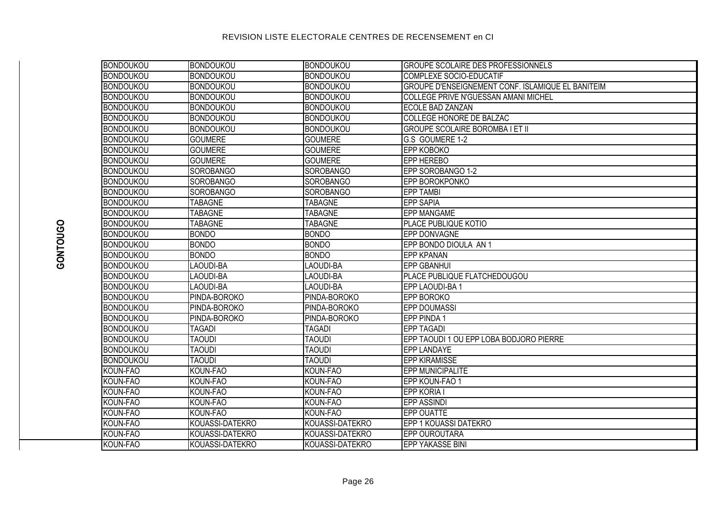| <b>BONDOUKOU</b> | <b>BONDOUKOU</b> | BONDOUKOU        | <b>GROUPE SCOLAIRE DES PROFESSIONNELS</b>         |
|------------------|------------------|------------------|---------------------------------------------------|
| <b>BONDOUKOU</b> | <b>BONDOUKOU</b> | <b>BONDOUKOU</b> | COMPLEXE SOCIO-EDUCATIF                           |
| <b>BONDOUKOU</b> | <b>BONDOUKOU</b> | <b>BONDOUKOU</b> | GROUPE D'ENSEIGNEMENT CONF. ISLAMIQUE EL BANITEIM |
| <b>BONDOUKOU</b> | <b>BONDOUKOU</b> | <b>BONDOUKOU</b> | COLLEGE PRIVE N'GUESSAN AMANI MICHEL              |
| <b>BONDOUKOU</b> | <b>BONDOUKOU</b> | <b>BONDOUKOU</b> | ECOLE BAD ZANZAN                                  |
| <b>BONDOUKOU</b> | <b>BONDOUKOU</b> | <b>BONDOUKOU</b> | <b>COLLEGE HONORE DE BALZAC</b>                   |
| <b>BONDOUKOU</b> | <b>BONDOUKOU</b> | <b>BONDOUKOU</b> | <b>GROUPE SCOLAIRE BOROMBA I ET II</b>            |
| <b>BONDOUKOU</b> | <b>GOUMERE</b>   | <b>GOUMERE</b>   | G.S GOUMERE 1-2                                   |
| <b>BONDOUKOU</b> | <b>GOUMERE</b>   | <b>GOUMERE</b>   | <b>EPP KOBOKO</b>                                 |
| <b>BONDOUKOU</b> | <b>GOUMERE</b>   | <b>GOUMERE</b>   | <b>EPP HEREBO</b>                                 |
| <b>BONDOUKOU</b> | <b>SOROBANGO</b> | <b>SOROBANGO</b> | EPP SOROBANGO 1-2                                 |
| <b>BONDOUKOU</b> | <b>SOROBANGO</b> | <b>SOROBANGO</b> | <b>EPP BOROKPONKO</b>                             |
| <b>BONDOUKOU</b> | <b>SOROBANGO</b> | <b>SOROBANGO</b> | <b>EPP TAMBI</b>                                  |
| <b>BONDOUKOU</b> | <b>TABAGNE</b>   | <b>TABAGNE</b>   | <b>EPP SAPIA</b>                                  |
| <b>BONDOUKOU</b> | <b>TABAGNE</b>   | <b>TABAGNE</b>   | <b>EPP MANGAME</b>                                |
| <b>BONDOUKOU</b> | <b>TABAGNE</b>   | <b>TABAGNE</b>   | PLACE PUBLIQUE KOTIO                              |
| <b>BONDOUKOU</b> | <b>BONDO</b>     | <b>BONDO</b>     | <b>EPP DONVAGNE</b>                               |
| <b>BONDOUKOU</b> | <b>BONDO</b>     | <b>BONDO</b>     | EPP BONDO DIOULA AN 1                             |
| <b>BONDOUKOU</b> | <b>BONDO</b>     | <b>BONDO</b>     | <b>EPP KPANAN</b>                                 |
| <b>BONDOUKOU</b> | <b>LAOUDI-BA</b> | <b>LAOUDI-BA</b> | <b>EPP GBANHUI</b>                                |
| <b>BONDOUKOU</b> | LAOUDI-BA        | <b>LAOUDI-BA</b> | PLACE PUBLIQUE FLATCHEDOUGOU                      |
| <b>BONDOUKOU</b> | LAOUDI-BA        | LAOUDI-BA        | EPP LAOUDI-BA 1                                   |
| <b>BONDOUKOU</b> | PINDA-BOROKO     | PINDA-BOROKO     | <b>EPP BOROKO</b>                                 |
| <b>BONDOUKOU</b> | PINDA-BOROKO     | PINDA-BOROKO     | <b>EPP DOUMASSI</b>                               |
| <b>BONDOUKOU</b> | PINDA-BOROKO     | PINDA-BOROKO     | <b>EPP PINDA1</b>                                 |
| <b>BONDOUKOU</b> | <b>TAGADI</b>    | <b>TAGADI</b>    | <b>EPP TAGADI</b>                                 |
| <b>BONDOUKOU</b> | <b>TAOUDI</b>    | <b>TAOUDI</b>    | EPP TAOUDI 1 OU EPP LOBA BODJORO PIERRE           |
| <b>BONDOUKOU</b> | <b>TAOUDI</b>    | <b>TAOUDI</b>    | <b>EPP LANDAYE</b>                                |
| <b>BONDOUKOU</b> | <b>TAOUDI</b>    | <b>TAOUDI</b>    | <b>EPP KIRAMISSE</b>                              |
| KOUN-FAO         | KOUN-FAO         | KOUN-FAO         | <b>EPP MUNICIPALITE</b>                           |
| KOUN-FAO         | KOUN-FAO         | KOUN-FAO         | EPP KOUN-FAO 1                                    |
| KOUN-FAO         | KOUN-FAO         | KOUN-FAO         | <b>EPP KORIA I</b>                                |
| KOUN-FAO         | KOUN-FAO         | KOUN-FAO         | <b>EPP ASSINDI</b>                                |
| KOUN-FAO         | KOUN-FAO         | KOUN-FAO         | <b>EPP OUATTE</b>                                 |
| KOUN-FAO         | KOUASSI-DATEKRO  | KOUASSI-DATEKRO  | EPP 1 KOUASSI DATEKRO                             |
| KOUN-FAO         | KOUASSI-DATEKRO  | KOUASSI-DATEKRO  | EPP OUROUTARA                                     |
| KOUN-FAO         | KOUASSI-DATEKRO  | KOUASSI-DATEKRO  | <b>EPP YAKASSE BINI</b>                           |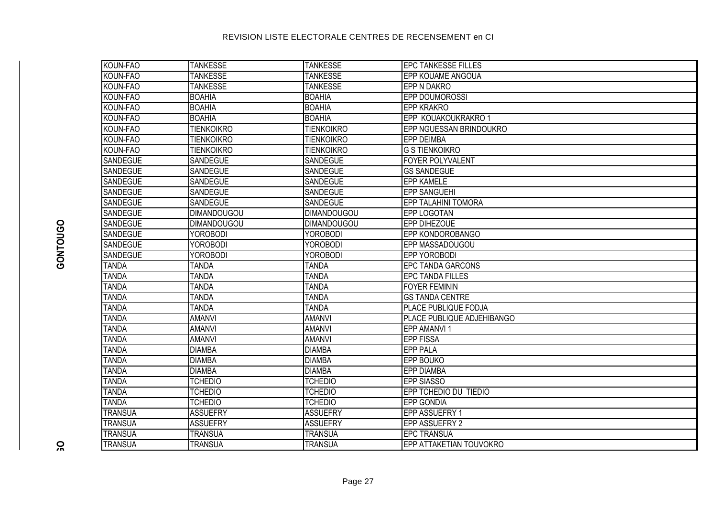| KOUN-FAO        | <b>TANKESSE</b>    | <b>TANKESSE</b>    | <b>EPC TANKESSE FILLES</b>        |
|-----------------|--------------------|--------------------|-----------------------------------|
| KOUN-FAO        | <b>TANKESSE</b>    | <b>TANKESSE</b>    | <b>EPP KOUAME ANGOUA</b>          |
| KOUN-FAO        | <b>TANKESSE</b>    | <b>TANKESSE</b>    | <b>LEPP N DAKRO</b>               |
| KOUN-FAO        | <b>BOAHIA</b>      | <b>BOAHIA</b>      | <b>EPP DOUMOROSSI</b>             |
| KOUN-FAO        | <b>BOAHIA</b>      | <b>BOAHIA</b>      | <b>EPP KRAKRO</b>                 |
| KOUN-FAO        | <b>BOAHIA</b>      | <b>BOAHIA</b>      | EPP KOUAKOUKRAKRO 1               |
| KOUN-FAO        | <b>TIENKOIKRO</b>  | <b>TIENKOIKRO</b>  | EPP NGUESSAN BRINDOUKRO           |
| KOUN-FAO        | <b>TIENKOIKRO</b>  | <b>TIENKOIKRO</b>  | <b>EPP DEIMBA</b>                 |
| KOUN-FAO        | <b>TIENKOIKRO</b>  | <b>TIENKOIKRO</b>  | <b>G S TIENKOIKRO</b>             |
| <b>SANDEGUE</b> | SANDEGUE           | SANDEGUE           | <b>FOYER POLYVALENT</b>           |
| <b>SANDEGUE</b> | SANDEGUE           | <b>SANDEGUE</b>    | <b>GS SANDEGUE</b>                |
| <b>SANDEGUE</b> | SANDEGUE           | SANDEGUE           | <b>EPP KAMELE</b>                 |
| <b>SANDEGUE</b> | <b>SANDEGUE</b>    | <b>SANDEGUE</b>    | <b>EPP SANGUEHI</b>               |
| <b>SANDEGUE</b> | <b>SANDEGUE</b>    | SANDEGUE           | <b>EPP TALAHINI TOMORA</b>        |
| SANDEGUE        | <b>DIMANDOUGOU</b> | <b>DIMANDOUGOU</b> | <b>EPP LOGOTAN</b>                |
| <b>SANDEGUE</b> | <b>DIMANDOUGOU</b> | <b>DIMANDOUGOU</b> | <b>EPP DIHEZOUE</b>               |
| <b>SANDEGUE</b> | <b>YOROBODI</b>    | <b>YOROBODI</b>    | <b>IEPP KONDOROBANGO</b>          |
| <b>SANDEGUE</b> | <b>YOROBODI</b>    | <b>YOROBODI</b>    | EPP MASSADOUGOU                   |
| <b>SANDEGUE</b> | <b>YOROBODI</b>    | <b>YOROBODI</b>    | <b>EPP YOROBODI</b>               |
| <b>TANDA</b>    | <b>TANDA</b>       | <b>TANDA</b>       | <b>EPC TANDA GARCONS</b>          |
| <b>TANDA</b>    | <b>TANDA</b>       | <b>TANDA</b>       | <b>EPC TANDA FILLES</b>           |
| <b>TANDA</b>    | <b>TANDA</b>       | <b>TANDA</b>       | <b>FOYER FEMININ</b>              |
| <b>TANDA</b>    | <b>TANDA</b>       | <b>TANDA</b>       | <b>GS TANDA CENTRE</b>            |
| <b>TANDA</b>    | <b>TANDA</b>       | <b>TANDA</b>       | <b>PLACE PUBLIQUE FODJA</b>       |
| <b>TANDA</b>    | <b>AMANVI</b>      | <b>AMANVI</b>      | <b>PLACE PUBLIQUE ADJEHIBANGO</b> |
| <b>TANDA</b>    | <b>AMANVI</b>      | <b>AMANVI</b>      | <b>EPP AMANVI 1</b>               |
| <b>TANDA</b>    | <b>AMANVI</b>      | <b>AMANVI</b>      | <b>EPP FISSA</b>                  |
| <b>TANDA</b>    | <b>DIAMBA</b>      | <b>DIAMBA</b>      | <b>EPP PALA</b>                   |
| <b>TANDA</b>    | <b>DIAMBA</b>      | <b>DIAMBA</b>      | <b>EPP BOUKO</b>                  |
| <b>TANDA</b>    | <b>DIAMBA</b>      | <b>DIAMBA</b>      | <b>EPP DIAMBA</b>                 |
| <b>TANDA</b>    | <b>TCHEDIO</b>     | <b>TCHEDIO</b>     | <b>EPP SIASSO</b>                 |
| <b>TANDA</b>    | <b>TCHEDIO</b>     | <b>TCHEDIO</b>     | EPP TCHEDIO DU TIEDIO             |
| <b>TANDA</b>    | <b>TCHEDIO</b>     | <b>TCHEDIO</b>     | <b>EPP GONDIA</b>                 |
| <b>TRANSUA</b>  | <b>ASSUEFRY</b>    | <b>ASSUEFRY</b>    | EPP ASSUEFRY 1                    |
| <b>TRANSUA</b>  | <b>ASSUEFRY</b>    | <b>ASSUEFRY</b>    | EPP ASSUEFRY 2                    |
| <b>TRANSUA</b>  | <b>TRANSUA</b>     | <b>TRANSUA</b>     | <b>EPC TRANSUA</b>                |
| <b>TRANSUA</b>  | <b>TRANSUA</b>     | <b>TRANSUA</b>     | EPP ATTAKETIAN TOUVOKRO           |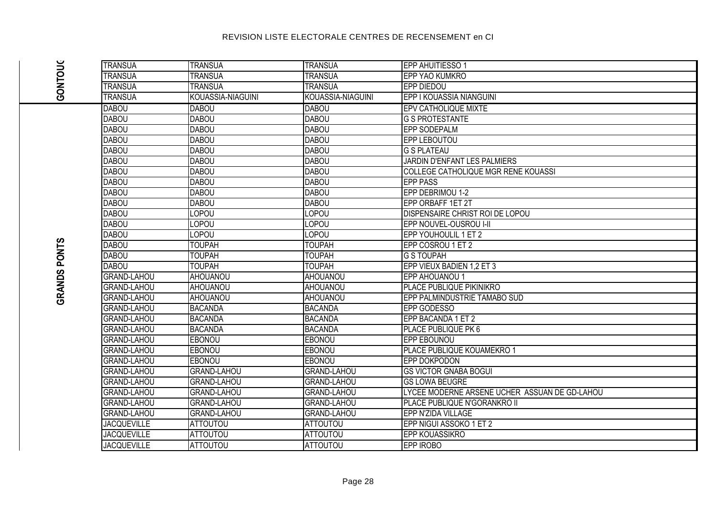|                     | <b>TRANSUA</b>     | <b>TRANSUA</b>     | <b>TRANSUA</b>     | <b>EPP AHUITIESSO 1</b>                       |
|---------------------|--------------------|--------------------|--------------------|-----------------------------------------------|
|                     | <b>TRANSUA</b>     | <b>TRANSUA</b>     | <b>TRANSUA</b>     | EPP YAO KUMKRO                                |
| <b>GONTOUC</b>      | <b>TRANSUA</b>     | <b>TRANSUA</b>     | <b>TRANSUA</b>     | <b>EPP DIEDOU</b>                             |
|                     | <b>TRANSUA</b>     | KOUASSIA-NIAGUINI  | KOUASSIA-NIAGUINI  | EPP I KOUASSIA NIANGUINI                      |
|                     | <b>DABOU</b>       | <b>DABOU</b>       | <b>DABOU</b>       | <b>EPV CATHOLIQUE MIXTE</b>                   |
|                     | <b>DABOU</b>       | <b>DABOU</b>       | <b>DABOU</b>       | <b>G S PROTESTANTE</b>                        |
|                     | <b>DABOU</b>       | <b>DABOU</b>       | <b>DABOU</b>       | <b>EPP SODEPALM</b>                           |
|                     | <b>DABOU</b>       | <b>DABOU</b>       | <b>DABOU</b>       | <b>EPP LEBOUTOU</b>                           |
|                     | <b>DABOU</b>       | <b>DABOU</b>       | <b>DABOU</b>       | <b>G S PLATEAU</b>                            |
|                     | <b>DABOU</b>       | <b>DABOU</b>       | <b>DABOU</b>       | JARDIN D'ENFANT LES PALMIERS                  |
|                     | <b>DABOU</b>       | <b>DABOU</b>       | <b>DABOU</b>       | COLLEGE CATHOLIQUE MGR RENE KOUASSI           |
|                     | <b>DABOU</b>       | <b>DABOU</b>       | <b>DABOU</b>       | <b>EPP PASS</b>                               |
|                     | <b>DABOU</b>       | <b>DABOU</b>       | <b>DABOU</b>       | EPP DEBRIMOU 1-2                              |
|                     | <b>DABOU</b>       | <b>DABOU</b>       | <b>DABOU</b>       | EPP ORBAFF 1ET 2T                             |
|                     | <b>DABOU</b>       | LOPOU              | LOPOU              | DISPENSAIRE CHRIST ROI DE LOPOU               |
|                     | <b>DABOU</b>       | <b>LOPOU</b>       | LOPOU              | EPP NOUVEL-OUSROU I-II                        |
|                     | <b>DABOU</b>       | LOPOU              | LOPOU              | EPP YOUHOULIL 1 ET 2                          |
|                     | <b>DABOU</b>       | <b>TOUPAH</b>      | <b>TOUPAH</b>      | EPP COSROU 1 ET 2                             |
| <b>GRANDS PONTS</b> | <b>DABOU</b>       | <b>TOUPAH</b>      | <b>TOUPAH</b>      | <b>G S TOUPAH</b>                             |
|                     | <b>DABOU</b>       | <b>TOUPAH</b>      | <b>TOUPAH</b>      | EPP VIEUX BADIEN 1,2 ET 3                     |
|                     | <b>GRAND-LAHOU</b> | <b>AHOUANOU</b>    | AHOUANOU           | <b>EPP AHOUANOU 1</b>                         |
|                     | <b>GRAND-LAHOU</b> | <b>AHOUANOU</b>    | AHOUANOU           | PLACE PUBLIQUE PIKINIKRO                      |
|                     | <b>GRAND-LAHOU</b> | <b>AHOUANOU</b>    | AHOUANOU           | EPP PALMINDUSTRIE TAMABO SUD                  |
|                     | <b>GRAND-LAHOU</b> | <b>BACANDA</b>     | <b>BACANDA</b>     | EPP GODESSO                                   |
|                     | <b>GRAND-LAHOU</b> | <b>BACANDA</b>     | <b>BACANDA</b>     | EPP BACANDA 1 ET 2                            |
|                     | <b>GRAND-LAHOU</b> | <b>BACANDA</b>     | <b>BACANDA</b>     | PLACE PUBLIQUE PK 6                           |
|                     | <b>GRAND-LAHOU</b> | <b>EBONOU</b>      | <b>EBONOU</b>      | EPP EBOUNOU                                   |
|                     | <b>GRAND-LAHOU</b> | <b>EBONOU</b>      | <b>EBONOU</b>      | PLACE PUBLIQUE KOUAMEKRO 1                    |
|                     | <b>GRAND-LAHOU</b> | <b>EBONOU</b>      | EBONOU             | EPP DOKPODON                                  |
|                     | <b>GRAND-LAHOU</b> | <b>GRAND-LAHOU</b> | <b>GRAND-LAHOU</b> | <b>GS VICTOR GNABA BOGUI</b>                  |
|                     | <b>GRAND-LAHOU</b> | <b>GRAND-LAHOU</b> | <b>GRAND-LAHOU</b> | <b>GS LOWA BEUGRE</b>                         |
|                     | <b>GRAND-LAHOU</b> | <b>GRAND-LAHOU</b> | <b>GRAND-LAHOU</b> | LYCEE MODERNE ARSENE UCHER ASSUAN DE GD-LAHOU |
|                     | <b>GRAND-LAHOU</b> | <b>GRAND-LAHOU</b> | <b>GRAND-LAHOU</b> | PLACE PUBLIQUE N'GORANKRO II                  |
|                     | <b>GRAND-LAHOU</b> | <b>GRAND-LAHOU</b> | <b>GRAND-LAHOU</b> | EPP N'ZIDA VILLAGE                            |
|                     | <b>JACQUEVILLE</b> | <b>ATTOUTOU</b>    | <b>ATTOUTOU</b>    | EPP NIGUI ASSOKO 1 ET 2                       |
|                     | <b>JACQUEVILLE</b> | <b>ATTOUTOU</b>    | <b>ATTOUTOU</b>    | <b>EPP KOUASSIKRO</b>                         |
|                     | <b>JACQUEVILLE</b> | <b>ATTOUTOU</b>    | <b>ATTOUTOU</b>    | EPP IROBO                                     |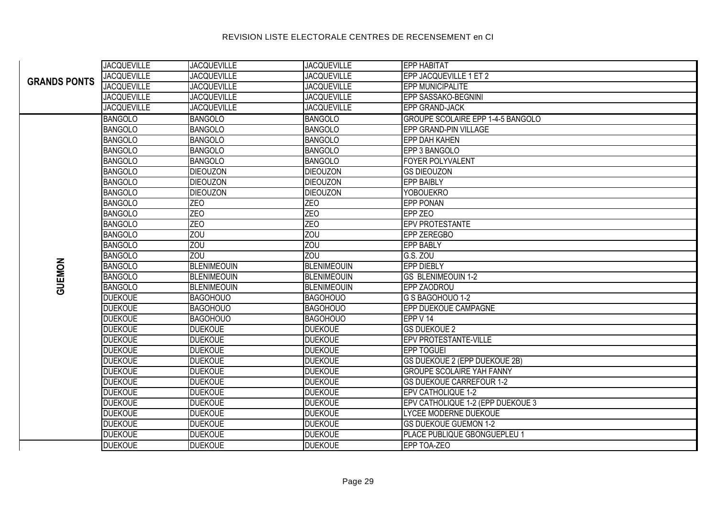#### JACQUEVILLE JACQUEVILLE JACQUEVILLE EPP HABITAT JACQUEVILLE JACQUEVILLE JACQUEVILLE EPP JACQUEVILLE 1 ET 2 JACQUEVILLE JACQUEVILLE JACQUEVILLE EPP MUNICIPALITE JACQUEVILLE JACQUEVILLE JACQUEVILLE EPP SASSAKO-BEGNINI JACQUEVILLE JACQUEVILLE JACQUEVILLE EPP GRAND-JACK BANGOLO BANGOLO BANGOLO GROUPE SCOLAIRE EPP 1-4-5 BANGOLO BANGOLO BANGOLO BANGOLO BANGOLO EPP GRAND-PIN VILLAGE BANGOLO BANGOLO BANGOLO BANGOLO EPP DAH KAHEN BANGOLO BANGOLO BANGOLO EPP 3 BANGOLO BANGOLO BANGOLO BANGOLO BANGOLO FOYER POLYVALENT BANGOLO DIEOUZON DIEOUZON GS DIEOUZON BANGOLO DIEOUZON DIEOUZON EPP BAIBLY BANGOLO DIEOUZON DIEOUZON DIEOUZON DIEOUZON YOBOUEKRO BANGOLO ZEO ZEO EPP PONAN BANGOLO ZEO ZEO EPP ZEO BANGOLO ZEO ZEO EPV PROTESTANTE zou eta estable zou eta alzou eta estable zou eta estable zon erroren eta estable zon erroren eta estable zone BANGOLO ZOU ZOU EPP BABLY BANGOLO ZOU ZOU G.S. ZOU BANGOLO BLENIMEOUIN BLENIMEOUIN EPP DIEBLY BANGOLO BLENIMEOUIN BLENIMEOUIN GS BLENIMEOUIN 1-2 BANGOLO BLENIMEOUIN BLENIMEOUIN EPP ZAODROU DUEKOUE BAGOHOUO BAGOHOUO G S BAGOHOUO 1-2 BAGOHOUO BAGOHOUO **EPP DUEKOUE CAMPAGNE** DUEKOUE BAGOHOUO BAGOHOUO EPP V 14 DUEKOUE DUEKOUE DUEKOUE GS DUEKOUE 2 DUEKOUE DUEKOUE DUEKOUE DUEKOUE EPV PROTESTANTE-VILLE DUEKOUE DUEKOUE DUEKOUE DUEKOUE DUEKOUE DUEKOUE DUEKOUE DEP TOGUEI DUEKOUE DUEKOUE DUEKOUE GS DUEKOUE 2 (EPP DUEKOUE 2B) DUEKOUE DUEKOUE DUEKOUE GROUPE SCOLAIRE YAH FANNY DUEKOUE DUEKOUE DUEKOUE GS DUEKOUE CARREFOUR 1-2 DUEKOUE DUEKOUE DUEKOUE EPV CATHOLIQUE 1-2 DUEKOUE DUEKOUE DUEKOUE EPV CATHOLIQUE 1-2 (EPP DUEKOUE 3 DUEKOUE DUEROUE DUEKOUE DUEKOUE DUEKOUE LYCEE MODERNE DUEKOUE DUEKOUE DUEKOUE DUEKOUE GS DUEKOUE GUEMON 1-2 DUEKOUE DUEKOUE DUEKOUE PLACE PUBLIQUE GBONGUEPLEU 1 DUEKOUE DUEKOUE DUEKOUE EPP TOA-ZEO **GRANDS PONTS GUEMON**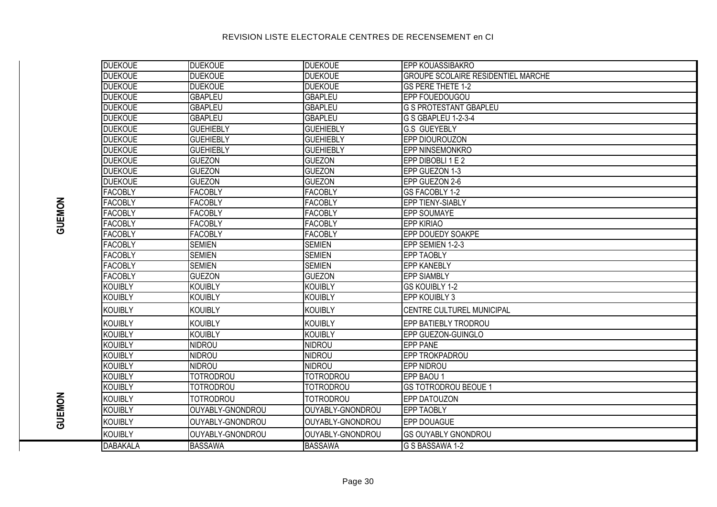| <b>DUEKOUE</b>  | <b>DUEKOUE</b>   | <b>DUEKOUE</b>   | <b>EPP KOUASSIBAKRO</b>                   |
|-----------------|------------------|------------------|-------------------------------------------|
| <b>DUEKOUE</b>  | <b>DUEKOUE</b>   | <b>DUEKOUE</b>   | <b>GROUPE SCOLAIRE RESIDENTIEL MARCHE</b> |
| <b>DUEKOUE</b>  | <b>DUEKOUE</b>   | <b>DUEKOUE</b>   | GS PERE THETE 1-2                         |
| <b>DUEKOUE</b>  | <b>GBAPLEU</b>   | <b>GBAPLEU</b>   | EPP FOUEDOUGOU                            |
| <b>DUEKOUE</b>  | <b>GBAPLEU</b>   | <b>GBAPLEU</b>   | <b>G S PROTESTANT GBAPLEU</b>             |
| <b>DUEKOUE</b>  | <b>GBAPLEU</b>   | <b>GBAPLEU</b>   | G S GBAPLEU 1-2-3-4                       |
| <b>DUEKOUE</b>  | <b>GUEHIEBLY</b> | <b>GUEHIEBLY</b> | <b>G.S GUEYEBLY</b>                       |
| <b>DUEKOUE</b>  | <b>GUEHIEBLY</b> | <b>GUEHIEBLY</b> | EPP DIOUROUZON                            |
| <b>DUEKOUE</b>  | <b>GUEHIEBLY</b> | <b>GUEHIEBLY</b> | EPP NINSEMONKRO                           |
| <b>DUEKOUE</b>  | <b>GUEZON</b>    | <b>GUEZON</b>    | EPP DIBOBLI 1 E 2                         |
| <b>DUEKOUE</b>  | <b>GUEZON</b>    | <b>GUEZON</b>    | EPP GUEZON 1-3                            |
| <b>DUEKOUE</b>  | <b>GUEZON</b>    | <b>GUEZON</b>    | EPP GUEZON 2-6                            |
| <b>FACOBLY</b>  | <b>FACOBLY</b>   | <b>FACOBLY</b>   | GS FACOBLY 1-2                            |
| <b>FACOBLY</b>  | <b>FACOBLY</b>   | <b>FACOBLY</b>   | EPP TIENY-SIABLY                          |
| <b>FACOBLY</b>  | <b>FACOBLY</b>   | <b>FACOBLY</b>   | EPP SOUMAYE                               |
| <b>FACOBLY</b>  | <b>FACOBLY</b>   | <b>FACOBLY</b>   | <b>EPP KIRIAO</b>                         |
| <b>FACOBLY</b>  | <b>FACOBLY</b>   | <b>FACOBLY</b>   | EPP DOUEDY SOAKPE                         |
| <b>FACOBLY</b>  | <b>SEMIEN</b>    | <b>SEMIEN</b>    | EPP SEMIEN 1-2-3                          |
| <b>FACOBLY</b>  | <b>SEMIEN</b>    | <b>SEMIEN</b>    | <b>EPP TAOBLY</b>                         |
| <b>FACOBLY</b>  | <b>SEMIEN</b>    | <b>SEMIEN</b>    | <b>EPP KANEBLY</b>                        |
| <b>FACOBLY</b>  | <b>GUEZON</b>    | <b>GUEZON</b>    | <b>EPP SIAMBLY</b>                        |
| <b>KOUIBLY</b>  | KOUIBLY          | <b>KOUIBLY</b>   | <b>GS KOUIBLY 1-2</b>                     |
| KOUIBLY         | KOUIBLY          | <b>KOUIBLY</b>   | EPP KOUIBLY 3                             |
| <b>KOUIBLY</b>  | <b>KOUIBLY</b>   | <b>KOUIBLY</b>   | <b>CENTRE CULTUREL MUNICIPAL</b>          |
| <b>KOUIBLY</b>  | <b>KOUIBLY</b>   | <b>KOUIBLY</b>   | EPP BATIEBLY TRODROU                      |
| <b>KOUIBLY</b>  | <b>KOUIBLY</b>   | <b>KOUIBLY</b>   | EPP GUEZON-GUINGLO                        |
| <b>KOUIBLY</b>  | <b>NIDROU</b>    | <b>NIDROU</b>    | <b>EPP PANE</b>                           |
| <b>KOUIBLY</b>  | <b>NIDROU</b>    | <b>NIDROU</b>    | EPP TROKPADROU                            |
| <b>KOUIBLY</b>  | <b>NIDROU</b>    | <b>NIDROU</b>    | <b>EPP NIDROU</b>                         |
| <b>KOUIBLY</b>  | <b>TOTRODROU</b> | <b>TOTRODROU</b> | EPP BAOU 1                                |
| <b>KOUIBLY</b>  | <b>TOTRODROU</b> | <b>TOTRODROU</b> | <b>GS TOTRODROU BEOUE 1</b>               |
| <b>KOUIBLY</b>  | <b>TOTRODROU</b> | <b>TOTRODROU</b> | EPP DATOUZON                              |
| <b>KOUIBLY</b>  | OUYABLY-GNONDROU | OUYABLY-GNONDROU | <b>EPP TAOBLY</b>                         |
| <b>KOUIBLY</b>  | OUYABLY-GNONDROU | OUYABLY-GNONDROU | EPP DOUAGUE                               |
| <b>KOUIBLY</b>  | OUYABLY-GNONDROU | OUYABLY-GNONDROU | <b>GS OUYABLY GNONDROU</b>                |
| <b>DABAKALA</b> | <b>BASSAWA</b>   | <b>BASSAWA</b>   | G S BASSAWA 1-2                           |

**GUEMON**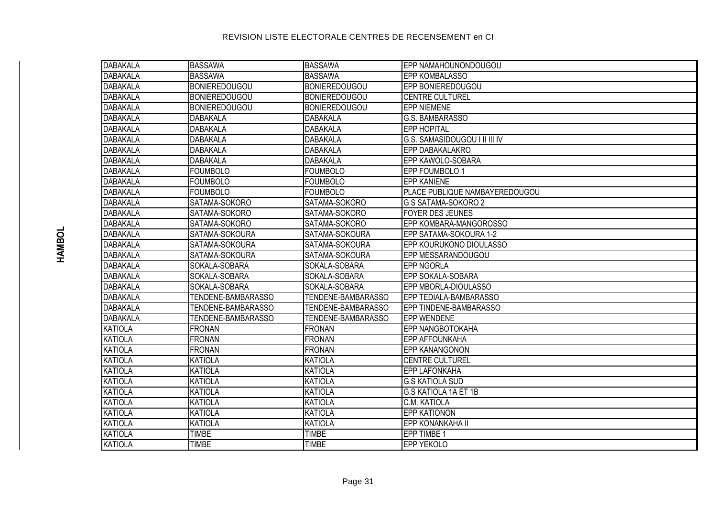| DABAKALA         | <b>BASSAWA</b>       | <b>BASSAWA</b>       | <b>EPP NAMAHOUNONDOUGOU</b>    |
|------------------|----------------------|----------------------|--------------------------------|
| <b>DABAKALA</b>  | <b>BASSAWA</b>       | <b>BASSAWA</b>       | <b>EPP KOMBALASSO</b>          |
| <b>IDABAKALA</b> | <b>BONIEREDOUGOU</b> | <b>BONIEREDOUGOU</b> | EPP BONIEREDOUGOU              |
| DABAKALA         | <b>BONIEREDOUGOU</b> | <b>BONIEREDOUGOU</b> | <b>CENTRE CULTUREL</b>         |
| <b>DABAKALA</b>  | <b>BONIEREDOUGOU</b> | <b>BONIEREDOUGOU</b> | <b>EPP NIEMENE</b>             |
| <b>DABAKALA</b>  | DABAKALA             | DABAKALA             | G.S. BAMBARASSO                |
| DABAKALA         | DABAKALA             | DABAKALA             | <b>EPP HOPITAL</b>             |
| <b>DABAKALA</b>  | <b>DABAKALA</b>      | <b>DABAKALA</b>      | G.S. SAMASIDOUGOU I II III IV  |
| <b>DABAKALA</b>  | <b>DABAKALA</b>      | <b>DABAKALA</b>      | EPP DABAKALAKRO                |
| <b>DABAKALA</b>  | <b>DABAKALA</b>      | <b>DABAKALA</b>      | EPP KAWOLO-SOBARA              |
| <b>DABAKALA</b>  | <b>FOUMBOLO</b>      | <b>FOUMBOLO</b>      | EPP FOUMBOLO 1                 |
| <b>DABAKALA</b>  | <b>FOUMBOLO</b>      | <b>FOUMBOLO</b>      | <b>EPP KANIENE</b>             |
| <b>DABAKALA</b>  | <b>FOUMBOLO</b>      | <b>FOUMBOLO</b>      | PLACE PUBLIQUE NAMBAYEREDOUGOU |
| <b>DABAKALA</b>  | SATAMA-SOKORO        | SATAMA-SOKORO        | <b>G S SATAMA-SOKORO 2</b>     |
| DABAKALA         | SATAMA-SOKORO        | SATAMA-SOKORO        | <b>FOYER DES JEUNES</b>        |
| DABAKALA         | SATAMA-SOKORO        | SATAMA-SOKORO        | EPP KOMBARA-MANGOROSSO         |
| DABAKALA         | SATAMA-SOKOURA       | SATAMA-SOKOURA       | EPP SATAMA-SOKOURA 1-2         |
| DABAKALA         | SATAMA-SOKOURA       | SATAMA-SOKOURA       | EPP KOURUKONO DIOULASSO        |
| DABAKALA         | SATAMA-SOKOURA       | SATAMA-SOKOURA       | EPP MESSARANDOUGOU             |
| DABAKALA         | SOKALA-SOBARA        | SOKALA-SOBARA        | <b>EPP NGORLA</b>              |
| DABAKALA         | SOKALA-SOBARA        | SOKALA-SOBARA        | EPP SOKALA-SOBARA              |
| DABAKALA         | SOKALA-SOBARA        | SOKALA-SOBARA        | EPP MBORLA-DIOULASSO           |
| DABAKALA         | TENDENE-BAMBARASSO   | TENDENE-BAMBARASSO   | EPP TEDIALA-BAMBARASSO         |
| DABAKALA         | TENDENE-BAMBARASSO   | TENDENE-BAMBARASSO   | EPP TINDENE-BAMBARASSO         |
| <b>DABAKALA</b>  | TENDENE-BAMBARASSO   | TENDENE-BAMBARASSO   | <b>EPP WENDENE</b>             |
| KATIOLA          | <b>FRONAN</b>        | <b>FRONAN</b>        | EPP NANGBOTOKAHA               |
| KATIOLA          | <b>FRONAN</b>        | <b>FRONAN</b>        | EPP AFFOUNKAHA                 |
| KATIOLA          | <b>FRONAN</b>        | <b>FRONAN</b>        | EPP KANANGONON                 |
| KATIOLA          | <b>KATIOLA</b>       | <b>KATIOLA</b>       | <b>CENTRE CULTUREL</b>         |
| KATIOLA          | KATIOLA              | <b>KATIOLA</b>       | <b>EPP LAFONKAHA</b>           |
| KATIOLA          | <b>KATIOLA</b>       | <b>KATIOLA</b>       | <b>G.S KATIOLA SUD</b>         |
| KATIOLA          | KATIOLA              | <b>KATIOLA</b>       | <b>G.S KATIOLA 1A ET 1B</b>    |
| KATIOLA          | <b>KATIOLA</b>       | <b>KATIOLA</b>       | C.M. KATIOLA                   |
| KATIOLA          | <b>KATIOLA</b>       | <b>KATIOLA</b>       | <b>EPP KATIONON</b>            |
| <b>KATIOLA</b>   | <b>KATIOLA</b>       | <b>KATIOLA</b>       | EPP KONANKAHA II               |
| <b>KATIOLA</b>   | <b>TIMBE</b>         | <b>TIMBE</b>         | EPP TIMBE 1                    |
| KATIOLA          | <b>TIMBE</b>         | <b>TIMBE</b>         | <b>EPP YEKOLO</b>              |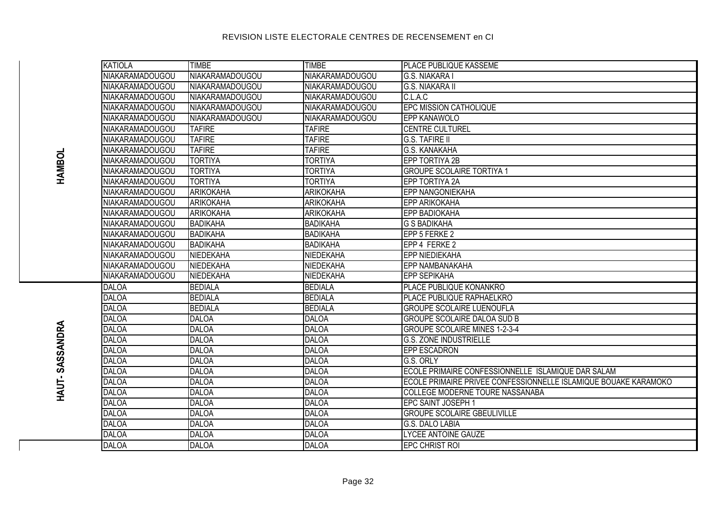| KATIOLA                | <b>TIMBE</b>     | <b>TIMBE</b>           | <b>PLACE PUBLIQUE KASSEME</b>                                   |
|------------------------|------------------|------------------------|-----------------------------------------------------------------|
| <b>NIAKARAMADOUGOU</b> | NIAKARAMADOUGOU  | NIAKARAMADOUGOU        | <b>G.S. NIAKARA I</b>                                           |
| <b>NIAKARAMADOUGOU</b> | NIAKARAMADOUGOU  | NIAKARAMADOUGOU        | <b>G.S. NIAKARA II</b>                                          |
| NIAKARAMADOUGOU        | NIAKARAMADOUGOU  | NIAKARAMADOUGOU        | C.L.A.C                                                         |
| <b>NIAKARAMADOUGOU</b> | NIAKARAMADOUGOU  | NIAKARAMADOUGOU        | <b>EPC MISSION CATHOLIQUE</b>                                   |
| <b>NIAKARAMADOUGOU</b> | NIAKARAMADOUGOU  | <b>NIAKARAMADOUGOU</b> | EPP KANAWOLO                                                    |
| NIAKARAMADOUGOU        | <b>TAFIRE</b>    | <b>TAFIRE</b>          | <b>CENTRE CULTUREL</b>                                          |
| <b>NIAKARAMADOUGOU</b> | <b>TAFIRE</b>    | <b>TAFIRE</b>          | <b>G.S. TAFIRE II</b>                                           |
| <b>NIAKARAMADOUGOU</b> | <b>TAFIRE</b>    | <b>TAFIRE</b>          | <b>G.S. KANAKAHA</b>                                            |
| NIAKARAMADOUGOU        | <b>TORTIYA</b>   | <b>TORTIYA</b>         | EPP TORTIYA 2B                                                  |
| <b>NIAKARAMADOUGOU</b> | <b>TORTIYA</b>   | <b>TORTIYA</b>         | <b>GROUPE SCOLAIRE TORTIYA 1</b>                                |
| <b>NIAKARAMADOUGOU</b> | <b>TORTIYA</b>   | <b>TORTIYA</b>         | <b>EPP TORTIYA 2A</b>                                           |
| <b>NIAKARAMADOUGOU</b> | <b>ARIKOKAHA</b> | <b>ARIKOKAHA</b>       | <b>EPP NANGONIEKAHA</b>                                         |
| <b>NIAKARAMADOUGOU</b> | <b>ARIKOKAHA</b> | <b>ARIKOKAHA</b>       | <b>EPP ARIKOKAHA</b>                                            |
| NIAKARAMADOUGOU        | <b>ARIKOKAHA</b> | <b>ARIKOKAHA</b>       | <b>EPP BADIOKAHA</b>                                            |
| NIAKARAMADOUGOU        | <b>BADIKAHA</b>  | <b>BADIKAHA</b>        | <b>G S BADIKAHA</b>                                             |
| <b>NIAKARAMADOUGOU</b> | <b>BADIKAHA</b>  | <b>BADIKAHA</b>        | EPP 5 FERKE 2                                                   |
| <b>NIAKARAMADOUGOU</b> | <b>BADIKAHA</b>  | <b>BADIKAHA</b>        | EPP 4 FERKE 2                                                   |
| NIAKARAMADOUGOU        | <b>NIEDEKAHA</b> | NIEDEKAHA              | <b>IEPP NIEDIEKAHA</b>                                          |
| NIAKARAMADOUGOU        | <b>NIEDEKAHA</b> | NIEDEKAHA              | EPP NAMBANAKAHA                                                 |
| <b>NIAKARAMADOUGOU</b> | <b>NIEDEKAHA</b> | NIEDEKAHA              | <b>EPP SEPIKAHA</b>                                             |
| <b>DALOA</b>           | <b>BEDIALA</b>   | <b>BEDIALA</b>         | <b>PLACE PUBLIQUE KONANKRO</b>                                  |
| <b>DALOA</b>           | <b>BEDIALA</b>   | <b>BEDIALA</b>         | <b>PLACE PUBLIQUE RAPHAELKRO</b>                                |
| <b>DALOA</b>           | <b>BEDIALA</b>   | <b>BEDIALA</b>         | <b>GROUPE SCOLAIRE LUENOUFLA</b>                                |
| <b>DALOA</b>           | <b>DALOA</b>     | <b>DALOA</b>           | <b>GROUPE SCOLAIRE DALOA SUD B</b>                              |
| <b>DALOA</b>           | <b>DALOA</b>     | <b>DALOA</b>           | <b>GROUPE SCOLAIRE MINES 1-2-3-4</b>                            |
| <b>DALOA</b>           | <b>DALOA</b>     | <b>DALOA</b>           | <b>G.S. ZONE INDUSTRIELLE</b>                                   |
| <b>DALOA</b>           | <b>DALOA</b>     | <b>DALOA</b>           | <b>EPP ESCADRON</b>                                             |
| <b>DALOA</b>           | <b>DALOA</b>     | <b>DALOA</b>           | G.S. ORLY                                                       |
| <b>DALOA</b>           | <b>DALOA</b>     | <b>DALOA</b>           | ECOLE PRIMAIRE CONFESSIONNELLE ISLAMIQUE DAR SALAM              |
| <b>DALOA</b>           | <b>DALOA</b>     | <b>DALOA</b>           | ECOLE PRIMAIRE PRIVEE CONFESSIONNELLE ISLAMIQUE BOUAKE KARAMOKO |
| <b>DALOA</b>           | <b>DALOA</b>     | <b>DALOA</b>           | COLLEGE MODERNE TOURE NASSANABA                                 |
| <b>DALOA</b>           | <b>DALOA</b>     | <b>DALOA</b>           | EPC SAINT JOSEPH 1                                              |
| <b>DALOA</b>           | <b>DALOA</b>     | <b>DALOA</b>           | <b>GROUPE SCOLAIRE GBEULIVILLE</b>                              |
| <b>DALOA</b>           | <b>DALOA</b>     | <b>DALOA</b>           | G.S. DALO LABIA                                                 |
| <b>DALOA</b>           | <b>DALOA</b>     | <b>DALOA</b>           | LYCEE ANTOINE GAUZE                                             |
| DALOA                  | <b>DALOA</b>     | DALOA                  | <b>IEPC CHRIST ROI</b>                                          |

HAUT-SASSANDRA **HAUT- SASSANDRA**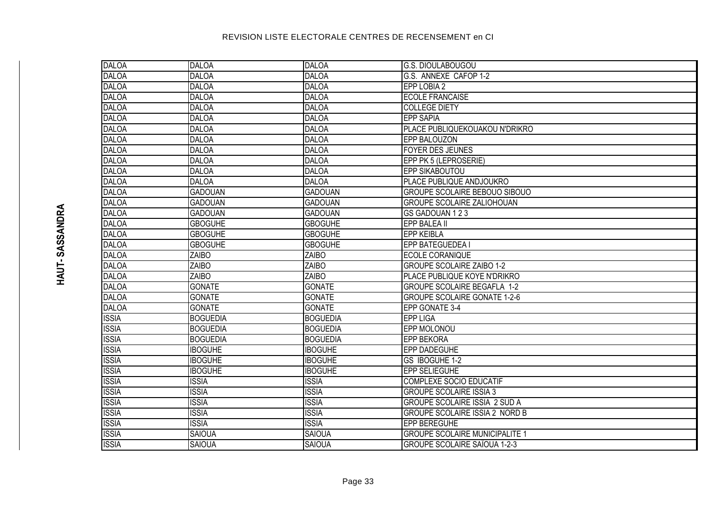| DALOA        | <b>DALOA</b>    | <b>DALOA</b>    | <b>G.S. DIOULABOUGOU</b>              |
|--------------|-----------------|-----------------|---------------------------------------|
| <b>DALOA</b> | <b>DALOA</b>    | <b>DALOA</b>    | G.S. ANNEXE CAFOP 1-2                 |
| DALOA        | <b>DALOA</b>    | <b>DALOA</b>    | EPP LOBIA 2                           |
| DALOA        | <b>DALOA</b>    | <b>DALOA</b>    | <b>ECOLE FRANCAISE</b>                |
| <b>DALOA</b> | <b>DALOA</b>    | <b>DALOA</b>    | <b>COLLEGE DIETY</b>                  |
| DALOA        | <b>DALOA</b>    | <b>DALOA</b>    | <b>EPP SAPIA</b>                      |
| <b>DALOA</b> | <b>DALOA</b>    | <b>DALOA</b>    | PLACE PUBLIQUEKOUAKOU N'DRIKRO        |
| DALOA        | <b>DALOA</b>    | <b>DALOA</b>    | <b>EPP BALOUZON</b>                   |
| DALOA        | <b>DALOA</b>    | <b>DALOA</b>    | <b>FOYER DES JEUNES</b>               |
| <b>DALOA</b> | <b>DALOA</b>    | <b>DALOA</b>    | EPP PK 5 (LEPROSERIE)                 |
| DALOA        | <b>DALOA</b>    | <b>DALOA</b>    | EPP SIKABOUTOU                        |
| <b>DALOA</b> | <b>DALOA</b>    | <b>DALOA</b>    | PLACE PUBLIQUE ANDJOUKRO              |
| <b>DALOA</b> | <b>GADOUAN</b>  | <b>GADOUAN</b>  | <b>GROUPE SCOLAIRE BEBOUO SIBOUO</b>  |
| <b>DALOA</b> | <b>GADOUAN</b>  | <b>GADOUAN</b>  | <b>GROUPE SCOLAIRE ZALIOHOUAN</b>     |
| <b>DALOA</b> | <b>GADOUAN</b>  | <b>GADOUAN</b>  | GS GADOUAN 123                        |
| DALOA        | <b>GBOGUHE</b>  | <b>GBOGUHE</b>  | EPP BALEA II                          |
| DALOA        | <b>GBOGUHE</b>  | <b>GBOGUHE</b>  | <b>EPP KEIBLA</b>                     |
| DALOA        | <b>GBOGUHE</b>  | <b>GBOGUHE</b>  | EPP BATEGUEDEA                        |
| DALOA        | <b>ZAIBO</b>    | <b>ZAIBO</b>    | ECOLE CORANIQUE                       |
| DALOA        | <b>ZAIBO</b>    | <b>ZAIBO</b>    | <b>GROUPE SCOLAIRE ZAIBO 1-2</b>      |
| DALOA        | <b>ZAIBO</b>    | <b>ZAIBO</b>    | PLACE PUBLIQUE KOYE N'DRIKRO          |
| DALOA        | <b>GONATE</b>   | <b>GONATE</b>   | <b>GROUPE SCOLAIRE BEGAFLA 1-2</b>    |
| DALOA        | <b>GONATE</b>   | <b>GONATE</b>   | <b>GROUPE SCOLAIRE GONATE 1-2-6</b>   |
| DALOA        | <b>GONATE</b>   | <b>GONATE</b>   | EPP GONATE 3-4                        |
| <b>ISSIA</b> | <b>BOGUEDIA</b> | <b>BOGUEDIA</b> | <b>EPP LIGA</b>                       |
| <b>ISSIA</b> | <b>BOGUEDIA</b> | <b>BOGUEDIA</b> | EPP MOLONOU                           |
| <b>ISSIA</b> | <b>BOGUEDIA</b> | <b>BOGUEDIA</b> | <b>EPP BEKORA</b>                     |
| <b>ISSIA</b> | <b>IBOGUHE</b>  | <b>IBOGUHE</b>  | EPP DADEGUHE                          |
| <b>ISSIA</b> | <b>IBOGUHE</b>  | <b>IBOGUHE</b>  | GS IBOGUHE 1-2                        |
| <b>ISSIA</b> | <b>IBOGUHE</b>  | <b>IBOGUHE</b>  | EPP SELIEGUHE                         |
| <b>ISSIA</b> | <b>ISSIA</b>    | <b>ISSIA</b>    | <b>COMPLEXE SOCIO EDUCATIF</b>        |
| <b>ISSIA</b> | <b>ISSIA</b>    | <b>ISSIA</b>    | <b>GROUPE SCOLAIRE ISSIA 3</b>        |
| <b>ISSIA</b> | <b>ISSIA</b>    | <b>ISSIA</b>    | GROUPE SCOLAIRE ISSIA 2 SUD A         |
| <b>ISSIA</b> | <b>ISSIA</b>    | <b>ISSIA</b>    | GROUPE SCOLAIRE ISSIA 2 NORD B        |
| <b>ISSIA</b> | <b>ISSIA</b>    | <b>ISSIA</b>    | EPP BEREGUHE                          |
| <b>ISSIA</b> | <b>SAIOUA</b>   | <b>SAIOUA</b>   | <b>GROUPE SCOLAIRE MUNICIPALITE 1</b> |
| <b>ISSIA</b> | <b>SAIOUA</b>   | <b>SAIOUA</b>   | <b>GROUPE SCOLAIRE SAÏOUA 1-2-3</b>   |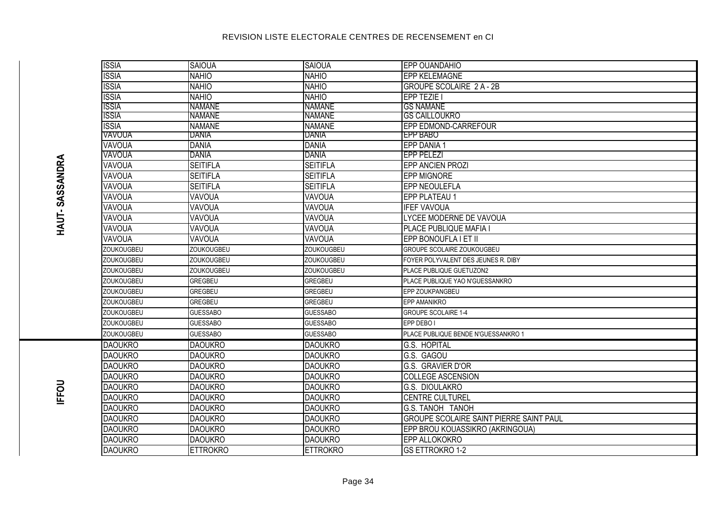| <b>ISSIA</b>      | <b>SAIOUA</b>     | <b>SAIOUA</b>     | <b>EPP OUANDAHIO</b>                           |
|-------------------|-------------------|-------------------|------------------------------------------------|
| <b>ISSIA</b>      | <b>NAHIO</b>      | <b>NAHIO</b>      | <b>EPP KELEMAGNE</b>                           |
| <b>ISSIA</b>      | <b>NAHIO</b>      | <b>NAHIO</b>      | <b>GROUPE SCOLAIRE 2 A - 2B</b>                |
| <b>ISSIA</b>      | <b>NAHIO</b>      | <b>NAHIO</b>      | <b>EPP TEZIE</b>                               |
| <b>ISSIA</b>      | <b>NAMANE</b>     | <b>NAMANE</b>     | <b>GS NAMANE</b>                               |
| <b>ISSIA</b>      | <b>NAMANE</b>     | <b>NAMANE</b>     | <b>GS CAILLOUKRO</b>                           |
| <b>ISSIA</b>      | <b>NAMANE</b>     | <b>NAMANE</b>     | EPP EDMOND-CARREFOUR                           |
| VAVOUA            | DANIA             | DANIA             | IEPP BABO                                      |
| VAVOUA            | <b>DANIA</b>      | <b>DANIA</b>      | <b>EPP DANIA 1</b>                             |
| VAVOUA            | <b>DANIA</b>      | <b>DANIA</b>      | <b>EPP PELEZI</b>                              |
| VAVOUA            | <b>SEITIFLA</b>   | <b>SEITIFLA</b>   | <b>EPP ANCIEN PROZI</b>                        |
| VAVOUA            | <b>SEITIFLA</b>   | <b>SEITIFLA</b>   | <b>EPP MIGNORE</b>                             |
| VAVOUA            | <b>SEITIFLA</b>   | <b>SEITIFLA</b>   | <b>EPP NEOULEFLA</b>                           |
| VAVOUA            | VAVOUA            | VAVOUA            | <b>EPP PLATEAU 1</b>                           |
| VAVOUA            | VAVOUA            | VAVOUA            | <b>IFEF VAVOUA</b>                             |
| VAVOUA            | VAVOUA            | VAVOUA            | LYCEE MODERNE DE VAVOUA                        |
| VAVOUA            | VAVOUA            | VAVOUA            | PLACE PUBLIQUE MAFIA I                         |
| VAVOUA            | VAVOUA            | VAVOUA            | EPP BONOUFLA I ET II                           |
| <b>ZOUKOUGBEU</b> | <b>ZOUKOUGBEU</b> | <b>ZOUKOUGBEU</b> | <b>GROUPE SCOLAIRE ZOUKOUGBEU</b>              |
| ZOUKOUGBEU        | ZOUKOUGBEU        | ZOUKOUGBEU        | FOYER POLYVALENT DES JEUNES R. DIBY            |
| ZOUKOUGBEU        | ZOUKOUGBEU        | ZOUKOUGBEU        | PLACE PUBLIQUE GUETUZON2                       |
| ZOUKOUGBEU        | <b>GREGBEU</b>    | <b>GREGBEU</b>    | PLACE PUBLIQUE YAO N'GUESSANKRO                |
| ZOUKOUGBEU        | <b>GREGBEU</b>    | <b>GREGBEU</b>    | EPP ZOUKPANGBEU                                |
| <b>ZOUKOUGBEU</b> | <b>GREGBEU</b>    | <b>GREGBEU</b>    | <b>EPP AMANIKRO</b>                            |
| ZOUKOUGBEU        | <b>GUESSABO</b>   | <b>GUESSABO</b>   | <b>GROUPE SCOLAIRE 1-4</b>                     |
| ZOUKOUGBEU        | <b>GUESSABO</b>   | <b>GUESSABO</b>   | EPP DEBO I                                     |
| ZOUKOUGBEU        | <b>GUESSABO</b>   | <b>GUESSABO</b>   | PLACE PUBLIQUE BENDE N'GUESSANKRO 1            |
| <b>DAOUKRO</b>    | <b>DAOUKRO</b>    | <b>DAOUKRO</b>    | G.S. HOPITAL                                   |
| <b>DAOUKRO</b>    | <b>DAOUKRO</b>    | <b>DAOUKRO</b>    | G.S. GAGOU                                     |
| <b>DAOUKRO</b>    | <b>DAOUKRO</b>    | <b>DAOUKRO</b>    | G.S. GRAVIER D'OR                              |
| <b>DAOUKRO</b>    | <b>DAOUKRO</b>    | <b>DAOUKRO</b>    | <b>COLLEGE ASCENSION</b>                       |
| <b>DAOUKRO</b>    | <b>DAOUKRO</b>    | <b>DAOUKRO</b>    | G.S. DIOULAKRO                                 |
| <b>DAOUKRO</b>    | <b>DAOUKRO</b>    | <b>DAOUKRO</b>    | <b>CENTRE CULTUREL</b>                         |
| <b>DAOUKRO</b>    | <b>DAOUKRO</b>    | <b>DAOUKRO</b>    | <b>G.S. TANOH TANOH</b>                        |
| <b>DAOUKRO</b>    | <b>DAOUKRO</b>    | <b>DAOUKRO</b>    | <b>GROUPE SCOLAIRE SAINT PIERRE SAINT PAUL</b> |
| <b>DAOUKRO</b>    | <b>DAOUKRO</b>    | <b>DAOUKRO</b>    | EPP BROU KOUASSIKRO (AKRINGOUA)                |
| <b>DAOUKRO</b>    | <b>DAOUKRO</b>    | <b>DAOUKRO</b>    | EPP ALLOKOKRO                                  |
| <b>DAOUKRO</b>    | <b>ETTROKRO</b>   | <b>ETTROKRO</b>   | <b>GS ETTROKRO 1-2</b>                         |
|                   |                   |                   |                                                |

IFFOU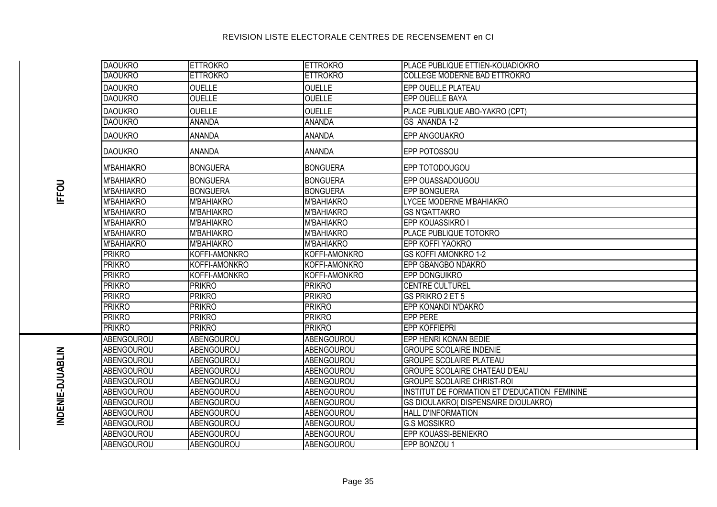| <b>DAOUKRO</b>    | <b>ETTROKRO</b>   | <b>ETTROKRO</b>   | <b>PLACE PUBLIQUE ETTIEN-KOUADIOKRO</b>       |
|-------------------|-------------------|-------------------|-----------------------------------------------|
| <b>DAOUKRO</b>    | <b>ETTROKRO</b>   | <b>ETTROKRO</b>   | <b>COLLEGE MODERNE BAD ETTROKRO</b>           |
| <b>DAOUKRO</b>    | <b>OUELLE</b>     | <b>OUELLE</b>     | <b>EPP OUELLE PLATEAU</b>                     |
| <b>DAOUKRO</b>    | <b>OUELLE</b>     | <b>OUELLE</b>     | EPP OUELLE BAYA                               |
| <b>DAOUKRO</b>    | <b>OUELLE</b>     | <b>OUELLE</b>     | PLACE PUBLIQUE ABO-YAKRO (CPT)                |
| <b>DAOUKRO</b>    | <b>ANANDA</b>     | ANANDA            | GS ANANDA 1-2                                 |
| <b>DAOUKRO</b>    | <b>ANANDA</b>     | ANANDA            | EPP ANGOUAKRO                                 |
| <b>DAOUKRO</b>    | <b>ANANDA</b>     | <b>ANANDA</b>     | EPP POTOSSOU                                  |
| <b>M'BAHIAKRO</b> | <b>BONGUERA</b>   | <b>BONGUERA</b>   | EPP TOTODOUGOU                                |
| <b>M'BAHIAKRO</b> | <b>BONGUERA</b>   | <b>BONGUERA</b>   | EPP OUASSADOUGOU                              |
| M'BAHIAKRO        | <b>BONGUERA</b>   | <b>BONGUERA</b>   | <b>EPP BONGUERA</b>                           |
| <b>M'BAHIAKRO</b> | M'BAHIAKRO        | <b>M'BAHIAKRO</b> | LYCEE MODERNE M'BAHIAKRO                      |
| M'BAHIAKRO        | M'BAHIAKRO        | M'BAHIAKRO        | <b>GS N'GATTAKRO</b>                          |
| <b>M'BAHIAKRO</b> | <b>M'BAHIAKRO</b> | M'BAHIAKRO        | <b>EPP KOUASSIKRO I</b>                       |
| M'BAHIAKRO        | M'BAHIAKRO        | M'BAHIAKRO        | PLACE PUBLIQUE TOTOKRO                        |
| <b>M'BAHIAKRO</b> | <b>M'BAHIAKRO</b> | M'BAHIAKRO        | <b>EPP KOFFI YAOKRO</b>                       |
| <b>PRIKRO</b>     | KOFFI-AMONKRO     | KOFFI-AMONKRO     | <b>GS KOFFI AMONKRO 1-2</b>                   |
| <b>PRIKRO</b>     | KOFFI-AMONKRO     | KOFFI-AMONKRO     | <b>EPP GBANGBO NDAKRO</b>                     |
| <b>PRIKRO</b>     | KOFFI-AMONKRO     | KOFFI-AMONKRO     | EPP DONGUIKRO                                 |
| <b>PRIKRO</b>     | <b>PRIKRO</b>     | <b>PRIKRO</b>     | <b>CENTRE CULTUREL</b>                        |
| <b>PRIKRO</b>     | <b>PRIKRO</b>     | <b>PRIKRO</b>     | GS PRIKRO 2 ET 5                              |
| <b>PRIKRO</b>     | <b>PRIKRO</b>     | <b>PRIKRO</b>     | EPP KONANDI N'DAKRO                           |
| <b>PRIKRO</b>     | <b>PRIKRO</b>     | <b>PRIKRO</b>     | <b>EPP PERE</b>                               |
| <b>PRIKRO</b>     | <b>PRIKRO</b>     | <b>PRIKRO</b>     | <b>EPP KOFFIEPRI</b>                          |
| <b>ABENGOUROU</b> | <b>ABENGOUROU</b> | <b>ABENGOUROU</b> | EPP HENRI KONAN BEDIE                         |
| <b>ABENGOUROU</b> | <b>ABENGOUROU</b> | <b>ABENGOUROU</b> | <b>GROUPE SCOLAIRE INDENIE</b>                |
| ABENGOUROU        | <b>ABENGOUROU</b> | ABENGOUROU        | <b>GROUPE SCOLAIRE PLATEAU</b>                |
| <b>ABENGOUROU</b> | <b>ABENGOUROU</b> | <b>ABENGOUROU</b> | <b>GROUPE SCOLAIRE CHATEAU D'EAU</b>          |
| <b>ABENGOUROU</b> | <b>ABENGOUROU</b> | <b>ABENGOUROU</b> | <b>GROUPE SCOLAIRE CHRIST-ROI</b>             |
| <b>ABENGOUROU</b> | <b>ABENGOUROU</b> | <b>ABENGOUROU</b> | INSTITUT DE FORMATION ET D'EDUCATION FEMININE |
| <b>ABENGOUROU</b> | <b>ABENGOUROU</b> | ABENGOUROU        | GS DIOULAKRO( DISPENSAIRE DIOULAKRO)          |
| <b>ABENGOUROU</b> | <b>ABENGOUROU</b> | <b>ABENGOUROU</b> | <b>HALL D'INFORMATION</b>                     |
| <b>ABENGOUROU</b> | <b>ABENGOUROU</b> | <b>ABENGOUROU</b> | <b>G.S MOSSIKRO</b>                           |
| ABENGOUROU        | <b>ABENGOUROU</b> | ABENGOUROU        | EPP KOUASSI-BENIEKRO                          |
| <b>ABENGOUROU</b> | <b>ABENGOUROU</b> | <b>ABENGOUROU</b> | EPP BONZOU 1                                  |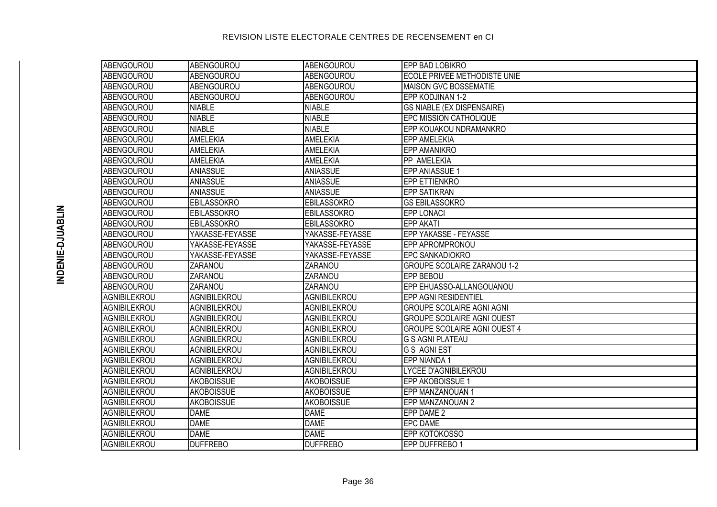| ABENGOUROU          | <b>ABENGOUROU</b>   | ABENGOUROU          | EPP BAD LOBIKRO                     |
|---------------------|---------------------|---------------------|-------------------------------------|
| ABENGOUROU          | ABENGOUROU          | ABENGOUROU          | ECOLE PRIVEE METHODISTE UNIE        |
| ABENGOUROU          | <b>ABENGOUROU</b>   | ABENGOUROU          | <b>MAISON GVC BOSSEMATIE</b>        |
| ABENGOUROU          | <b>ABENGOUROU</b>   | ABENGOUROU          | EPP KODJINAN 1-2                    |
| ABENGOUROU          | <b>NIABLE</b>       | <b>NIABLE</b>       | <b>GS NIABLE (EX DISPENSAIRE)</b>   |
| ABENGOUROU          | <b>NIABLE</b>       | <b>NIABLE</b>       | <b>EPC MISSION CATHOLIQUE</b>       |
| ABENGOUROU          | <b>NIABLE</b>       | <b>NIABLE</b>       | EPP KOUAKOU NDRAMANKRO              |
| ABENGOUROU          | <b>AMELEKIA</b>     | <b>AMELEKIA</b>     | <b>EPP AMELEKIA</b>                 |
| ABENGOUROU          | <b>AMELEKIA</b>     | <b>AMELEKIA</b>     | <b>EPP AMANIKRO</b>                 |
| ABENGOUROU          | <b>AMELEKIA</b>     | <b>AMELEKIA</b>     | PP AMELEKIA                         |
| ABENGOUROU          | <b>ANIASSUE</b>     | <b>ANIASSUE</b>     | EPP ANIASSUE 1                      |
| ABENGOUROU          | <b>ANIASSUE</b>     | <b>ANIASSUE</b>     | <b>EPP ETTIENKRO</b>                |
| ABENGOUROU          | <b>ANIASSUE</b>     | <b>ANIASSUE</b>     | <b>EPP SATIKRAN</b>                 |
| ABENGOUROU          | <b>EBILASSOKRO</b>  | <b>EBILASSOKRO</b>  | <b>GS EBILASSOKRO</b>               |
| ABENGOUROU          | <b>EBILASSOKRO</b>  | <b>EBILASSOKRO</b>  | <b>EPP LONACI</b>                   |
| ABENGOUROU          | <b>EBILASSOKRO</b>  | <b>EBILASSOKRO</b>  | <b>EPP AKATI</b>                    |
| ABENGOUROU          | YAKASSE-FEYASSE     | YAKASSE-FEYASSE     | <b>EPP YAKASSE - FEYASSE</b>        |
| ABENGOUROU          | YAKASSE-FEYASSE     | YAKASSE-FEYASSE     | EPP APROMPRONOU                     |
| ABENGOUROU          | YAKASSE-FEYASSE     | YAKASSE-FEYASSE     | EPC SANKADIOKRO                     |
| ABENGOUROU          | ZARANOU             | ZARANOU             | <b>GROUPE SCOLAIRE ZARANOU 1-2</b>  |
| ABENGOUROU          | ZARANOU             | ZARANOU             | EPP BEBOU                           |
| ABENGOUROU          | ZARANOU             | ZARANOU             | EPP EHUASSO-ALLANGOUANOU            |
| AGNIBILEKROU        | <b>AGNIBILEKROU</b> | <b>AGNIBILEKROU</b> | <b>EPP AGNI RESIDENTIEL</b>         |
| AGNIBILEKROU        | <b>AGNIBILEKROU</b> | <b>AGNIBILEKROU</b> | <b>GROUPE SCOLAIRE AGNI AGNI</b>    |
| AGNIBILEKROU        | AGNIBILEKROU        | AGNIBILEKROU        | <b>GROUPE SCOLAIRE AGNI OUEST</b>   |
| AGNIBILEKROU        | AGNIBILEKROU        | AGNIBILEKROU        | <b>GROUPE SCOLAIRE AGNI OUEST 4</b> |
| AGNIBILEKROU        | <b>AGNIBILEKROU</b> | AGNIBILEKROU        | <b>G S AGNI PLATEAU</b>             |
| AGNIBILEKROU        | <b>AGNIBILEKROU</b> | AGNIBILEKROU        | <b>G S AGNI EST</b>                 |
| AGNIBILEKROU        | <b>AGNIBILEKROU</b> | <b>AGNIBILEKROU</b> | EPP NIANDA 1                        |
| <b>AGNIBILEKROU</b> | <b>AGNIBILEKROU</b> | AGNIBILEKROU        | <b>LYCEE D'AGNIBILEKROU</b>         |
| AGNIBILEKROU        | <b>AKOBOISSUE</b>   | <b>AKOBOISSUE</b>   | EPP AKOBOISSUE 1                    |
| AGNIBILEKROU        | <b>AKOBOISSUE</b>   | <b>AKOBOISSUE</b>   | EPP MANZANOUAN 1                    |
| AGNIBILEKROU        | <b>AKOBOISSUE</b>   | <b>AKOBOISSUE</b>   | EPP MANZANOUAN 2                    |
| AGNIBILEKROU        | <b>DAME</b>         | <b>DAME</b>         | EPP DAME 2                          |
| AGNIBILEKROU        | <b>DAME</b>         | <b>DAME</b>         | <b>EPC DAME</b>                     |
| AGNIBILEKROU        | <b>DAME</b>         | <b>DAME</b>         | EPP KOTOKOSSO                       |
| AGNIBILEKROU        | <b>DUFFREBO</b>     | <b>DUFFREBO</b>     | EPP DUFFREBO 1                      |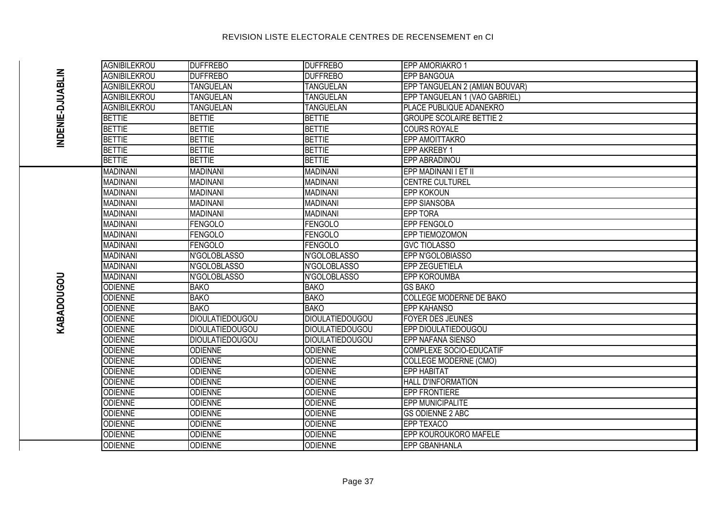|                  | AGNIBILEKROU        | <b>DUFFREBO</b>        | <b>DUFFREBO</b>        | EPP AMORIAKRO 1                 |
|------------------|---------------------|------------------------|------------------------|---------------------------------|
|                  | <b>AGNIBILEKROU</b> | <b>DUFFREBO</b>        | <b>DUFFREBO</b>        | <b>EPP BANGOUA</b>              |
| INDENIE-DJUABLIN | <b>AGNIBILEKROU</b> | <b>TANGUELAN</b>       | <b>TANGUELAN</b>       | EPP TANGUELAN 2 (AMIAN BOUVAR)  |
|                  | <b>AGNIBILEKROU</b> | <b>TANGUELAN</b>       | <b>TANGUELAN</b>       | EPP TANGUELAN 1 (VAO GABRIEL)   |
|                  | <b>AGNIBILEKROU</b> | <b>TANGUELAN</b>       | <b>TANGUELAN</b>       | PLACE PUBLIQUE ADANEKRO         |
|                  | <b>BETTIE</b>       | <b>BETTIE</b>          | <b>BETTIE</b>          | <b>GROUPE SCOLAIRE BETTIE 2</b> |
|                  | <b>BETTIE</b>       | <b>BETTIE</b>          | <b>BETTIE</b>          | <b>COURS ROYALE</b>             |
|                  | <b>BETTIE</b>       | <b>BETTIE</b>          | <b>BETTIE</b>          | <b>EPP AMOITTAKRO</b>           |
|                  | <b>BETTIE</b>       | <b>BETTIE</b>          | <b>BETTIE</b>          | <b>EPP AKREBY 1</b>             |
|                  | <b>BETTIE</b>       | <b>BETTIE</b>          | <b>BETTIE</b>          | <b>EPP ABRADINOU</b>            |
|                  | <b>MADINANI</b>     | <b>MADINANI</b>        | <b>MADINANI</b>        | EPP MADINANI I ET II            |
|                  | <b>MADINANI</b>     | <b>MADINANI</b>        | <b>MADINANI</b>        | <b>CENTRE CULTUREL</b>          |
|                  | <b>MADINANI</b>     | <b>MADINANI</b>        | <b>MADINANI</b>        | <b>EPP KOKOUN</b>               |
|                  | <b>MADINANI</b>     | <b>MADINANI</b>        | <b>MADINANI</b>        | <b>EPP SIANSOBA</b>             |
|                  | <b>MADINANI</b>     | <b>MADINANI</b>        | <b>MADINANI</b>        | <b>EPP TORA</b>                 |
|                  | <b>MADINANI</b>     | <b>FENGOLO</b>         | <b>FENGOLO</b>         | EPP FENGOLO                     |
|                  | <b>MADINANI</b>     | <b>FENGOLO</b>         | <b>FENGOLO</b>         | <b>EPP TIEMOZOMON</b>           |
|                  | <b>MADINANI</b>     | FENGOLO                | <b>FENGOLO</b>         | <b>GVC TIOLASSO</b>             |
|                  | <b>MADINANI</b>     | N'GOLOBLASSO           | N'GOLOBLASSO           | EPP N'GOLOBIASSO                |
|                  | <b>MADINANI</b>     | N'GOLOBLASSO           | N'GOLOBLASSO           | <b>EPP ZEGUETIELA</b>           |
|                  | <b>MADINANI</b>     | N'GOLOBLASSO           | N'GOLOBLASSO           | <b>EPP KOROUMBA</b>             |
|                  | <b>ODIENNE</b>      | <b>BAKO</b>            | <b>BAKO</b>            | <b>GS BAKO</b>                  |
| KABADOUGOU       | <b>ODIENNE</b>      | <b>BAKO</b>            | <b>BAKO</b>            | <b>COLLEGE MODERNE DE BAKO</b>  |
|                  | <b>ODIENNE</b>      | <b>BAKO</b>            | <b>BAKO</b>            | <b>EPP KAHANSO</b>              |
|                  | <b>ODIENNE</b>      | <b>DIOULATIEDOUGOU</b> | <b>DIOULATIEDOUGOU</b> | <b>FOYER DES JEUNES</b>         |
|                  | <b>ODIENNE</b>      | <b>DIOULATIEDOUGOU</b> | <b>DIOULATIEDOUGOU</b> | EPP DIOULATIEDOUGOU             |
|                  | <b>ODIENNE</b>      | <b>DIOULATIEDOUGOU</b> | <b>DIOULATIEDOUGOU</b> | EPP NAFANA SIENSO               |
|                  | <b>ODIENNE</b>      | <b>ODIENNE</b>         | <b>ODIENNE</b>         | COMPLEXE SOCIO-EDUCATIF         |
|                  | <b>ODIENNE</b>      | <b>ODIENNE</b>         | <b>ODIENNE</b>         | <b>COLLEGE MODERNE (CMO)</b>    |
|                  | <b>ODIENNE</b>      | <b>ODIENNE</b>         | <b>ODIENNE</b>         | <b>EPP HABITAT</b>              |
|                  | <b>ODIENNE</b>      | <b>ODIENNE</b>         | <b>ODIENNE</b>         | HALL D'INFORMATION              |
|                  | <b>ODIENNE</b>      | <b>ODIENNE</b>         | <b>ODIENNE</b>         | <b>EPP FRONTIERE</b>            |
|                  | <b>ODIENNE</b>      | <b>ODIENNE</b>         | <b>ODIENNE</b>         | <b>EPP MUNICIPALITE</b>         |
|                  | <b>ODIENNE</b>      | <b>ODIENNE</b>         | <b>ODIENNE</b>         | <b>GS ODIENNE 2 ABC</b>         |
|                  | <b>ODIENNE</b>      | <b>ODIENNE</b>         | <b>ODIENNE</b>         | EPP TEXACO                      |
|                  | <b>ODIENNE</b>      | <b>ODIENNE</b>         | <b>ODIENNE</b>         | EPP KOUROUKORO MAFELE           |
|                  | <b>ODIENNE</b>      | <b>ODIENNE</b>         | <b>ODIENNE</b>         | <b>EPP GBANHANLA</b>            |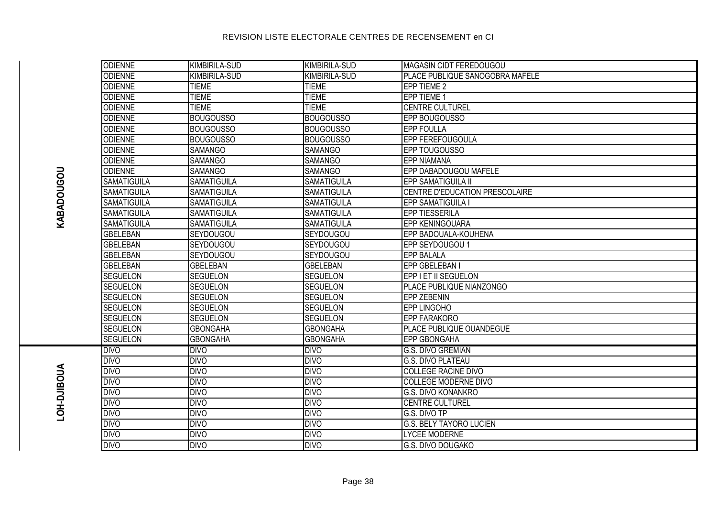| <b>ODIENNE</b>     | <b>KIMBIRILA-SUD</b> | KIMBIRILA-SUD        | MAGASIN CIDT FEREDOUGOU         |
|--------------------|----------------------|----------------------|---------------------------------|
| <b>ODIENNE</b>     | <b>KIMBIRILA-SUD</b> | <b>KIMBIRILA-SUD</b> | PLACE PUBLIQUE SANOGOBRA MAFELE |
| <b>ODIENNE</b>     | <b>TIEME</b>         | <b>TIEME</b>         | EPP TIEME 2                     |
| <b>ODIENNE</b>     | <b>TIEME</b>         | <b>TIEME</b>         | EPP TIEME 1                     |
| <b>ODIENNE</b>     | <b>TIEME</b>         | <b>TIEME</b>         | <b>CENTRE CULTUREL</b>          |
| <b>ODIENNE</b>     | <b>BOUGOUSSO</b>     | <b>BOUGOUSSO</b>     | EPP BOUGOUSSO                   |
| <b>ODIENNE</b>     | <b>BOUGOUSSO</b>     | <b>BOUGOUSSO</b>     | <b>EPP FOULLA</b>               |
| <b>ODIENNE</b>     | <b>BOUGOUSSO</b>     | <b>BOUGOUSSO</b>     | <b>EPP FEREFOUGOULA</b>         |
| <b>ODIENNE</b>     | <b>SAMANGO</b>       | <b>SAMANGO</b>       | EPP TOUGOUSSO                   |
| <b>ODIENNE</b>     | <b>SAMANGO</b>       | <b>SAMANGO</b>       | <b>EPP NIAMANA</b>              |
| <b>ODIENNE</b>     | <b>SAMANGO</b>       | <b>SAMANGO</b>       | EPP DABADOUGOU MAFELE           |
| <b>SAMATIGUILA</b> | <b>SAMATIGUILA</b>   | <b>SAMATIGUILA</b>   | <b>EPP SAMATIGUILA II</b>       |
| <b>SAMATIGUILA</b> | <b>SAMATIGUILA</b>   | <b>SAMATIGUILA</b>   | CENTRE D'EDUCATION PRESCOLAIRE  |
| <b>SAMATIGUILA</b> | <b>SAMATIGUILA</b>   | <b>SAMATIGUILA</b>   | <b>EPP SAMATIGUILA I</b>        |
| <b>SAMATIGUILA</b> | <b>SAMATIGUILA</b>   | <b>SAMATIGUILA</b>   | <b>EPP TIESSERILA</b>           |
| <b>SAMATIGUILA</b> | <b>SAMATIGUILA</b>   | <b>SAMATIGUILA</b>   | <b>EPP KENINGOUARA</b>          |
| <b>GBELEBAN</b>    | SEYDOUGOU            | SEYDOUGOU            | EPP BADOUALA-KOUHENA            |
| <b>GBELEBAN</b>    | SEYDOUGOU            | SEYDOUGOU            | EPP SEYDOUGOU 1                 |
| <b>GBELEBAN</b>    | SEYDOUGOU            | <b>SEYDOUGOU</b>     | <b>EPP BALALA</b>               |
| <b>GBELEBAN</b>    | <b>GBELEBAN</b>      | <b>GBELEBAN</b>      | EPP GBELEBAN I                  |
| <b>SEGUELON</b>    | <b>SEGUELON</b>      | <b>SEGUELON</b>      | EPP I ET II SEGUELON            |
| <b>SEGUELON</b>    | <b>SEGUELON</b>      | <b>SEGUELON</b>      | PLACE PUBLIQUE NIANZONGO        |
| <b>SEGUELON</b>    | <b>SEGUELON</b>      | <b>SEGUELON</b>      | <b>EPP ZEBENIN</b>              |
| <b>SEGUELON</b>    | <b>SEGUELON</b>      | <b>SEGUELON</b>      | EPP LINGOHO                     |
| <b>SEGUELON</b>    | <b>SEGUELON</b>      | <b>SEGUELON</b>      | EPP FARAKORO                    |
| <b>SEGUELON</b>    | <b>GBONGAHA</b>      | <b>GBONGAHA</b>      | PLACE PUBLIQUE OUANDEGUE        |
| <b>SEGUELON</b>    | <b>GBONGAHA</b>      | <b>GBONGAHA</b>      | <b>EPP GBONGAHA</b>             |
| <b>DIVO</b>        | <b>DIVO</b>          | <b>DIVO</b>          | G.S. DIVO GREMIAN               |
| <b>DIVO</b>        | <b>DIVO</b>          | <b>DIVO</b>          | <b>G.S. DIVO PLATEAU</b>        |
| <b>DIVO</b>        | <b>DIVO</b>          | <b>DIVO</b>          | <b>COLLEGE RACINE DIVO</b>      |
| <b>DIVO</b>        | <b>DIVO</b>          | <b>DIVO</b>          | <b>COLLEGE MODERNE DIVO</b>     |
| <b>DIVO</b>        | <b>DIVO</b>          | <b>DIVO</b>          | <b>G.S. DIVO KONANKRO</b>       |
| <b>DIVO</b>        | <b>DIVO</b>          | <b>DIVO</b>          | <b>CENTRE CULTUREL</b>          |
| <b>DIVO</b>        | <b>DIVO</b>          | <b>DIVO</b>          | G.S. DIVO TP                    |
| <b>DIVO</b>        | <b>DIVO</b>          | <b>DIVO</b>          | <b>G.S. BELY TAYORO LUCIEN</b>  |
| <b>DIVO</b>        | <b>DIVO</b>          | <b>DIVO</b>          | <b>LYCEE MODERNE</b>            |
| <b>DIVO</b>        | <b>DIVO</b>          | <b>DIVO</b>          | <b>G.S. DIVO DOUGAKO</b>        |

# **KABADOUGOU**

# **LOH-DJIBOUA**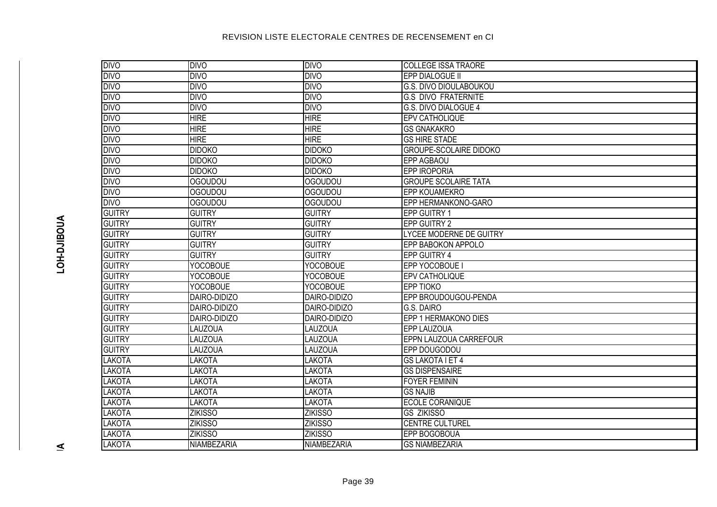| <b>DIVO</b>   | <b>DIVO</b>     | <b>DIVO</b>     | <b>COLLEGE ISSA TRAORE</b>     |
|---------------|-----------------|-----------------|--------------------------------|
| <b>DIVO</b>   | <b>DIVO</b>     | <b>DIVO</b>     | EPP DIALOGUE II                |
| <b>DIVO</b>   | <b>DIVO</b>     | <b>DIVO</b>     | <b>G.S. DIVO DIOULABOUKOU</b>  |
| <b>DIVO</b>   | <b>DIVO</b>     | <b>DIVO</b>     | <b>G.S DIVO FRATERNITE</b>     |
| <b>DIVO</b>   | <b>DIVO</b>     | <b>DIVO</b>     | G.S. DIVO DIALOGUE 4           |
| <b>DIVO</b>   | <b>HIRE</b>     | <b>HIRE</b>     | <b>EPV CATHOLIQUE</b>          |
| <b>DIVO</b>   | <b>HIRE</b>     | <b>HIRE</b>     | <b>GS GNAKAKRO</b>             |
| <b>DIVO</b>   | <b>HIRE</b>     | <b>HIRE</b>     | <b>GS HIRE STADE</b>           |
| <b>DIVO</b>   | <b>DIDOKO</b>   | <b>DIDOKO</b>   | <b>GROUPE-SCOLAIRE DIDOKO</b>  |
| <b>DIVO</b>   | <b>DIDOKO</b>   | <b>DIDOKO</b>   | <b>EPP AGBAOU</b>              |
| <b>DIVO</b>   | <b>DIDOKO</b>   | <b>DIDOKO</b>   | <b>EPP IROPORIA</b>            |
| <b>DIVO</b>   | <b>OGOUDOU</b>  | <b>OGOUDOU</b>  | <b>GROUPE SCOLAIRE TATA</b>    |
| <b>DIVO</b>   | <b>OGOUDOU</b>  | <b>OGOUDOU</b>  | EPP KOUAMEKRO                  |
| <b>DIVO</b>   | OGOUDOU         | <b>OGOUDOU</b>  | EPP HERMANKONO-GARO            |
| <b>GUITRY</b> | <b>GUITRY</b>   | <b>GUITRY</b>   | EPP GUITRY 1                   |
| <b>GUITRY</b> | <b>GUITRY</b>   | <b>GUITRY</b>   | <b>EPP GUITRY 2</b>            |
| <b>GUITRY</b> | <b>GUITRY</b>   | <b>GUITRY</b>   | <b>LYCEE MODERNE DE GUITRY</b> |
| <b>GUITRY</b> | <b>GUITRY</b>   | <b>GUITRY</b>   | EPP BABOKON APPOLO             |
| <b>GUITRY</b> | <b>GUITRY</b>   | <b>GUITRY</b>   | <b>EPP GUITRY 4</b>            |
| <b>GUITRY</b> | <b>YOCOBOUE</b> | <b>YOCOBOUE</b> | EPP YOCOBOUE I                 |
| <b>GUITRY</b> | <b>YOCOBOUE</b> | <b>YOCOBOUE</b> | <b>EPV CATHOLIQUE</b>          |
| <b>GUITRY</b> | <b>YOCOBOUE</b> | <b>YOCOBOUE</b> | <b>EPP TIOKO</b>               |
| <b>GUITRY</b> | DAIRO-DIDIZO    | DAIRO-DIDIZO    | EPP BROUDOUGOU-PENDA           |
| <b>GUITRY</b> | DAIRO-DIDIZO    | DAIRO-DIDIZO    | G.S. DAIRO                     |
| <b>GUITRY</b> | DAIRO-DIDIZO    | DAIRO-DIDIZO    | EPP 1 HERMAKONO DIES           |
| <b>GUITRY</b> | <b>LAUZOUA</b>  | LAUZOUA         | EPP LAUZOUA                    |
| <b>GUITRY</b> | <b>LAUZOUA</b>  | <b>LAUZOUA</b>  | EPPN LAUZOUA CARREFOUR         |
| <b>GUITRY</b> | <b>LAUZOUA</b>  | LAUZOUA         | EPP DOUGODOU                   |
| <b>LAKOTA</b> | <b>LAKOTA</b>   | LAKOTA          | <b>GS LAKOTA I ET 4</b>        |
| <b>LAKOTA</b> | <b>LAKOTA</b>   | <b>LAKOTA</b>   | <b>GS DISPENSAIRE</b>          |
| <b>LAKOTA</b> | <b>LAKOTA</b>   | <b>LAKOTA</b>   | <b>FOYER FEMININ</b>           |
| <b>LAKOTA</b> | <b>LAKOTA</b>   | LAKOTA          | <b>GS NAJIB</b>                |
| <b>LAKOTA</b> | <b>LAKOTA</b>   | <b>LAKOTA</b>   | <b>ECOLE CORANIQUE</b>         |
| <b>LAKOTA</b> | <b>ZIKISSO</b>  | <b>ZIKISSO</b>  | <b>GS ZIKISSO</b>              |
| <b>LAKOTA</b> | <b>ZIKISSO</b>  | <b>ZIKISSO</b>  | <b>CENTRE CULTUREL</b>         |
| <b>LAKOTA</b> | <b>ZIKISSO</b>  | <b>ZIKISSO</b>  | EPP BOGOBOUA                   |
| LAKOTA        | NIAMBEZARIA     | NIAMBEZARIA     | <b>GS NIAMBEZARIA</b>          |

 $\leq$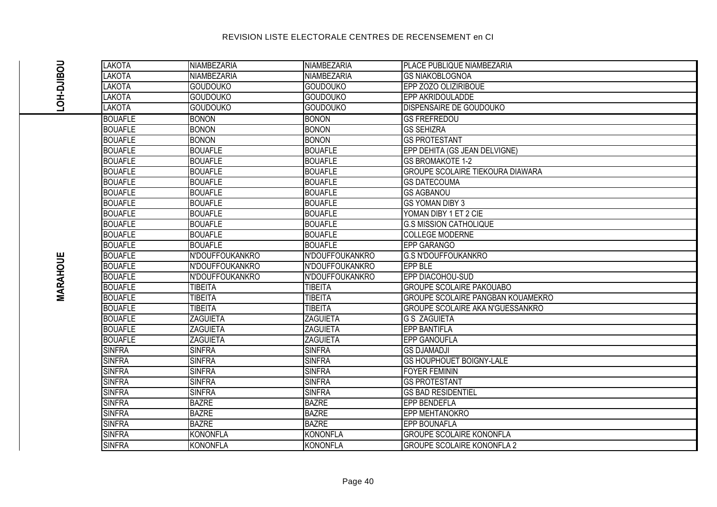|                   | LAKOTA         | NIAMBEZARIA        | NIAMBEZARIA        | PLACE PUBLIQUE NIAMBEZARIA               |
|-------------------|----------------|--------------------|--------------------|------------------------------------------|
|                   | LAKOTA         | <b>NIAMBEZARIA</b> | <b>NIAMBEZARIA</b> | <b>GS NIAKOBLOGNOA</b>                   |
|                   | <b>LAKOTA</b>  | <b>GOUDOUKO</b>    | <b>GOUDOUKO</b>    | EPP ZOZO OLIZIRIBOUE                     |
| <b>NOH-DJIBOU</b> | <b>LAKOTA</b>  | <b>GOUDOUKO</b>    | <b>GOUDOUKO</b>    | EPP AKRIDOULADDE                         |
|                   | LAKOTA         | <b>GOUDOUKO</b>    | <b>GOUDOUKO</b>    | <b>DISPENSAIRE DE GOUDOUKO</b>           |
|                   | <b>BOUAFLE</b> | <b>BONON</b>       | <b>BONON</b>       | <b>GS FREFREDOU</b>                      |
|                   | <b>BOUAFLE</b> | <b>BONON</b>       | <b>BONON</b>       | <b>GS SEHIZRA</b>                        |
|                   | <b>BOUAFLE</b> | <b>BONON</b>       | <b>BONON</b>       | <b>GS PROTESTANT</b>                     |
|                   | <b>BOUAFLE</b> | <b>BOUAFLE</b>     | <b>BOUAFLE</b>     | EPP DEHITA (GS JEAN DELVIGNE)            |
|                   | <b>BOUAFLE</b> | <b>BOUAFLE</b>     | <b>BOUAFLE</b>     | <b>GS BROMAKOTE 1-2</b>                  |
|                   | <b>BOUAFLE</b> | <b>BOUAFLE</b>     | <b>BOUAFLE</b>     | <b>GROUPE SCOLAIRE TIEKOURA DIAWARA</b>  |
|                   | <b>BOUAFLE</b> | <b>BOUAFLE</b>     | <b>BOUAFLE</b>     | <b>GS DATECOUMA</b>                      |
|                   | <b>BOUAFLE</b> | <b>BOUAFLE</b>     | <b>BOUAFLE</b>     | <b>GS AGBANOU</b>                        |
|                   | <b>BOUAFLE</b> | <b>BOUAFLE</b>     | <b>BOUAFLE</b>     | <b>GS YOMAN DIBY 3</b>                   |
|                   | <b>BOUAFLE</b> | <b>BOUAFLE</b>     | <b>BOUAFLE</b>     | YOMAN DIBY 1 ET 2 CIE                    |
|                   | <b>BOUAFLE</b> | <b>BOUAFLE</b>     | <b>BOUAFLE</b>     | <b>G.S MISSION CATHOLIQUE</b>            |
|                   | <b>BOUAFLE</b> | <b>BOUAFLE</b>     | <b>BOUAFLE</b>     | <b>COLLEGE MODERNE</b>                   |
|                   | <b>BOUAFLE</b> | <b>BOUAFLE</b>     | <b>BOUAFLE</b>     | <b>EPP GARANGO</b>                       |
|                   | <b>BOUAFLE</b> | N'DOUFFOUKANKRO    | N'DOUFFOUKANKRO    | <b>G.S N'DOUFFOUKANKRO</b>               |
| <b>MARAHOUE</b>   | <b>BOUAFLE</b> | N'DOUFFOUKANKRO    | N'DOUFFOUKANKRO    | <b>EPP BLE</b>                           |
|                   | <b>BOUAFLE</b> | N'DOUFFOUKANKRO    | N'DOUFFOUKANKRO    | EPP DIACOHOU-SUD                         |
|                   | <b>BOUAFLE</b> | <b>TIBEITA</b>     | <b>TIBEITA</b>     | <b>GROUPE SCOLAIRE PAKOUABO</b>          |
|                   | <b>BOUAFLE</b> | <b>TIBEITA</b>     | <b>TIBEITA</b>     | <b>GROUPE SCOLAIRE PANGBAN KOUAMEKRO</b> |
|                   | <b>BOUAFLE</b> | <b>TIBEITA</b>     | <b>TIBEITA</b>     | GROUPE SCOLAIRE AKA N'GUESSANKRO         |
|                   | <b>BOUAFLE</b> | <b>ZAGUIETA</b>    | <b>ZAGUIETA</b>    | <b>G S ZAGUIETA</b>                      |
|                   | <b>BOUAFLE</b> | <b>ZAGUIETA</b>    | <b>ZAGUIETA</b>    | <b>EPP BANTIFLA</b>                      |
|                   | <b>BOUAFLE</b> | <b>ZAGUIETA</b>    | <b>ZAGUIETA</b>    | <b>EPP GANOUFLA</b>                      |
|                   | <b>SINFRA</b>  | <b>SINFRA</b>      | <b>SINFRA</b>      | <b>GS DJAMADJI</b>                       |
|                   | <b>SINFRA</b>  | <b>SINFRA</b>      | <b>SINFRA</b>      | <b>GS HOUPHOUET BOIGNY-LALE</b>          |
|                   | <b>SINFRA</b>  | <b>SINFRA</b>      | <b>SINFRA</b>      | <b>FOYER FEMININ</b>                     |
|                   | <b>SINFRA</b>  | <b>SINFRA</b>      | <b>SINFRA</b>      | <b>GS PROTESTANT</b>                     |
|                   | <b>SINFRA</b>  | <b>SINFRA</b>      | <b>SINFRA</b>      | <b>GS BAD RESIDENTIEL</b>                |
|                   | <b>SINFRA</b>  | <b>BAZRE</b>       | <b>BAZRE</b>       | <b>EPP BENDEFLA</b>                      |
|                   | <b>SINFRA</b>  | <b>BAZRE</b>       | <b>BAZRE</b>       | <b>EPP MEHTANOKRO</b>                    |
|                   | <b>SINFRA</b>  | <b>BAZRE</b>       | <b>BAZRE</b>       | <b>EPP BOUNAFLA</b>                      |
|                   | <b>SINFRA</b>  | <b>KONONFLA</b>    | <b>KONONFLA</b>    | <b>GROUPE SCOLAIRE KONONFLA</b>          |
|                   | <b>SINFRA</b>  | <b>KONONFLA</b>    | <b>KONONFLA</b>    | <b>GROUPE SCOLAIRE KONONFLA 2</b>        |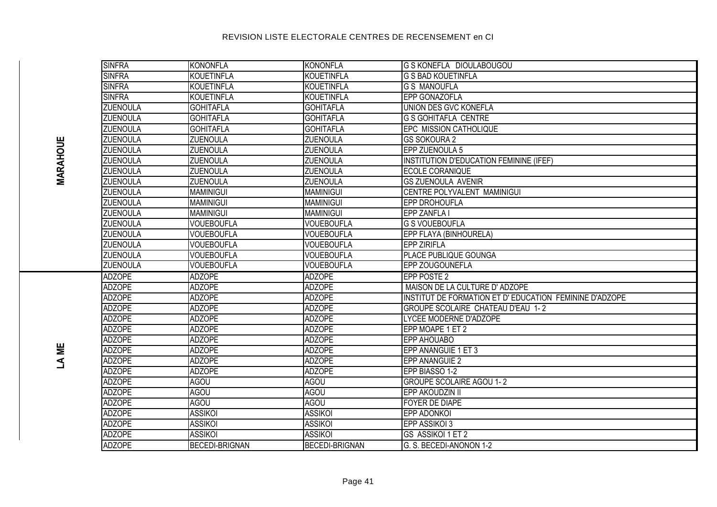| <b>SINFRA</b>   | <b>KONONFLA</b>   | <b>KONONFLA</b>       | <b>G S KONEFLA DIOULABOUGOU</b>                         |
|-----------------|-------------------|-----------------------|---------------------------------------------------------|
| <b>SINFRA</b>   | <b>KOUETINFLA</b> | <b>KOUETINFLA</b>     | <b>G S BAD KOUETINFLA</b>                               |
| <b>SINFRA</b>   | KOUETINFLA        | <b>KOUETINFLA</b>     | <b>G S MANOUFLA</b>                                     |
| <b>SINFRA</b>   | KOUETINFLA        | <b>KOUETINFLA</b>     | EPP GONAZOFLA                                           |
| <b>ZUENOULA</b> | <b>GOHITAFLA</b>  | <b>GOHITAFLA</b>      | UNION DES GVC KONEFLA                                   |
| <b>ZUENOULA</b> | <b>GOHITAFLA</b>  | <b>GOHITAFLA</b>      | <b>G S GOHITAFLA CENTRE</b>                             |
| <b>ZUENOULA</b> | <b>GOHITAFLA</b>  | <b>GOHITAFLA</b>      | EPC MISSION CATHOLIQUE                                  |
| <b>ZUENOULA</b> | <b>ZUENOULA</b>   | <b>ZUENOULA</b>       | <b>GS SOKOURA 2</b>                                     |
| <b>ZUENOULA</b> | <b>ZUENOULA</b>   | <b>ZUENOULA</b>       | EPP ZUENOULA 5                                          |
| ZUENOULA        | <b>ZUENOULA</b>   | <b>ZUENOULA</b>       | INSTITUTION D'EDUCATION FEMININE (IFEF)                 |
| <b>ZUENOULA</b> | <b>ZUENOULA</b>   | <b>ZUENOULA</b>       | ECOLE CORANIQUE                                         |
| <b>ZUENOULA</b> | <b>ZUENOULA</b>   | <b>ZUENOULA</b>       | <b>GS ZUENOULA AVENIR</b>                               |
| <b>ZUENOULA</b> | <b>MAMINIGUI</b>  | <b>MAMINIGUI</b>      | CENTRE POLYVALENT MAMINIGUI                             |
| <b>ZUENOULA</b> | <b>MAMINIGUI</b>  | <b>MAMINIGUI</b>      | <b>EPP DROHOUFLA</b>                                    |
| ZUENOULA        | <b>MAMINIGUI</b>  | <b>MAMINIGUI</b>      | <b>EPP ZANFLA I</b>                                     |
| <b>ZUENOULA</b> | <b>VOUEBOUFLA</b> | <b>VOUEBOUFLA</b>     | <b>G S VOUEBOUFLA</b>                                   |
| <b>ZUENOULA</b> | <b>VOUEBOUFLA</b> | <b>VOUEBOUFLA</b>     | EPP FLAYA (BINHOURELA)                                  |
| ZUENOULA        | <b>VOUEBOUFLA</b> | <b>VOUEBOUFLA</b>     | <b>EPP ZIRIFLA</b>                                      |
| <b>ZUENOULA</b> | <b>VOUEBOUFLA</b> | <b>VOUEBOUFLA</b>     | PLACE PUBLIQUE GOUNGA                                   |
| ZUENOULA        | <b>VOUEBOUFLA</b> | <b>VOUEBOUFLA</b>     | EPP ZOUGOUNEFLA                                         |
| <b>ADZOPE</b>   | <b>ADZOPE</b>     | <b>ADZOPE</b>         | <b>EPP POSTE 2</b>                                      |
| <b>ADZOPE</b>   | <b>ADZOPE</b>     | <b>ADZOPE</b>         | MAISON DE LA CULTURE D'ADZOPE                           |
| <b>ADZOPE</b>   | <b>ADZOPE</b>     | <b>ADZOPE</b>         | INSTITUT DE FORMATION ET D' EDUCATION FEMININE D'ADZOPE |
| <b>ADZOPE</b>   | <b>ADZOPE</b>     | <b>ADZOPE</b>         | <b>GROUPE SCOLAIRE CHATEAU D'EAU 1-2</b>                |
| <b>ADZOPE</b>   | <b>ADZOPE</b>     | <b>ADZOPE</b>         | LYCEE MODERNE D'ADZOPE                                  |
| <b>ADZOPE</b>   | <b>ADZOPE</b>     | <b>ADZOPE</b>         | EPP MOAPE 1 ET 2                                        |
| <b>ADZOPE</b>   | <b>ADZOPE</b>     | <b>ADZOPE</b>         | EPP AHOUABO                                             |
| <b>ADZOPE</b>   | <b>ADZOPE</b>     | <b>ADZOPE</b>         | EPP ANANGUIE 1 ET 3                                     |
| <b>ADZOPE</b>   | <b>ADZOPE</b>     | <b>ADZOPE</b>         | EPP ANANGUIE 2                                          |
| <b>ADZOPE</b>   | <b>ADZOPE</b>     | <b>ADZOPE</b>         | EPP BIASSO 1-2                                          |
| <b>ADZOPE</b>   | <b>AGOU</b>       | <b>AGOU</b>           | <b>GROUPE SCOLAIRE AGOU 1-2</b>                         |
| <b>ADZOPE</b>   | <b>AGOU</b>       | <b>AGOU</b>           | EPP AKOUDZIN II                                         |
| <b>ADZOPE</b>   | <b>AGOU</b>       | <b>AGOU</b>           | FOYER DE DIAPE                                          |
| <b>ADZOPE</b>   | <b>ASSIKOI</b>    | <b>ASSIKOI</b>        | EPP ADONKOI                                             |
| <b>ADZOPE</b>   | <b>ASSIKOI</b>    | <b>ASSIKOI</b>        | EPP ASSIKOI 3                                           |
| <b>ADZOPE</b>   | <b>ASSIKOI</b>    | <b>ASSIKOI</b>        | GS ASSIKOI 1 ET 2                                       |
| <b>ADZOPE</b>   | BECEDI-BRIGNAN    | <b>BECEDI-BRIGNAN</b> | IG. S. BECEDI-ANONON 1-2                                |

LA ME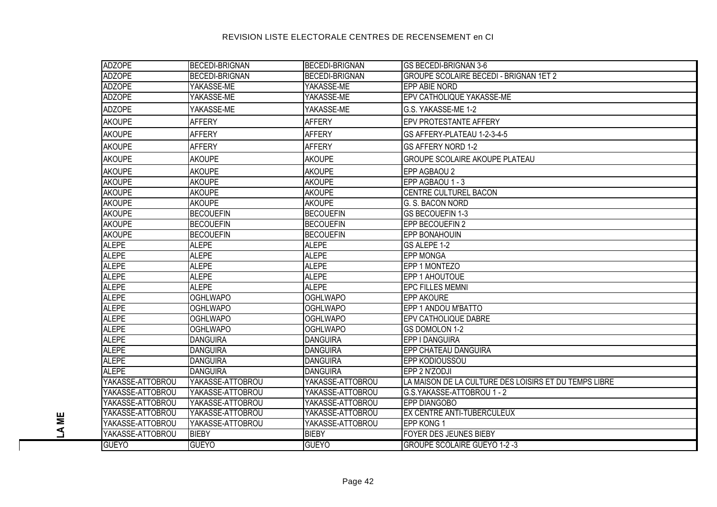| <b>ADZOPE</b>    | <b>BECEDI-BRIGNAN</b> | <b>BECEDI-BRIGNAN</b> | <b>GS BECEDI-BRIGNAN 3-6</b>                          |
|------------------|-----------------------|-----------------------|-------------------------------------------------------|
| <b>ADZOPE</b>    | <b>BECEDI-BRIGNAN</b> | <b>BECEDI-BRIGNAN</b> | <b>GROUPE SCOLAIRE BECEDI - BRIGNAN 1ET 2</b>         |
| <b>ADZOPE</b>    | YAKASSE-ME            | YAKASSE-ME            | EPP ABIE NORD                                         |
| <b>ADZOPE</b>    | YAKASSE-ME            | YAKASSE-ME            | <b>EPV CATHOLIQUE YAKASSE-ME</b>                      |
| <b>ADZOPE</b>    | YAKASSE-ME            | YAKASSE-ME            | G.S. YAKASSE-ME 1-2                                   |
| <b>AKOUPE</b>    | <b>AFFERY</b>         | <b>AFFERY</b>         | <b>EPV PROTESTANTE AFFERY</b>                         |
| <b>AKOUPE</b>    | <b>AFFERY</b>         | <b>AFFERY</b>         | GS AFFERY-PLATEAU 1-2-3-4-5                           |
| <b>AKOUPE</b>    | <b>AFFERY</b>         | <b>AFFERY</b>         | <b>GS AFFERY NORD 1-2</b>                             |
| <b>AKOUPE</b>    | <b>AKOUPE</b>         | <b>AKOUPE</b>         | <b>GROUPE SCOLAIRE AKOUPE PLATEAU</b>                 |
| <b>AKOUPE</b>    | <b>AKOUPE</b>         | <b>AKOUPE</b>         | EPP AGBAOU 2                                          |
| <b>AKOUPE</b>    | <b>AKOUPE</b>         | <b>AKOUPE</b>         | EPP AGBAOU 1 - 3                                      |
| <b>AKOUPE</b>    | <b>AKOUPE</b>         | <b>AKOUPE</b>         | CENTRE CULTUREL BACON                                 |
| <b>AKOUPE</b>    | <b>AKOUPE</b>         | <b>AKOUPE</b>         | G. S. BACON NORD                                      |
| <b>AKOUPE</b>    | <b>BECOUEFIN</b>      | <b>BECOUEFIN</b>      | <b>GS BECOUEFIN 1-3</b>                               |
| <b>AKOUPE</b>    | <b>BECOUEFIN</b>      | <b>BECOUEFIN</b>      | EPP BECOUEFIN 2                                       |
| <b>AKOUPE</b>    | <b>BECOUEFIN</b>      | <b>BECOUEFIN</b>      | <b>EPP BONAHOUIN</b>                                  |
| <b>ALEPE</b>     | <b>ALEPE</b>          | <b>ALEPE</b>          | GS ALEPE 1-2                                          |
| <b>ALEPE</b>     | <b>ALEPE</b>          | <b>ALEPE</b>          | <b>EPP MONGA</b>                                      |
| <b>ALEPE</b>     | <b>ALEPE</b>          | <b>ALEPE</b>          | EPP 1 MONTEZO                                         |
| <b>ALEPE</b>     | <b>ALEPE</b>          | <b>ALEPE</b>          | EPP 1 AHOUTOUE                                        |
| <b>ALEPE</b>     | <b>ALEPE</b>          | <b>ALEPE</b>          | <b>EPC FILLES MEMNI</b>                               |
| <b>ALEPE</b>     | <b>OGHLWAPO</b>       | <b>OGHLWAPO</b>       | <b>EPP AKOURE</b>                                     |
| <b>ALEPE</b>     | <b>OGHLWAPO</b>       | <b>OGHLWAPO</b>       | EPP 1 ANDOU M'BATTO                                   |
| <b>ALEPE</b>     | <b>OGHLWAPO</b>       | <b>OGHLWAPO</b>       | <b>EPV CATHOLIQUE DABRE</b>                           |
| <b>ALEPE</b>     | <b>OGHLWAPO</b>       | <b>OGHLWAPO</b>       | <b>GS DOMOLON 1-2</b>                                 |
| <b>ALEPE</b>     | <b>DANGUIRA</b>       | <b>DANGUIRA</b>       | EPP I DANGUIRA                                        |
| <b>ALEPE</b>     | <b>DANGUIRA</b>       | <b>DANGUIRA</b>       | <b>EPP CHATEAU DANGUIRA</b>                           |
| <b>ALEPE</b>     | <b>DANGUIRA</b>       | <b>DANGUIRA</b>       | <b>EPP KODIOUSSOU</b>                                 |
| <b>ALEPE</b>     | <b>DANGUIRA</b>       | <b>DANGUIRA</b>       | EPP 2 N'ZODJI                                         |
| YAKASSE-ATTOBROU | YAKASSE-ATTOBROU      | YAKASSE-ATTOBROU      | LA MAISON DE LA CULTURE DES LOISIRS ET DU TEMPS LIBRE |
| YAKASSE-ATTOBROU | YAKASSE-ATTOBROU      | YAKASSE-ATTOBROU      | G.S.YAKASSE-ATTOBROU 1 - 2                            |
| YAKASSE-ATTOBROU | YAKASSE-ATTOBROU      | YAKASSE-ATTOBROU      | <b>EPP DIANGOBO</b>                                   |
| YAKASSE-ATTOBROU | YAKASSE-ATTOBROU      | YAKASSE-ATTOBROU      | <b>EX CENTRE ANTI-TUBERCULEUX</b>                     |
| YAKASSE-ATTOBROU | YAKASSE-ATTOBROU      | YAKASSE-ATTOBROU      | <b>EPP KONG 1</b>                                     |
| YAKASSE-ATTOBROU | <b>BIEBY</b>          | <b>BIEBY</b>          | <b>FOYER DES JEUNES BIEBY</b>                         |
| <b>GUEYO</b>     | <b>GUEYO</b>          | <b>GUEYO</b>          | <b>GROUPE SCOLAIRE GUEYO 1-2 -3</b>                   |

**LA ME**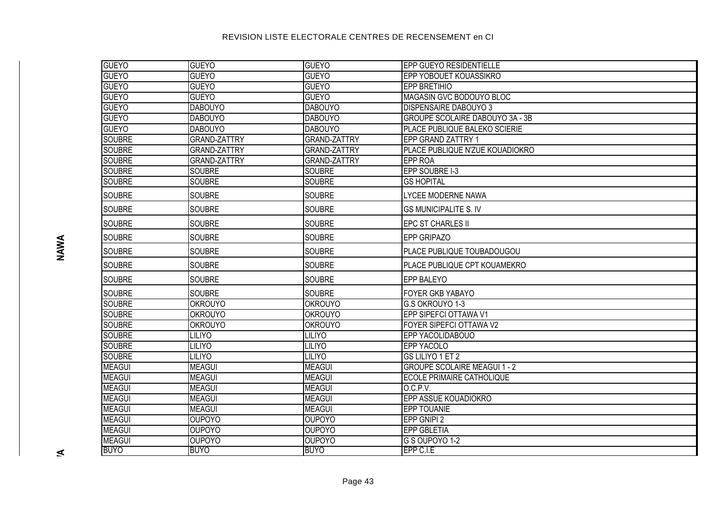| <b>GUEYO</b>  | <b>GUEYO</b>        | <b>GUEYO</b>        | <b>EPP GUEYO RESIDENTIELLE</b>         |
|---------------|---------------------|---------------------|----------------------------------------|
| <b>GUEYO</b>  | <b>GUEYO</b>        | <b>GUEYO</b>        | EPP YOBOUET KOUASSIKRO                 |
| <b>GUEYO</b>  | <b>GUEYO</b>        | <b>GUEYO</b>        | <b>EPP BRETIHIO</b>                    |
| <b>GUEYO</b>  | <b>GUEYO</b>        | <b>GUEYO</b>        | MAGASIN GVC BODOUYO BLOC               |
| <b>GUEYO</b>  | <b>DABOUYO</b>      | <b>DABOUYO</b>      | <b>DISPENSAIRE DABOUYO 3</b>           |
| <b>GUEYO</b>  | <b>DABOUYO</b>      | <b>DABOUYO</b>      | <b>GROUPE SCOLAIRE DABOUYO 3A - 3B</b> |
| <b>GUEYO</b>  | <b>DABOUYO</b>      | <b>DABOUYO</b>      | PLACE PUBLIQUE BALEKO SCIERIE          |
| <b>SOUBRE</b> | <b>GRAND-ZATTRY</b> | <b>GRAND-ZATTRY</b> | <b>EPP GRAND ZATTRY 1</b>              |
| <b>SOUBRE</b> | <b>GRAND-ZATTRY</b> | <b>GRAND-ZATTRY</b> | PLACE PUBLIQUE N'ZUE KOUADIOKRO        |
| <b>SOUBRE</b> | <b>GRAND-ZATTRY</b> | <b>GRAND-ZATTRY</b> | <b>EPP ROA</b>                         |
| <b>SOUBRE</b> | <b>SOUBRE</b>       | <b>SOUBRE</b>       | EPP SOUBRE I-3                         |
| <b>SOUBRE</b> | <b>SOUBRE</b>       | <b>SOUBRE</b>       | <b>GS HOPITAL</b>                      |
| <b>SOUBRE</b> | <b>SOUBRE</b>       | <b>SOUBRE</b>       | <b>LYCEE MODERNE NAWA</b>              |
| <b>SOUBRE</b> | <b>SOUBRE</b>       | <b>SOUBRE</b>       | <b>GS MUNICIPALITE S. IV</b>           |
| <b>SOUBRE</b> | <b>SOUBRE</b>       | <b>SOUBRE</b>       | <b>EPC ST CHARLES II</b>               |
| <b>SOUBRE</b> | <b>SOUBRE</b>       | <b>SOUBRE</b>       | <b>EPP GRIPAZO</b>                     |
| <b>SOUBRE</b> | <b>SOUBRE</b>       | <b>SOUBRE</b>       | <b>PLACE PUBLIQUE TOUBADOUGOU</b>      |
| <b>SOUBRE</b> | <b>SOUBRE</b>       | <b>SOUBRE</b>       | <b>PLACE PUBLIQUE CPT KOUAMEKRO</b>    |
| <b>SOUBRE</b> | <b>SOUBRE</b>       | <b>SOUBRE</b>       | <b>EPP BALEYO</b>                      |
| <b>SOUBRE</b> | <b>SOUBRE</b>       | <b>SOUBRE</b>       | <b>FOYER GKB YABAYO</b>                |
| <b>SOUBRE</b> | <b>OKROUYO</b>      | <b>OKROUYO</b>      | G.S OKROUYO 1-3                        |
| <b>SOUBRE</b> | <b>OKROUYO</b>      | <b>OKROUYO</b>      | EPP SIPEFCI OTTAWA V1                  |
| <b>SOUBRE</b> | <b>OKROUYO</b>      | <b>OKROUYO</b>      | FOYER SIPEFCI OTTAWA V2                |
| <b>SOUBRE</b> | <b>LILIYO</b>       | <b>LILIYO</b>       | <b>EPP YACOLIDABOUO</b>                |
| <b>SOUBRE</b> | <b>LILIYO</b>       | <b>LILIYO</b>       | <b>EPP YACOLO</b>                      |
| <b>SOUBRE</b> | <b>LILIYO</b>       | LILIYO              | GS LILIYO 1 ET 2                       |
| <b>MEAGUI</b> | <b>MEAGUI</b>       | <b>MEAGUI</b>       | <b>GROUPE SCOLAIRE MEAGUI 1 - 2</b>    |
| <b>MEAGUI</b> | <b>MEAGUI</b>       | <b>MEAGUI</b>       | <b>ECOLE PRIMAIRE CATHOLIQUE</b>       |
| <b>MEAGUI</b> | <b>MEAGUI</b>       | <b>MEAGUI</b>       | O.C.P.V.                               |
| <b>MEAGUI</b> | <b>MEAGUI</b>       | <b>MEAGUI</b>       | EPP ASSUE KOUADIOKRO                   |
| <b>MEAGUI</b> | <b>MEAGUI</b>       | <b>MEAGUI</b>       | <b>EPP TOUANIE</b>                     |
| <b>MEAGUI</b> | <b>OUPOYO</b>       | <b>OUPOYO</b>       | EPP GNIPI 2                            |
| <b>MEAGUI</b> | <b>OUPOYO</b>       | <b>OUPOYO</b>       | <b>EPP GBLETIA</b>                     |
| <b>MEAGUI</b> | <b>OUPOYO</b>       | <b>OUPOYO</b>       | G S OUPOYO 1-2                         |
| <b>BUYO</b>   | <b>BUYO</b>         | <b>BUYO</b>         | EPP C.I.E                              |

 $\leq$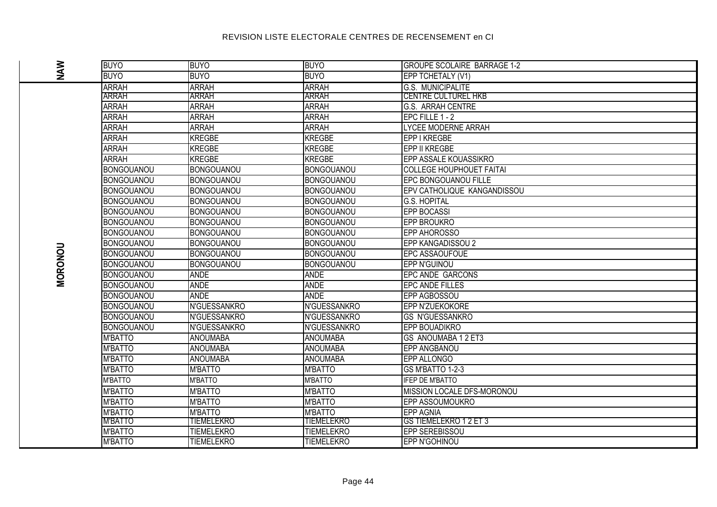| <b>NAW</b><br><b>BUYO</b><br><b>BUYO</b><br><b>BUYO</b><br>EPP TCHETALY (V1)<br><b>ARRAH</b><br><b>ARRAH</b><br><b>ARRAH</b><br><b>G.S. MUNICIPALITE</b><br><b>ARRAH</b><br><b>ARRAH</b><br><b>ARRAH</b><br><b>CENTRE CULTUREL HKB</b><br><b>ARRAH</b><br><b>ARRAH</b><br><b>ARRAH</b><br><b>G.S. ARRAH CENTRE</b><br><b>ARRAH</b><br><b>ARRAH</b><br><b>ARRAH</b><br>EPC FILLE 1 - 2<br><b>ARRAH</b><br><b>ARRAH</b><br><b>ARRAH</b><br>LYCEE MODERNE ARRAH<br><b>ARRAH</b><br><b>KREGBE</b><br><b>KREGBE</b><br>EPP I KREGBE<br><b>ARRAH</b><br><b>KREGBE</b><br><b>KREGBE</b><br>EPP II KREGBE<br>ARRAH<br><b>KREGBE</b><br><b>KREGBE</b><br><b>EPP ASSALE KOUASSIKRO</b><br><b>BONGOUANOU</b><br><b>BONGOUANOU</b><br><b>BONGOUANOU</b><br><b>COLLEGE HOUPHOUET FAITAI</b><br><b>EPC BONGOUANOU FILLE</b><br><b>BONGOUANOU</b><br><b>BONGOUANOU</b><br><b>BONGOUANOU</b><br>EPV CATHOLIQUE KANGANDISSOU<br><b>BONGOUANOU</b><br><b>BONGOUANOU</b><br><b>BONGOUANOU</b><br><b>BONGOUANOU</b><br><b>BONGOUANOU</b><br><b>BONGOUANOU</b><br><b>G.S. HOPITAL</b><br><b>EPP BOCASSI</b><br><b>BONGOUANOU</b><br><b>BONGOUANOU</b><br><b>BONGOUANOU</b><br><b>BONGOUANOU</b><br><b>BONGOUANOU</b><br><b>BONGOUANOU</b><br><b>EPP BROUKRO</b><br><b>BONGOUANOU</b><br><b>BONGOUANOU</b><br><b>BONGOUANOU</b><br><b>EPP AHOROSSO</b><br>EPP KANGADISSOU 2<br><b>BONGOUANOU</b><br><b>BONGOUANOU</b><br><b>BONGOUANOU</b><br><b>MORONOU</b><br><b>BONGOUANOU</b><br><b>BONGOUANOU</b><br><b>BONGOUANOU</b><br><b>EPC ASSAOUFOUE</b><br><b>BONGOUANOU</b><br><b>BONGOUANOU</b><br><b>BONGOUANOU</b><br>EPP N'GUINOU<br><b>ANDE</b><br><b>BONGOUANOU</b><br><b>ANDE</b><br><b>EPC ANDE GARCONS</b><br><b>ANDE</b><br><b>ANDE</b><br><b>BONGOUANOU</b><br><b>EPC ANDE FILLES</b><br><b>ANDE</b><br><b>ANDE</b><br><b>BONGOUANOU</b><br><b>EPP AGBOSSOU</b><br>N'GUESSANKRO<br>N'GUESSANKRO<br><b>BONGOUANOU</b><br><b>EPP N'ZUEKOKORE</b><br><b>BONGOUANOU</b><br>N'GUESSANKRO<br>N'GUESSANKRO<br><b>GS N'GUESSANKRO</b><br><b>BONGOUANOU</b><br>N'GUESSANKRO<br>N'GUESSANKRO<br><b>EPP BOUADIKRO</b><br><b>M'BATTO</b><br><b>ANOUMABA</b><br><b>ANOUMABA</b><br><b>GS ANOUMABA 1 2 ET3</b><br><b>M'BATTO</b><br><b>ANOUMABA</b><br><b>ANOUMABA</b><br><b>EPP ANGBANOU</b><br><b>M'BATTO</b><br><b>ANOUMABA</b><br><b>ANOUMABA</b><br><b>EPP ALLONGO</b><br><b>M'BATTO</b><br><b>M'BATTO</b><br><b>M'BATTO</b><br>GS M'BATTO 1-2-3<br><b>M'BATTO</b><br><b>M'BATTO</b><br><b>M'BATTO</b><br><b>IFEP DE M'BATTO</b><br><b>M'BATTO</b><br><b>M'BATTO</b><br><b>M'BATTO</b><br>MISSION LOCALE DFS-MORONOU<br>M'BATTO<br><b>M'BATTO</b><br><b>M'BATTO</b><br><b>EPP ASSOUMOUKRO</b><br><b>M'BATTO</b><br><b>M'BATTO</b><br><b>M'BATTO</b><br><b>EPP AGNIA</b><br><b>M'BATTO</b><br>TIEMELEKRO<br><b>TIEMELEKRO</b><br><b>GS TIEMELEKRO 1 2 ET 3</b><br><b>M'BATTO</b><br><b>TIEMELEKRO</b><br><b>TIEMELEKRO</b><br>EPP SEREBISSOU<br><b>M'BATTO</b><br>TIEMELEKRO<br><b>TIEMELEKRO</b><br><b>EPP N'GOHINOU</b> |  |             |             |             |                                    |
|----------------------------------------------------------------------------------------------------------------------------------------------------------------------------------------------------------------------------------------------------------------------------------------------------------------------------------------------------------------------------------------------------------------------------------------------------------------------------------------------------------------------------------------------------------------------------------------------------------------------------------------------------------------------------------------------------------------------------------------------------------------------------------------------------------------------------------------------------------------------------------------------------------------------------------------------------------------------------------------------------------------------------------------------------------------------------------------------------------------------------------------------------------------------------------------------------------------------------------------------------------------------------------------------------------------------------------------------------------------------------------------------------------------------------------------------------------------------------------------------------------------------------------------------------------------------------------------------------------------------------------------------------------------------------------------------------------------------------------------------------------------------------------------------------------------------------------------------------------------------------------------------------------------------------------------------------------------------------------------------------------------------------------------------------------------------------------------------------------------------------------------------------------------------------------------------------------------------------------------------------------------------------------------------------------------------------------------------------------------------------------------------------------------------------------------------------------------------------------------------------------------------------------------------------------------------------------------------------------------------------------------------------------------------------------------------------------------------------------------------------------------------------------------------------------------------------------------------------------------------------------------------------------------------------------------------------------------------------------------------------|--|-------------|-------------|-------------|------------------------------------|
|                                                                                                                                                                                                                                                                                                                                                                                                                                                                                                                                                                                                                                                                                                                                                                                                                                                                                                                                                                                                                                                                                                                                                                                                                                                                                                                                                                                                                                                                                                                                                                                                                                                                                                                                                                                                                                                                                                                                                                                                                                                                                                                                                                                                                                                                                                                                                                                                                                                                                                                                                                                                                                                                                                                                                                                                                                                                                                                                                                                                    |  | <b>BUYO</b> | <b>BUYO</b> | <b>BUYO</b> | <b>GROUPE SCOLAIRE BARRAGE 1-2</b> |
|                                                                                                                                                                                                                                                                                                                                                                                                                                                                                                                                                                                                                                                                                                                                                                                                                                                                                                                                                                                                                                                                                                                                                                                                                                                                                                                                                                                                                                                                                                                                                                                                                                                                                                                                                                                                                                                                                                                                                                                                                                                                                                                                                                                                                                                                                                                                                                                                                                                                                                                                                                                                                                                                                                                                                                                                                                                                                                                                                                                                    |  |             |             |             |                                    |
|                                                                                                                                                                                                                                                                                                                                                                                                                                                                                                                                                                                                                                                                                                                                                                                                                                                                                                                                                                                                                                                                                                                                                                                                                                                                                                                                                                                                                                                                                                                                                                                                                                                                                                                                                                                                                                                                                                                                                                                                                                                                                                                                                                                                                                                                                                                                                                                                                                                                                                                                                                                                                                                                                                                                                                                                                                                                                                                                                                                                    |  |             |             |             |                                    |
|                                                                                                                                                                                                                                                                                                                                                                                                                                                                                                                                                                                                                                                                                                                                                                                                                                                                                                                                                                                                                                                                                                                                                                                                                                                                                                                                                                                                                                                                                                                                                                                                                                                                                                                                                                                                                                                                                                                                                                                                                                                                                                                                                                                                                                                                                                                                                                                                                                                                                                                                                                                                                                                                                                                                                                                                                                                                                                                                                                                                    |  |             |             |             |                                    |
|                                                                                                                                                                                                                                                                                                                                                                                                                                                                                                                                                                                                                                                                                                                                                                                                                                                                                                                                                                                                                                                                                                                                                                                                                                                                                                                                                                                                                                                                                                                                                                                                                                                                                                                                                                                                                                                                                                                                                                                                                                                                                                                                                                                                                                                                                                                                                                                                                                                                                                                                                                                                                                                                                                                                                                                                                                                                                                                                                                                                    |  |             |             |             |                                    |
|                                                                                                                                                                                                                                                                                                                                                                                                                                                                                                                                                                                                                                                                                                                                                                                                                                                                                                                                                                                                                                                                                                                                                                                                                                                                                                                                                                                                                                                                                                                                                                                                                                                                                                                                                                                                                                                                                                                                                                                                                                                                                                                                                                                                                                                                                                                                                                                                                                                                                                                                                                                                                                                                                                                                                                                                                                                                                                                                                                                                    |  |             |             |             |                                    |
|                                                                                                                                                                                                                                                                                                                                                                                                                                                                                                                                                                                                                                                                                                                                                                                                                                                                                                                                                                                                                                                                                                                                                                                                                                                                                                                                                                                                                                                                                                                                                                                                                                                                                                                                                                                                                                                                                                                                                                                                                                                                                                                                                                                                                                                                                                                                                                                                                                                                                                                                                                                                                                                                                                                                                                                                                                                                                                                                                                                                    |  |             |             |             |                                    |
|                                                                                                                                                                                                                                                                                                                                                                                                                                                                                                                                                                                                                                                                                                                                                                                                                                                                                                                                                                                                                                                                                                                                                                                                                                                                                                                                                                                                                                                                                                                                                                                                                                                                                                                                                                                                                                                                                                                                                                                                                                                                                                                                                                                                                                                                                                                                                                                                                                                                                                                                                                                                                                                                                                                                                                                                                                                                                                                                                                                                    |  |             |             |             |                                    |
|                                                                                                                                                                                                                                                                                                                                                                                                                                                                                                                                                                                                                                                                                                                                                                                                                                                                                                                                                                                                                                                                                                                                                                                                                                                                                                                                                                                                                                                                                                                                                                                                                                                                                                                                                                                                                                                                                                                                                                                                                                                                                                                                                                                                                                                                                                                                                                                                                                                                                                                                                                                                                                                                                                                                                                                                                                                                                                                                                                                                    |  |             |             |             |                                    |
|                                                                                                                                                                                                                                                                                                                                                                                                                                                                                                                                                                                                                                                                                                                                                                                                                                                                                                                                                                                                                                                                                                                                                                                                                                                                                                                                                                                                                                                                                                                                                                                                                                                                                                                                                                                                                                                                                                                                                                                                                                                                                                                                                                                                                                                                                                                                                                                                                                                                                                                                                                                                                                                                                                                                                                                                                                                                                                                                                                                                    |  |             |             |             |                                    |
|                                                                                                                                                                                                                                                                                                                                                                                                                                                                                                                                                                                                                                                                                                                                                                                                                                                                                                                                                                                                                                                                                                                                                                                                                                                                                                                                                                                                                                                                                                                                                                                                                                                                                                                                                                                                                                                                                                                                                                                                                                                                                                                                                                                                                                                                                                                                                                                                                                                                                                                                                                                                                                                                                                                                                                                                                                                                                                                                                                                                    |  |             |             |             |                                    |
|                                                                                                                                                                                                                                                                                                                                                                                                                                                                                                                                                                                                                                                                                                                                                                                                                                                                                                                                                                                                                                                                                                                                                                                                                                                                                                                                                                                                                                                                                                                                                                                                                                                                                                                                                                                                                                                                                                                                                                                                                                                                                                                                                                                                                                                                                                                                                                                                                                                                                                                                                                                                                                                                                                                                                                                                                                                                                                                                                                                                    |  |             |             |             |                                    |
|                                                                                                                                                                                                                                                                                                                                                                                                                                                                                                                                                                                                                                                                                                                                                                                                                                                                                                                                                                                                                                                                                                                                                                                                                                                                                                                                                                                                                                                                                                                                                                                                                                                                                                                                                                                                                                                                                                                                                                                                                                                                                                                                                                                                                                                                                                                                                                                                                                                                                                                                                                                                                                                                                                                                                                                                                                                                                                                                                                                                    |  |             |             |             |                                    |
|                                                                                                                                                                                                                                                                                                                                                                                                                                                                                                                                                                                                                                                                                                                                                                                                                                                                                                                                                                                                                                                                                                                                                                                                                                                                                                                                                                                                                                                                                                                                                                                                                                                                                                                                                                                                                                                                                                                                                                                                                                                                                                                                                                                                                                                                                                                                                                                                                                                                                                                                                                                                                                                                                                                                                                                                                                                                                                                                                                                                    |  |             |             |             |                                    |
|                                                                                                                                                                                                                                                                                                                                                                                                                                                                                                                                                                                                                                                                                                                                                                                                                                                                                                                                                                                                                                                                                                                                                                                                                                                                                                                                                                                                                                                                                                                                                                                                                                                                                                                                                                                                                                                                                                                                                                                                                                                                                                                                                                                                                                                                                                                                                                                                                                                                                                                                                                                                                                                                                                                                                                                                                                                                                                                                                                                                    |  |             |             |             |                                    |
|                                                                                                                                                                                                                                                                                                                                                                                                                                                                                                                                                                                                                                                                                                                                                                                                                                                                                                                                                                                                                                                                                                                                                                                                                                                                                                                                                                                                                                                                                                                                                                                                                                                                                                                                                                                                                                                                                                                                                                                                                                                                                                                                                                                                                                                                                                                                                                                                                                                                                                                                                                                                                                                                                                                                                                                                                                                                                                                                                                                                    |  |             |             |             |                                    |
|                                                                                                                                                                                                                                                                                                                                                                                                                                                                                                                                                                                                                                                                                                                                                                                                                                                                                                                                                                                                                                                                                                                                                                                                                                                                                                                                                                                                                                                                                                                                                                                                                                                                                                                                                                                                                                                                                                                                                                                                                                                                                                                                                                                                                                                                                                                                                                                                                                                                                                                                                                                                                                                                                                                                                                                                                                                                                                                                                                                                    |  |             |             |             |                                    |
|                                                                                                                                                                                                                                                                                                                                                                                                                                                                                                                                                                                                                                                                                                                                                                                                                                                                                                                                                                                                                                                                                                                                                                                                                                                                                                                                                                                                                                                                                                                                                                                                                                                                                                                                                                                                                                                                                                                                                                                                                                                                                                                                                                                                                                                                                                                                                                                                                                                                                                                                                                                                                                                                                                                                                                                                                                                                                                                                                                                                    |  |             |             |             |                                    |
|                                                                                                                                                                                                                                                                                                                                                                                                                                                                                                                                                                                                                                                                                                                                                                                                                                                                                                                                                                                                                                                                                                                                                                                                                                                                                                                                                                                                                                                                                                                                                                                                                                                                                                                                                                                                                                                                                                                                                                                                                                                                                                                                                                                                                                                                                                                                                                                                                                                                                                                                                                                                                                                                                                                                                                                                                                                                                                                                                                                                    |  |             |             |             |                                    |
|                                                                                                                                                                                                                                                                                                                                                                                                                                                                                                                                                                                                                                                                                                                                                                                                                                                                                                                                                                                                                                                                                                                                                                                                                                                                                                                                                                                                                                                                                                                                                                                                                                                                                                                                                                                                                                                                                                                                                                                                                                                                                                                                                                                                                                                                                                                                                                                                                                                                                                                                                                                                                                                                                                                                                                                                                                                                                                                                                                                                    |  |             |             |             |                                    |
|                                                                                                                                                                                                                                                                                                                                                                                                                                                                                                                                                                                                                                                                                                                                                                                                                                                                                                                                                                                                                                                                                                                                                                                                                                                                                                                                                                                                                                                                                                                                                                                                                                                                                                                                                                                                                                                                                                                                                                                                                                                                                                                                                                                                                                                                                                                                                                                                                                                                                                                                                                                                                                                                                                                                                                                                                                                                                                                                                                                                    |  |             |             |             |                                    |
|                                                                                                                                                                                                                                                                                                                                                                                                                                                                                                                                                                                                                                                                                                                                                                                                                                                                                                                                                                                                                                                                                                                                                                                                                                                                                                                                                                                                                                                                                                                                                                                                                                                                                                                                                                                                                                                                                                                                                                                                                                                                                                                                                                                                                                                                                                                                                                                                                                                                                                                                                                                                                                                                                                                                                                                                                                                                                                                                                                                                    |  |             |             |             |                                    |
|                                                                                                                                                                                                                                                                                                                                                                                                                                                                                                                                                                                                                                                                                                                                                                                                                                                                                                                                                                                                                                                                                                                                                                                                                                                                                                                                                                                                                                                                                                                                                                                                                                                                                                                                                                                                                                                                                                                                                                                                                                                                                                                                                                                                                                                                                                                                                                                                                                                                                                                                                                                                                                                                                                                                                                                                                                                                                                                                                                                                    |  |             |             |             |                                    |
|                                                                                                                                                                                                                                                                                                                                                                                                                                                                                                                                                                                                                                                                                                                                                                                                                                                                                                                                                                                                                                                                                                                                                                                                                                                                                                                                                                                                                                                                                                                                                                                                                                                                                                                                                                                                                                                                                                                                                                                                                                                                                                                                                                                                                                                                                                                                                                                                                                                                                                                                                                                                                                                                                                                                                                                                                                                                                                                                                                                                    |  |             |             |             |                                    |
|                                                                                                                                                                                                                                                                                                                                                                                                                                                                                                                                                                                                                                                                                                                                                                                                                                                                                                                                                                                                                                                                                                                                                                                                                                                                                                                                                                                                                                                                                                                                                                                                                                                                                                                                                                                                                                                                                                                                                                                                                                                                                                                                                                                                                                                                                                                                                                                                                                                                                                                                                                                                                                                                                                                                                                                                                                                                                                                                                                                                    |  |             |             |             |                                    |
|                                                                                                                                                                                                                                                                                                                                                                                                                                                                                                                                                                                                                                                                                                                                                                                                                                                                                                                                                                                                                                                                                                                                                                                                                                                                                                                                                                                                                                                                                                                                                                                                                                                                                                                                                                                                                                                                                                                                                                                                                                                                                                                                                                                                                                                                                                                                                                                                                                                                                                                                                                                                                                                                                                                                                                                                                                                                                                                                                                                                    |  |             |             |             |                                    |
|                                                                                                                                                                                                                                                                                                                                                                                                                                                                                                                                                                                                                                                                                                                                                                                                                                                                                                                                                                                                                                                                                                                                                                                                                                                                                                                                                                                                                                                                                                                                                                                                                                                                                                                                                                                                                                                                                                                                                                                                                                                                                                                                                                                                                                                                                                                                                                                                                                                                                                                                                                                                                                                                                                                                                                                                                                                                                                                                                                                                    |  |             |             |             |                                    |
|                                                                                                                                                                                                                                                                                                                                                                                                                                                                                                                                                                                                                                                                                                                                                                                                                                                                                                                                                                                                                                                                                                                                                                                                                                                                                                                                                                                                                                                                                                                                                                                                                                                                                                                                                                                                                                                                                                                                                                                                                                                                                                                                                                                                                                                                                                                                                                                                                                                                                                                                                                                                                                                                                                                                                                                                                                                                                                                                                                                                    |  |             |             |             |                                    |
|                                                                                                                                                                                                                                                                                                                                                                                                                                                                                                                                                                                                                                                                                                                                                                                                                                                                                                                                                                                                                                                                                                                                                                                                                                                                                                                                                                                                                                                                                                                                                                                                                                                                                                                                                                                                                                                                                                                                                                                                                                                                                                                                                                                                                                                                                                                                                                                                                                                                                                                                                                                                                                                                                                                                                                                                                                                                                                                                                                                                    |  |             |             |             |                                    |
|                                                                                                                                                                                                                                                                                                                                                                                                                                                                                                                                                                                                                                                                                                                                                                                                                                                                                                                                                                                                                                                                                                                                                                                                                                                                                                                                                                                                                                                                                                                                                                                                                                                                                                                                                                                                                                                                                                                                                                                                                                                                                                                                                                                                                                                                                                                                                                                                                                                                                                                                                                                                                                                                                                                                                                                                                                                                                                                                                                                                    |  |             |             |             |                                    |
|                                                                                                                                                                                                                                                                                                                                                                                                                                                                                                                                                                                                                                                                                                                                                                                                                                                                                                                                                                                                                                                                                                                                                                                                                                                                                                                                                                                                                                                                                                                                                                                                                                                                                                                                                                                                                                                                                                                                                                                                                                                                                                                                                                                                                                                                                                                                                                                                                                                                                                                                                                                                                                                                                                                                                                                                                                                                                                                                                                                                    |  |             |             |             |                                    |
|                                                                                                                                                                                                                                                                                                                                                                                                                                                                                                                                                                                                                                                                                                                                                                                                                                                                                                                                                                                                                                                                                                                                                                                                                                                                                                                                                                                                                                                                                                                                                                                                                                                                                                                                                                                                                                                                                                                                                                                                                                                                                                                                                                                                                                                                                                                                                                                                                                                                                                                                                                                                                                                                                                                                                                                                                                                                                                                                                                                                    |  |             |             |             |                                    |
|                                                                                                                                                                                                                                                                                                                                                                                                                                                                                                                                                                                                                                                                                                                                                                                                                                                                                                                                                                                                                                                                                                                                                                                                                                                                                                                                                                                                                                                                                                                                                                                                                                                                                                                                                                                                                                                                                                                                                                                                                                                                                                                                                                                                                                                                                                                                                                                                                                                                                                                                                                                                                                                                                                                                                                                                                                                                                                                                                                                                    |  |             |             |             |                                    |
|                                                                                                                                                                                                                                                                                                                                                                                                                                                                                                                                                                                                                                                                                                                                                                                                                                                                                                                                                                                                                                                                                                                                                                                                                                                                                                                                                                                                                                                                                                                                                                                                                                                                                                                                                                                                                                                                                                                                                                                                                                                                                                                                                                                                                                                                                                                                                                                                                                                                                                                                                                                                                                                                                                                                                                                                                                                                                                                                                                                                    |  |             |             |             |                                    |
|                                                                                                                                                                                                                                                                                                                                                                                                                                                                                                                                                                                                                                                                                                                                                                                                                                                                                                                                                                                                                                                                                                                                                                                                                                                                                                                                                                                                                                                                                                                                                                                                                                                                                                                                                                                                                                                                                                                                                                                                                                                                                                                                                                                                                                                                                                                                                                                                                                                                                                                                                                                                                                                                                                                                                                                                                                                                                                                                                                                                    |  |             |             |             |                                    |
|                                                                                                                                                                                                                                                                                                                                                                                                                                                                                                                                                                                                                                                                                                                                                                                                                                                                                                                                                                                                                                                                                                                                                                                                                                                                                                                                                                                                                                                                                                                                                                                                                                                                                                                                                                                                                                                                                                                                                                                                                                                                                                                                                                                                                                                                                                                                                                                                                                                                                                                                                                                                                                                                                                                                                                                                                                                                                                                                                                                                    |  |             |             |             |                                    |
|                                                                                                                                                                                                                                                                                                                                                                                                                                                                                                                                                                                                                                                                                                                                                                                                                                                                                                                                                                                                                                                                                                                                                                                                                                                                                                                                                                                                                                                                                                                                                                                                                                                                                                                                                                                                                                                                                                                                                                                                                                                                                                                                                                                                                                                                                                                                                                                                                                                                                                                                                                                                                                                                                                                                                                                                                                                                                                                                                                                                    |  |             |             |             |                                    |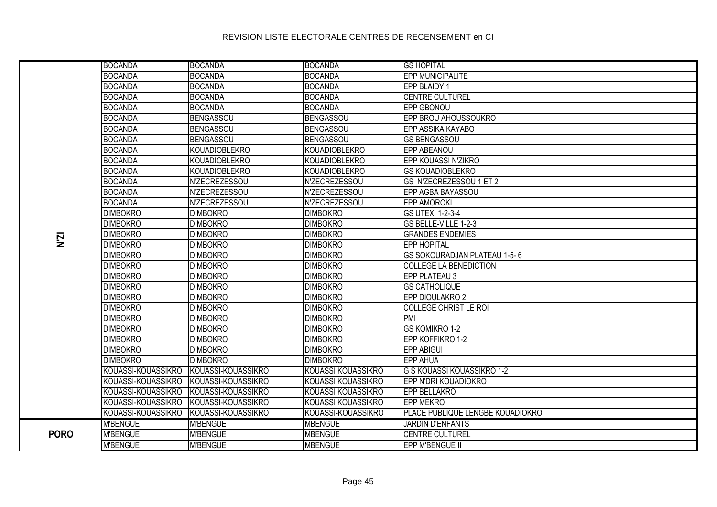#### BOCANDA BOCANDA BOCANDA GS HOPITAL BOCANDA BOCANDA BOCANDA EPP MUNICIPALITE BOCANDA BOCANDA BOCANDA EPP BLAIDY 1 BOCANDA BOCANDA BOCANDA CENTRE CULTUREL BOCANDA BOCANDA BOCANDA EPP GBONOU BOCANDA BENGASSOU BENGASSOU EPP BROU AHOUSSOUKRO BOCANDA BENGASSOU BENGASSOU BENGASSOU EPP ASSIKA KAYABO BOCANDA BENGASSOU BENGASSOU GS BENGASSOU BOCANDA KOUADIOBLEKRO KOUADIOBLEKRO **KOUADIOBLEKRO** BOCANDA KOUADIOBLEKRO KOUADIOBLEKRO EPP KOUASSI N'ZIKRO BOCANDA KOUADIOBLEKRO KOUADIOBLEKRO GS KOUADIOBLEKRO BOCANDA N'ZECREZESSOU N'ZECREZESSOU GS N'ZECREZESSOU 1 ET 2 BOCANDA N'ZECREZESSOU N'ZECREZESSOU EPP AGBA BAYASSOU BOCANDA N'ZECREZESSOU N'ZECREZESSOU EPP AMOROKI DIMBOKRO DIMBOKRO DIMBOKRO GS UTEXI 1-2-3-4 DIMBOKRO DIMBOKRO DIMBOKRO GS BELLE-VILLE 1-2-3 DIMBOKRO DIMBOKRO DIMBOKRO GRANDES ENDEMIES **PORO** DIMBOKRO DIMBOKRO DIMBOKRO EPP HOPITAL DIMBOKRO DIMBOKRO DIMBOKRO GS SOKOURADJAN PLATEAU 1-5- 6 DIMBOKRO DIMBOKRO DIMBOKRO COLLEGE LA BENEDICTION DIMBOKRO DIMBOKRO DIMBOKRO DIMBOKRO EPP PLATEAU 3 DIMBOKRO DIMBOKRO DIMBOKRO GS CATHOLIQUE DIMBOKRO DIMBOKRO DIMBOKRO EPP DIOULAKRO 2 DIMBOKRO DIMBOKRO DIMBOKRO COLLEGE CHRIST LE ROI DIMBOKRO DIMBOKRO DIMBOKRO PMI DIMBOKRO DIMBOKRO DIMBOKRO GS KOMIKRO 1-2 DIMBOKRO DIMBOKRO DIMBOKRO EPP KOFFIKRO 1-2 DIMBOKRO DIMBOKRO DIMBOKRO EPP ABIGUI DIMBOKRO DIMBOKRO DIMBOKRO EPP AHUA KOUASSI-KOUASSIKRO KOUASSI-KOUASSIKRO KOUASSI KOUASSIKRO G S KOUASSI KOUASSIKRO 1-2 KOUASSI-KOUASSIKRO KOUASSI-KOUASSIKRO KOUASSI KOUASSIKRO EPP N'DRI KOUADIOKRO KOUASSI-KOUASSIKRO KOUASSI-KOUASSIKRO KOUASSI KOUASSIKRO EPP BELLAKRO KOUASSI-KOUASSIKRO KOUASSI-KOUASSIKRO KOUASSI KOUASSIKRO EPP MEKRO KOUASSI-KOUASSIKRO KOUASSI-KOUASSIKRO KOUASSI-KOUASSIKRO PLACE PUBLIQUE LENGBE KOUADIOKRO M'BENGUE M'RENGUE MERENGUE MBENGUE MERENGUE DE LIARDIN D'ENFANTS **PORO** M'BENGUE M'BENGUE MBENGUE CENTRE CULTUREL M'BENGUE M'BENGUE MBENGUE EPP M'BENGUE II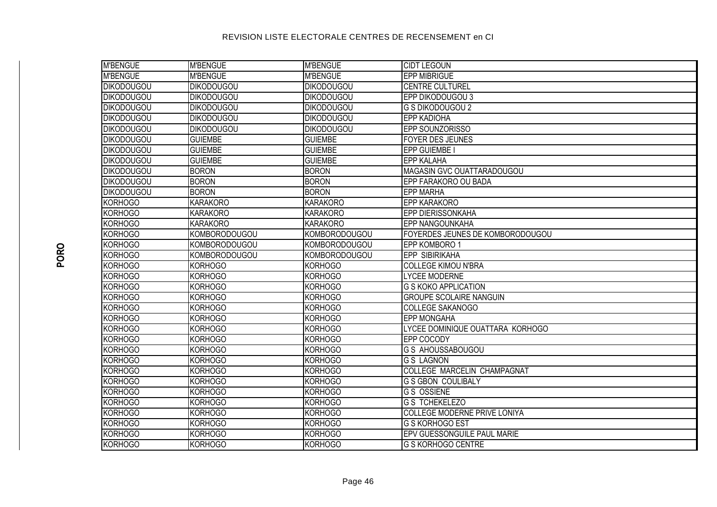| <b>M'BENGUE</b>   | <b>M'BENGUE</b>      | <b>M'BENGUE</b>   | <b>CIDT LEGOUN</b>                 |
|-------------------|----------------------|-------------------|------------------------------------|
| <b>M'BENGUE</b>   | <b>M'BENGUE</b>      | <b>M'BENGUE</b>   | <b>EPP MIBRIGUE</b>                |
| <b>DIKODOUGOU</b> | <b>DIKODOUGOU</b>    | <b>DIKODOUGOU</b> | <b>CENTRE CULTUREL</b>             |
| <b>DIKODOUGOU</b> | <b>DIKODOUGOU</b>    | <b>DIKODOUGOU</b> | EPP DIKODOUGOU 3                   |
| <b>DIKODOUGOU</b> | <b>DIKODOUGOU</b>    | <b>DIKODOUGOU</b> | <b>G S DIKODOUGOU 2</b>            |
| <b>DIKODOUGOU</b> | <b>DIKODOUGOU</b>    | <b>DIKODOUGOU</b> | <b>EPP KADIOHA</b>                 |
| <b>DIKODOUGOU</b> | <b>DIKODOUGOU</b>    | <b>DIKODOUGOU</b> | EPP SOUNZORISSO                    |
| <b>DIKODOUGOU</b> | <b>GUIEMBE</b>       | <b>GUIEMBE</b>    | <b>FOYER DES JEUNES</b>            |
| <b>DIKODOUGOU</b> | <b>GUIEMBE</b>       | <b>GUIEMBE</b>    | EPP GUIEMBE I                      |
| <b>DIKODOUGOU</b> | <b>GUIEMBE</b>       | <b>GUIEMBE</b>    | <b>EPP KALAHA</b>                  |
| <b>DIKODOUGOU</b> | <b>BORON</b>         | <b>BORON</b>      | MAGASIN GVC OUATTARADOUGOU         |
| <b>DIKODOUGOU</b> | <b>BORON</b>         | <b>BORON</b>      | EPP FARAKORO OU BADA               |
| <b>DIKODOUGOU</b> | <b>BORON</b>         | <b>BORON</b>      | <b>EPP MARHA</b>                   |
| <b>KORHOGO</b>    | <b>KARAKORO</b>      | <b>KARAKORO</b>   | <b>EPP KARAKORO</b>                |
| <b>KORHOGO</b>    | <b>KARAKORO</b>      | <b>KARAKORO</b>   | <b>EPP DIERISSONKAHA</b>           |
| KORHOGO           | <b>KARAKORO</b>      | <b>KARAKORO</b>   | <b>EPP NANGOUNKAHA</b>             |
| <b>KORHOGO</b>    | <b>KOMBORODOUGOU</b> | KOMBORODOUGOU     | FOYERDES JEUNES DE KOMBORODOUGOU   |
| <b>KORHOGO</b>    | <b>KOMBORODOUGOU</b> | KOMBORODOUGOU     | EPP KOMBORO 1                      |
| <b>KORHOGO</b>    | <b>KOMBORODOUGOU</b> | KOMBORODOUGOU     | <b>EPP SIBIRIKAHA</b>              |
| <b>KORHOGO</b>    | <b>KORHOGO</b>       | <b>KORHOGO</b>    | <b>COLLEGE KIMOU N'BRA</b>         |
| <b>KORHOGO</b>    | <b>KORHOGO</b>       | <b>KORHOGO</b>    | <b>LYCEE MODERNE</b>               |
| <b>KORHOGO</b>    | <b>KORHOGO</b>       | <b>KORHOGO</b>    | <b>G S KOKO APPLICATION</b>        |
| <b>KORHOGO</b>    | <b>KORHOGO</b>       | <b>KORHOGO</b>    | <b>GROUPE SCOLAIRE NANGUIN</b>     |
| <b>KORHOGO</b>    | <b>KORHOGO</b>       | <b>KORHOGO</b>    | <b>COLLEGE SAKANOGO</b>            |
| KORHOGO           | <b>KORHOGO</b>       | <b>KORHOGO</b>    | <b>EPP MONGAHA</b>                 |
| KORHOGO           | <b>KORHOGO</b>       | <b>KORHOGO</b>    | LYCEE DOMINIQUE OUATTARA KORHOGO   |
| <b>KORHOGO</b>    | <b>KORHOGO</b>       | <b>KORHOGO</b>    | EPP COCODY                         |
| <b>KORHOGO</b>    | <b>KORHOGO</b>       | <b>KORHOGO</b>    | <b>G S AHOUSSABOUGOU</b>           |
| KORHOGO           | <b>KORHOGO</b>       | <b>KORHOGO</b>    | <b>G S LAGNON</b>                  |
| <b>KORHOGO</b>    | <b>KORHOGO</b>       | <b>KORHOGO</b>    | <b>COLLEGE MARCELIN CHAMPAGNAT</b> |
| KORHOGO           | <b>KORHOGO</b>       | <b>KORHOGO</b>    | <b>G S GBON COULIBALY</b>          |
| <b>KORHOGO</b>    | <b>KORHOGO</b>       | <b>KORHOGO</b>    | <b>G S OSSIENE</b>                 |
| <b>KORHOGO</b>    | <b>KORHOGO</b>       | <b>KORHOGO</b>    | <b>G S TCHEKELEZO</b>              |
| KORHOGO           | <b>KORHOGO</b>       | <b>KORHOGO</b>    | COLLEGE MODERNE PRIVE LONIYA       |
| KORHOGO           | <b>KORHOGO</b>       | <b>KORHOGO</b>    | G S KORHOGO EST                    |
| KORHOGO           | <b>KORHOGO</b>       | <b>KORHOGO</b>    | EPV GUESSONGUILE PAUL MARIE        |
| KORHOGO           | <b>KORHOGO</b>       | <b>KORHOGO</b>    | <b>G S KORHOGO CENTRE</b>          |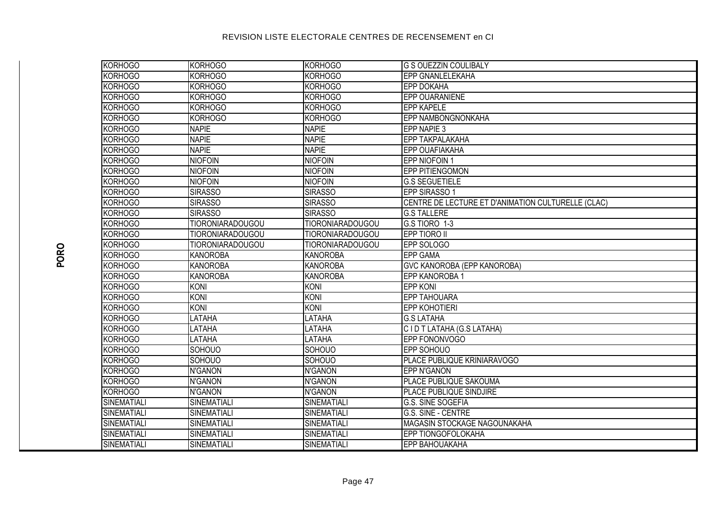| KORHOGO            | <b>KORHOGO</b>          | <b>KORHOGO</b>          | <b>G S OUEZZIN COULIBALY</b>                       |
|--------------------|-------------------------|-------------------------|----------------------------------------------------|
| <b>KORHOGO</b>     | <b>KORHOGO</b>          | <b>KORHOGO</b>          | <b>EPP GNANLELEKAHA</b>                            |
| <b>KORHOGO</b>     | <b>KORHOGO</b>          | <b>KORHOGO</b>          | <b>EPP DOKAHA</b>                                  |
| <b>KORHOGO</b>     | <b>KORHOGO</b>          | <b>KORHOGO</b>          | EPP OUARANIENE                                     |
| KORHOGO            | <b>KORHOGO</b>          | <b>KORHOGO</b>          | <b>EPP KAPELE</b>                                  |
| <b>KORHOGO</b>     | <b>KORHOGO</b>          | <b>KORHOGO</b>          | EPP NAMBONGNONKAHA                                 |
| <b>KORHOGO</b>     | <b>NAPIE</b>            | <b>NAPIE</b>            | EPP NAPIE 3                                        |
| <b>KORHOGO</b>     | <b>NAPIE</b>            | <b>NAPIE</b>            | EPP TAKPALAKAHA                                    |
| <b>KORHOGO</b>     | <b>NAPIE</b>            | <b>NAPIE</b>            | EPP OUAFIAKAHA                                     |
| <b>KORHOGO</b>     | <b>NIOFOIN</b>          | <b>NIOFOIN</b>          | EPP NIOFOIN 1                                      |
| <b>KORHOGO</b>     | <b>NIOFOIN</b>          | <b>NIOFOIN</b>          | <b>EPP PITIENGOMON</b>                             |
| <b>KORHOGO</b>     | <b>NIOFOIN</b>          | <b>NIOFOIN</b>          | <b>G.S SEGUETIELE</b>                              |
| <b>KORHOGO</b>     | <b>SIRASSO</b>          | <b>SIRASSO</b>          | EPP SIRASSO 1                                      |
| <b>KORHOGO</b>     | <b>SIRASSO</b>          | <b>SIRASSO</b>          | CENTRE DE LECTURE ET D'ANIMATION CULTURELLE (CLAC) |
| <b>KORHOGO</b>     | <b>SIRASSO</b>          | <b>SIRASSO</b>          | <b>G.S TALLERE</b>                                 |
| KORHOGO            | <b>TIORONIARADOUGOU</b> | <b>TIORONIARADOUGOU</b> | G.S TIORO 1-3                                      |
| KORHOGO            | <b>TIORONIARADOUGOU</b> | <b>TIORONIARADOUGOU</b> | EPP TIORO II                                       |
| KORHOGO            | <b>TIORONIARADOUGOU</b> | <b>TIORONIARADOUGOU</b> | EPP SOLOGO                                         |
| <b>KORHOGO</b>     | <b>KANOROBA</b>         | <b>KANOROBA</b>         | <b>EPP GAMA</b>                                    |
| KORHOGO            | <b>KANOROBA</b>         | <b>KANOROBA</b>         | <b>GVC KANOROBA (EPP KANOROBA)</b>                 |
| <b>KORHOGO</b>     | <b>KANOROBA</b>         | <b>KANOROBA</b>         | EPP KANOROBA 1                                     |
| <b>KORHOGO</b>     | KONI                    | KONI                    | <b>EPP KONI</b>                                    |
| <b>KORHOGO</b>     | KONI                    | KONI                    | <b>EPP TAHOUARA</b>                                |
| KORHOGO            | <b>KONI</b>             | <b>KONI</b>             | <b>EPP KOHOTIERI</b>                               |
| KORHOGO            | LATAHA                  | <b>LATAHA</b>           | <b>G.S LATAHA</b>                                  |
| <b>KORHOGO</b>     | LATAHA                  | LATAHA                  | CIDT LATAHA (G.S LATAHA)                           |
| <b>KORHOGO</b>     | LATAHA                  | LATAHA                  | EPP FONONVOGO                                      |
| <b>KORHOGO</b>     | SOHOUO                  | SOHOUO                  | EPP SOHOUO                                         |
| <b>KORHOGO</b>     | SOHOUO                  | SOHOUO                  | PLACE PUBLIQUE KRINIARAVOGO                        |
| <b>KORHOGO</b>     | <b>N'GANON</b>          | <b>N'GANON</b>          | <b>EPP N'GANON</b>                                 |
| <b>KORHOGO</b>     | <b>N'GANON</b>          | <b>N'GANON</b>          | PLACE PUBLIQUE SAKOUMA                             |
| <b>KORHOGO</b>     | <b>N'GANON</b>          | <b>N'GANON</b>          | PLACE PUBLIQUE SINDJIRE                            |
| SINEMATIALI        | SINEMATIALI             | SINEMATIALI             | G.S. SINE SOGEFIA                                  |
| SINEMATIALI        | <b>SINEMATIALI</b>      | <b>SINEMATIALI</b>      | G.S. SINE - CENTRE                                 |
| <b>SINEMATIALI</b> | SINEMATIALI             | <b>SINEMATIALI</b>      | MAGASIN STOCKAGE NAGOUNAKAHA                       |
| SINEMATIALI        | SINEMATIALI             | <b>SINEMATIALI</b>      | EPP TIONGOFOLOKAHA                                 |
| SINEMATIALI        | SINEMATIALI             | <b>SINEMATIALI</b>      | EPP BAHOUAKAHA                                     |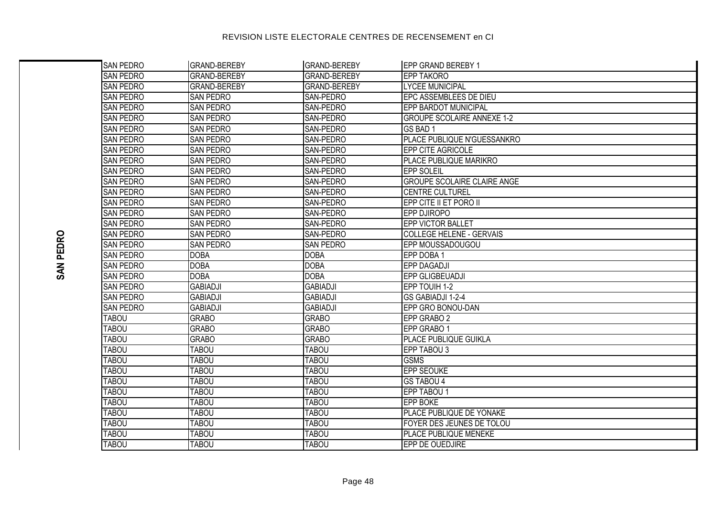| <b>SAN PEDRO</b> | <b>GRAND-BEREBY</b> | <b>GRAND-BEREBY</b> | EPP GRAND BEREBY 1                 |
|------------------|---------------------|---------------------|------------------------------------|
| <b>SAN PEDRO</b> | <b>GRAND-BEREBY</b> | <b>GRAND-BEREBY</b> | <b>EPP TAKORO</b>                  |
| <b>SAN PEDRO</b> | <b>GRAND-BEREBY</b> | <b>GRAND-BEREBY</b> | <b>LYCEE MUNICIPAL</b>             |
| <b>SAN PEDRO</b> | <b>SAN PEDRO</b>    | SAN-PEDRO           | EPC ASSEMBLEES DE DIEU             |
| <b>SAN PEDRO</b> | <b>SAN PEDRO</b>    | SAN-PEDRO           | <b>EPP BARDOT MUNICIPAL</b>        |
| <b>SAN PEDRO</b> | <b>SAN PEDRO</b>    | SAN-PEDRO           | <b>GROUPE SCOLAIRE ANNEXE 1-2</b>  |
| <b>SAN PEDRO</b> | <b>SAN PEDRO</b>    | SAN-PEDRO           | GS BAD 1                           |
| <b>SAN PEDRO</b> | <b>SAN PEDRO</b>    | SAN-PEDRO           | PLACE PUBLIQUE N'GUESSANKRO        |
| <b>SAN PEDRO</b> | <b>SAN PEDRO</b>    | SAN-PEDRO           | EPP CITE AGRICOLE                  |
| <b>SAN PEDRO</b> | <b>SAN PEDRO</b>    | SAN-PEDRO           | <b>PLACE PUBLIQUE MARIKRO</b>      |
| <b>SAN PEDRO</b> | <b>SAN PEDRO</b>    | SAN-PEDRO           | <b>EPP SOLEIL</b>                  |
| <b>SAN PEDRO</b> | SAN PEDRO           | SAN-PEDRO           | <b>GROUPE SCOLAIRE CLAIRE ANGE</b> |
| <b>SAN PEDRO</b> | SAN PEDRO           | SAN-PEDRO           | <b>CENTRE CULTUREL</b>             |
| <b>SAN PEDRO</b> | <b>SAN PEDRO</b>    | <b>SAN-PEDRO</b>    | EPP CITE II ET PORO II             |
| SAN PEDRO        | <b>SAN PEDRO</b>    | <b>SAN-PEDRO</b>    | EPP DJIROPO                        |
| SAN PEDRO        | SAN PEDRO           | SAN-PEDRO           | EPP VICTOR BALLET                  |
| <b>SAN PEDRO</b> | <b>SAN PEDRO</b>    | SAN-PEDRO           | <b>COLLEGE HELENE - GERVAIS</b>    |
| <b>SAN PEDRO</b> | <b>SAN PEDRO</b>    | <b>SAN PEDRO</b>    | EPP MOUSSADOUGOU                   |
| <b>SAN PEDRO</b> | <b>DOBA</b>         | <b>DOBA</b>         | EPP DOBA 1                         |
| <b>SAN PEDRO</b> | <b>DOBA</b>         | <b>DOBA</b>         | <b>EPP DAGADJI</b>                 |
| <b>SAN PEDRO</b> | <b>DOBA</b>         | <b>DOBA</b>         | EPP GLIGBEUADJI                    |
| <b>SAN PEDRO</b> | <b>GABIADJI</b>     | <b>GABIADJI</b>     | EPP TOUIH 1-2                      |
| <b>SAN PEDRO</b> | <b>GABIADJI</b>     | <b>GABIADJI</b>     | GS GABIADJI 1-2-4                  |
| <b>SAN PEDRO</b> | <b>GABIADJI</b>     | <b>GABIADJI</b>     | EPP GRO BONOU-DAN                  |
| <b>TABOU</b>     | <b>GRABO</b>        | <b>GRABO</b>        | EPP GRABO 2                        |
| <b>TABOU</b>     | <b>GRABO</b>        | <b>GRABO</b>        | EPP GRABO 1                        |
| <b>TABOU</b>     | <b>GRABO</b>        | <b>GRABO</b>        | PLACE PUBLIQUE GUIKLA              |
| <b>TABOU</b>     | <b>TABOU</b>        | <b>TABOU</b>        | EPP TABOU 3                        |
| <b>TABOU</b>     | <b>TABOU</b>        | <b>TABOU</b>        | <b>GSMS</b>                        |
| <b>TABOU</b>     | <b>TABOU</b>        | <b>TABOU</b>        | <b>EPP SEOUKE</b>                  |
| <b>TABOU</b>     | <b>TABOU</b>        | <b>TABOU</b>        | <b>GS TABOU 4</b>                  |
| <b>TABOU</b>     | <b>TABOU</b>        | <b>TABOU</b>        | EPP TABOU 1                        |
| <b>TABOU</b>     | <b>TABOU</b>        | <b>TABOU</b>        | <b>EPP BOKE</b>                    |
| <b>TABOU</b>     | <b>TABOU</b>        | <b>TABOU</b>        | PLACE PUBLIQUE DE YONAKE           |
| <b>TABOU</b>     | <b>TABOU</b>        | <b>TABOU</b>        | FOYER DES JEUNES DE TOLOU          |
| <b>TABOU</b>     | <b>TABOU</b>        | <b>TABOU</b>        | PLACE PUBLIQUE MENEKE              |
| <b>TABOU</b>     | TABOU               | <b>TABOU</b>        | EPP DE OUEDJIRE                    |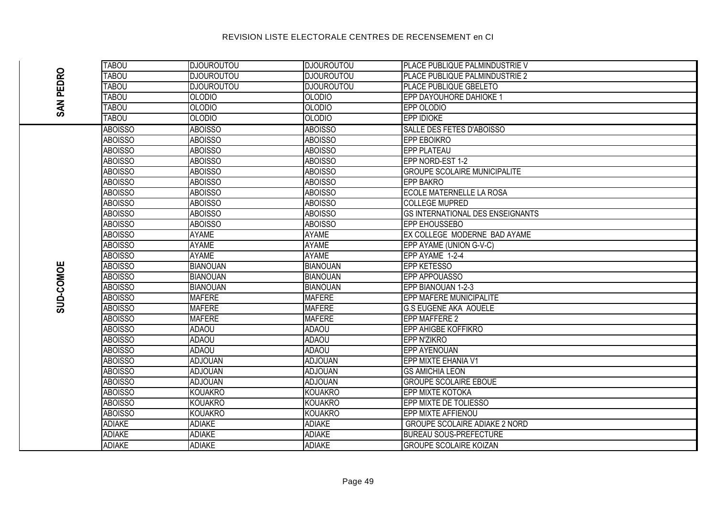#### **DJOUROUTOU** PLACE PUBLIQUE PALMINDUSTRIE V **TAROU DJOUROUTOU SAN PEDRO TAROU DJOUROUTOU DJOUROUTOU** PLACE PUBLIQUE PALMINDUSTRIE 2 **DJOUROUTOU DJOUROUTOU** PLACE PUBLIQUE GBELETO TABOU **TABOU**  $OLODIO$  $OLODIO$ **EPP DAYOUHORE DAHIOKE 1** TABOU **OLODIO OLODIO** EPP OLODIO TABOU OLODIO OLODIO **EPP IDIOKE ABOISSO ABOISSO ABOISSO SALLE DES FETES D'ABOISSO ABOISSO EPP EBOIKRO ABOISSO AROISSO EPP PLATEAU ABOISSO ABOISSO ABOISSO ABOISSO ABOISSO ABOISSO** EPP NORD-EST 1-2 **GROUPE SCOLAIRE MUNICIPALITE ABOISSO ABOISSO ABOISSO ABOISSO ABOISSO ABOISSO EPP BAKRO ABOISSO ECOLE MATERNELLE LA ROSA ABOISSO ABOISSO ABOISSO ABOISSO ABOISSO COLLEGE MUPRED ABOISSO ABOISSO ABOISSO GS INTERNATIONAL DES ENSEIGNANTS** AROISSO **AROISSO AROISSO** FPP FHOUSSERO **ABOISSO AYAME AYAME** EX COLLEGE MODERNE BAD AYAME **ABOISSO AYAME AYAME** EPP AYAME (UNION G-V-C) **ABOISSO AYAME AYAME** EPP AYAME 1-2-4 **SUD-COMOE ABOISSO BIANOUAN** BIANOUAN **EPP KETESSO** EPP APPOUASSO ABOISSO **BIANOUAN BIANOUAN ABOISSO BIANOUAN BIANOUAN** EPP BIANOUAN 1-2-3 **ABOISSO MAFERE MAFERE** EPP MAFERE MUNICIPALITE **ABOISSO MAFERE MAFERE G.S EUGENE AKA AOUELE** ABOISSO **MAFFRE MAFFRE FPP MAFFERE 2** AROISSO **ADAOU ADAOU EPP AHIGBE KOFFIKRO EPP N'ZIKRO ABOISSO ADAOU ADAOU ABOISSO ADAOU ADAOU EPP AYENOUAN EPP MIXTE EHANIA V1 ABOISSO ADJOUAN ADJOUAN ABOISSO ADJOUAN ADJOUAN GS AMICHIA LEON ADJOUAN ABOISSO ADJOUAN GROUPE SCOLAIRE FBOUE ABOISSO KOUAKRO KOUAKRO EPP MIXTE KOTOKA ABOISSO KOUAKRO KOUAKRO EPP MIXTE DE TOLIESSO ABOISSO KOUAKRO** EPP MIXTE AFFIENOU **KOUAKRO ADIAKE ADIAKF ADIAKF** GROUPE SCOLAIRE ADIAKE 2 NORD **ADIAKE ADIAKE BUREAU SOUS-PREFECTURE** ADIAKE **ADIAKE ADIAKE ADIAKE GROUPE SCOLAIRE KOIZAN**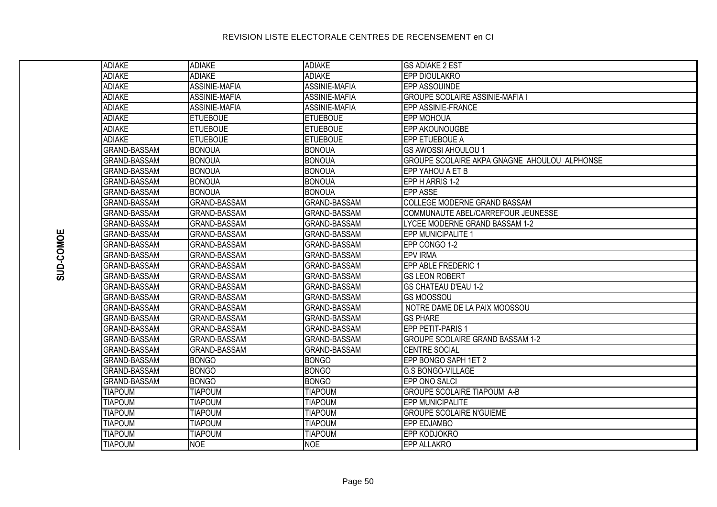| <b>ADIAKE</b>       | <b>ADIAKE</b>        | <b>ADIAKE</b>        | <b>GS ADIAKE 2 EST</b>                       |
|---------------------|----------------------|----------------------|----------------------------------------------|
| <b>ADIAKE</b>       | <b>ADIAKE</b>        | <b>ADIAKE</b>        | EPP DIOULAKRO                                |
| <b>ADIAKE</b>       | <b>ASSINIE-MAFIA</b> | <b>ASSINIE-MAFIA</b> | <b>EPP ASSOUINDE</b>                         |
| <b>ADIAKE</b>       | <b>ASSINIE-MAFIA</b> | <b>ASSINIE-MAFIA</b> | <b>GROUPE SCOLAIRE ASSINIE-MAFIA I</b>       |
| <b>ADIAKE</b>       | ASSINIE-MAFIA        | ASSINIE-MAFIA        | EPP ASSINIE-FRANCE                           |
| <b>ADIAKE</b>       | <b>ETUEBOUE</b>      | <b>ETUEBOUE</b>      | <b>EPP MOHOUA</b>                            |
| <b>ADIAKE</b>       | <b>ETUEBOUE</b>      | <b>ETUEBOUE</b>      | <b>EPP AKOUNOUGBE</b>                        |
| <b>ADIAKE</b>       | <b>ETUEBOUE</b>      | <b>ETUEBOUE</b>      | EPP ETUEBOUE A                               |
| <b>GRAND-BASSAM</b> | <b>BONOUA</b>        | <b>BONOUA</b>        | <b>GS AWOSSI AHOULOU 1</b>                   |
| <b>GRAND-BASSAM</b> | <b>BONOUA</b>        | <b>BONOUA</b>        | GROUPE SCOLAIRE AKPA GNAGNE AHOULOU ALPHONSE |
| <b>GRAND-BASSAM</b> | <b>BONOUA</b>        | <b>BONOUA</b>        | EPP YAHOU A ET B                             |
| <b>GRAND-BASSAM</b> | <b>BONOUA</b>        | <b>BONOUA</b>        | EPP H ARRIS 1-2                              |
| <b>GRAND-BASSAM</b> | <b>BONOUA</b>        | <b>BONOUA</b>        | <b>EPP ASSE</b>                              |
| <b>GRAND-BASSAM</b> | <b>GRAND-BASSAM</b>  | <b>GRAND-BASSAM</b>  | <b>COLLEGE MODERNE GRAND BASSAM</b>          |
| <b>GRAND-BASSAM</b> | <b>GRAND-BASSAM</b>  | <b>GRAND-BASSAM</b>  | COMMUNAUTE ABEL/CARREFOUR JEUNESSE           |
| <b>GRAND-BASSAM</b> | <b>GRAND-BASSAM</b>  | <b>GRAND-BASSAM</b>  | LYCEE MODERNE GRAND BASSAM 1-2               |
| <b>GRAND-BASSAM</b> | <b>GRAND-BASSAM</b>  | <b>GRAND-BASSAM</b>  | EPP MUNICIPALITE 1                           |
| <b>GRAND-BASSAM</b> | <b>GRAND-BASSAM</b>  | <b>GRAND-BASSAM</b>  | EPP CONGO 1-2                                |
| <b>GRAND-BASSAM</b> | <b>GRAND-BASSAM</b>  | <b>GRAND-BASSAM</b>  | <b>EPV IRMA</b>                              |
| <b>GRAND-BASSAM</b> | <b>GRAND-BASSAM</b>  | <b>GRAND-BASSAM</b>  | EPP ABLE FREDERIC 1                          |
| <b>GRAND-BASSAM</b> | <b>GRAND-BASSAM</b>  | <b>GRAND-BASSAM</b>  | <b>GS LEON ROBERT</b>                        |
| <b>GRAND-BASSAM</b> | <b>GRAND-BASSAM</b>  | <b>GRAND-BASSAM</b>  | <b>GS CHATEAU D'EAU 1-2</b>                  |
| <b>GRAND-BASSAM</b> | <b>GRAND-BASSAM</b>  | <b>GRAND-BASSAM</b>  | <b>GS MOOSSOU</b>                            |
| <b>GRAND-BASSAM</b> | GRAND-BASSAM         | <b>GRAND-BASSAM</b>  | NOTRE DAME DE LA PAIX MOOSSOU                |
| <b>GRAND-BASSAM</b> | <b>GRAND-BASSAM</b>  | <b>GRAND-BASSAM</b>  | <b>GS PHARE</b>                              |
| <b>GRAND-BASSAM</b> | <b>GRAND-BASSAM</b>  | <b>GRAND-BASSAM</b>  | <b>EPP PETIT-PARIS 1</b>                     |
| <b>GRAND-BASSAM</b> | <b>GRAND-BASSAM</b>  | <b>GRAND-BASSAM</b>  | <b>GROUPE SCOLAIRE GRAND BASSAM 1-2</b>      |
| <b>GRAND-BASSAM</b> | <b>GRAND-BASSAM</b>  | <b>GRAND-BASSAM</b>  | <b>CENTRE SOCIAL</b>                         |
| <b>GRAND-BASSAM</b> | <b>BONGO</b>         | <b>BONGO</b>         | EPP BONGO SAPH 1ET 2                         |
| <b>GRAND-BASSAM</b> | <b>BONGO</b>         | <b>BONGO</b>         | <b>G.S BONGO-VILLAGE</b>                     |
| <b>GRAND-BASSAM</b> | <b>BONGO</b>         | <b>BONGO</b>         | EPP ONO SALCI                                |
| <b>TIAPOUM</b>      | <b>TIAPOUM</b>       | <b>TIAPOUM</b>       | <b>GROUPE SCOLAIRE TIAPOUM A-B</b>           |
| <b>TIAPOUM</b>      | <b>TIAPOUM</b>       | <b>TIAPOUM</b>       | <b>EPP MUNICIPALITE</b>                      |
| <b>TIAPOUM</b>      | <b>TIAPOUM</b>       | <b>TIAPOUM</b>       | <b>GROUPE SCOLAIRE N'GUIEME</b>              |
| <b>TIAPOUM</b>      | <b>TIAPOUM</b>       | <b>TIAPOUM</b>       | <b>EPP EDJAMBO</b>                           |
| <b>TIAPOUM</b>      | <b>TIAPOUM</b>       | <b>TIAPOUM</b>       | <b>EPP KODJOKRO</b>                          |
| <b>TIAPOLIM</b>     | <b>NOF</b>           | <b>INOF</b>          | FPP ALLAKRO                                  |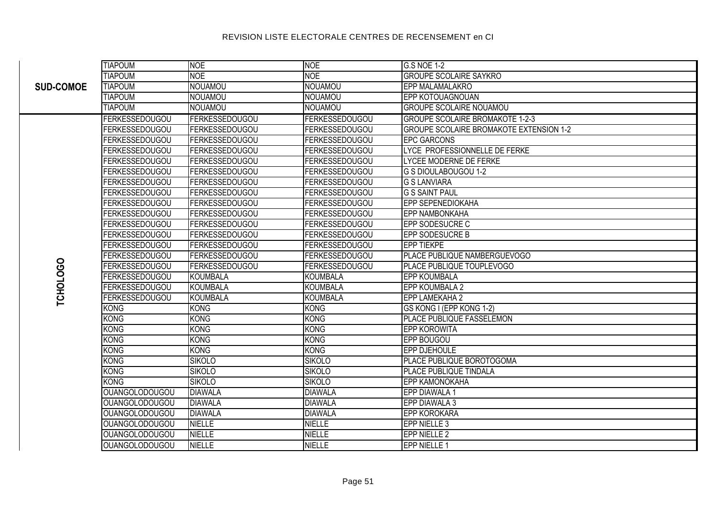|                  | <b>TIAPOUM</b>        | <b>NOE</b>            | <b>NOE</b>            | <b>G.S NOE 1-2</b>                      |
|------------------|-----------------------|-----------------------|-----------------------|-----------------------------------------|
| <b>SUD-COMOE</b> | <b>TIAPOUM</b>        | <b>NOE</b>            | <b>NOE</b>            | <b>GROUPE SCOLAIRE SAYKRO</b>           |
|                  | <b>TIAPOUM</b>        | <b>NOUAMOU</b>        | <b>NOUAMOU</b>        | <b>EPP MALAMALAKRO</b>                  |
|                  | <b>TIAPOUM</b>        | <b>NOUAMOU</b>        | NOUAMOU               | <b>EPP KOTOUAGNOUAN</b>                 |
|                  | <b>TIAPOUM</b>        | <b>NOUAMOU</b>        | NOUAMOU               | <b>GROUPE SCOLAIRE NOUAMOU</b>          |
|                  | <b>FERKESSEDOUGOU</b> | <b>FERKESSEDOUGOU</b> | <b>FERKESSEDOUGOU</b> | <b>GROUPE SCOLAIRE BROMAKOTE 1-2-3</b>  |
|                  | <b>FERKESSEDOUGOU</b> | <b>FERKESSEDOUGOU</b> | <b>FERKESSEDOUGOU</b> | GROUPE SCOLAIRE BROMAKOTE EXTENSION 1-2 |
|                  | FERKESSEDOUGOU        | <b>FERKESSEDOUGOU</b> | <b>FERKESSEDOUGOU</b> | <b>EPC GARCONS</b>                      |
|                  | FERKESSEDOUGOU        | <b>FERKESSEDOUGOU</b> | <b>FERKESSEDOUGOU</b> | LYCE PROFESSIONNELLE DE FERKE           |
|                  | FERKESSEDOUGOU        | <b>FERKESSEDOUGOU</b> | <b>FERKESSEDOUGOU</b> | LYCEE MODERNE DE FERKE                  |
|                  | <b>FERKESSEDOUGOU</b> | <b>FERKESSEDOUGOU</b> | <b>FERKESSEDOUGOU</b> | G S DIOULABOUGOU 1-2                    |
|                  | FERKESSEDOUGOU        | <b>FERKESSEDOUGOU</b> | <b>FERKESSEDOUGOU</b> | <b>G S LANVIARA</b>                     |
|                  | FERKESSEDOUGOU        | <b>FERKESSEDOUGOU</b> | <b>FERKESSEDOUGOU</b> | <b>G S SAINT PAUL</b>                   |
|                  | FERKESSEDOUGOU        | <b>FERKESSEDOUGOU</b> | <b>FERKESSEDOUGOU</b> | EPP SEPENEDIOKAHA                       |
|                  | FERKESSEDOUGOU        | <b>FERKESSEDOUGOU</b> | <b>FERKESSEDOUGOU</b> | <b>EPP NAMBONKAHA</b>                   |
|                  | FERKESSEDOUGOU        | <b>FERKESSEDOUGOU</b> | <b>FERKESSEDOUGOU</b> | <b>EPP SODESUCRE C</b>                  |
|                  | FERKESSEDOUGOU        | <b>FERKESSEDOUGOU</b> | <b>FERKESSEDOUGOU</b> | <b>EPP SODESUCRE B</b>                  |
|                  | FERKESSEDOUGOU        | <b>FERKESSEDOUGOU</b> | <b>FERKESSEDOUGOU</b> | <b>EPP TIEKPE</b>                       |
|                  | FERKESSEDOUGOU        | <b>FERKESSEDOUGOU</b> | <b>FERKESSEDOUGOU</b> | PLACE PUBLIQUE NAMBERGUEVOGO            |
| <b>TCHOLOGO</b>  | FERKESSEDOUGOU        | <b>FERKESSEDOUGOU</b> | <b>FERKESSEDOUGOU</b> | PLACE PUBLIQUE TOUPLEVOGO               |
|                  | <b>FERKESSEDOUGOU</b> | <b>KOUMBALA</b>       | <b>KOUMBALA</b>       | <b>EPP KOUMBALA</b>                     |
|                  | <b>FERKESSEDOUGOU</b> | <b>KOUMBALA</b>       | <b>KOUMBALA</b>       | EPP KOUMBALA 2                          |
|                  | <b>FERKESSEDOUGOU</b> | <b>KOUMBALA</b>       | <b>KOUMBALA</b>       | EPP LAMEKAHA 2                          |
|                  | <b>KONG</b>           | <b>KONG</b>           | <b>KONG</b>           | GS KONG I (EPP KONG 1-2)                |
|                  | <b>KONG</b>           | <b>KONG</b>           | <b>KONG</b>           | PLACE PUBLIQUE FASSELEMON               |
|                  | <b>KONG</b>           | <b>KONG</b>           | <b>KONG</b>           | <b>EPP KOROWITA</b>                     |
|                  | <b>KONG</b>           | <b>KONG</b>           | <b>KONG</b>           | EPP BOUGOU                              |
|                  | <b>KONG</b>           | <b>KONG</b>           | <b>KONG</b>           | <b>EPP DJEHOULE</b>                     |
|                  | <b>KONG</b>           | <b>SIKOLO</b>         | <b>SIKOLO</b>         | PLACE PUBLIQUE BOROTOGOMA               |
|                  | <b>KONG</b>           | <b>SIKOLO</b>         | <b>SIKOLO</b>         | PLACE PUBLIQUE TINDALA                  |
|                  | <b>KONG</b>           | <b>SIKOLO</b>         | <b>SIKOLO</b>         | <b>EPP KAMONOKAHA</b>                   |
|                  | <b>OUANGOLODOUGOU</b> | <b>DIAWALA</b>        | <b>DIAWALA</b>        | EPP DIAWALA 1                           |
|                  | OUANGOLODOUGOU        | <b>DIAWALA</b>        | <b>DIAWALA</b>        | EPP DIAWALA 3                           |
|                  | OUANGOLODOUGOU        | <b>DIAWALA</b>        | <b>DIAWALA</b>        | EPP KOROKARA                            |
|                  | <b>OUANGOLODOUGOU</b> | <b>NIELLE</b>         | <b>NIELLE</b>         | <b>EPP NIELLE 3</b>                     |
|                  | <b>OUANGOLODOUGOU</b> | <b>NIELLE</b>         | <b>NIELLE</b>         | EPP NIELLE 2                            |
|                  | OUANGOLODOUGOU        | <b>NIELLE</b>         | <b>NIELLE</b>         | <b>EPP NIELLE 1</b>                     |
|                  |                       |                       |                       |                                         |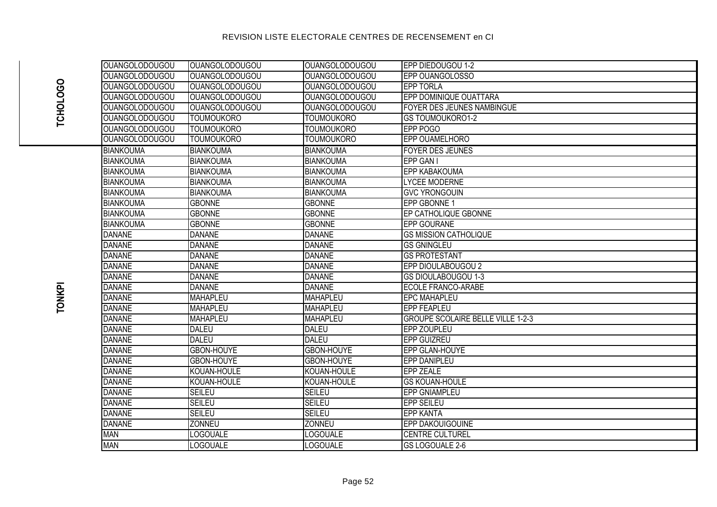| <b>OUANGOLODOUGOU</b>   | <b>OUANGOLODOUGOU</b> | <b>OUANGOLODOUGOU</b> | EPP DIEDOUGOU 1-2                        |
|-------------------------|-----------------------|-----------------------|------------------------------------------|
| <b>OUANGOLODOUGOU</b>   | <b>OUANGOLODOUGOU</b> | <b>OUANGOLODOUGOU</b> | EPP OUANGOLOSSO                          |
| <b>OUANGOLODOUGOU</b>   | <b>OUANGOLODOUGOU</b> | <b>OUANGOLODOUGOU</b> | <b>EPP TORLA</b>                         |
| <b>OUANGOLODOUGOU</b>   | <b>OUANGOLODOUGOU</b> | <b>OUANGOLODOUGOU</b> | EPP DOMINIQUE OUATTARA                   |
| <b>OUANGOLODOUGOU</b>   | <b>OUANGOLODOUGOU</b> | <b>OUANGOLODOUGOU</b> | FOYER DES JEUNES NAMBINGUE               |
| <b>OUANGOLODOUGOU</b>   | <b>TOUMOUKORO</b>     | <b>TOUMOUKORO</b>     | <b>GS TOUMOUKORO1-2</b>                  |
| <b>OUANGOLODOUGOU</b>   | <b>TOUMOUKORO</b>     | <b>TOUMOUKORO</b>     | <b>EPP POGO</b>                          |
| <b>I</b> OUANGOLODOUGOU | <b>TOUMOUKORO</b>     | <b>TOUMOUKORO</b>     | EPP OUAMELHORO                           |
| BIANKOUMA               | <b>BIANKOUMA</b>      | <b>BIANKOUMA</b>      | <b>FOYER DES JEUNES</b>                  |
| <b>BIANKOUMA</b>        | <b>BIANKOUMA</b>      | <b>BIANKOUMA</b>      | EPP GAN I                                |
| BIANKOUMA               | <b>BIANKOUMA</b>      | <b>BIANKOUMA</b>      | <b>EPP KABAKOUMA</b>                     |
| BIANKOUMA               | <b>BIANKOUMA</b>      | <b>BIANKOUMA</b>      | <b>LYCEE MODERNE</b>                     |
| BIANKOUMA               | <b>BIANKOUMA</b>      | <b>BIANKOUMA</b>      | <b>GVC YRONGOUIN</b>                     |
| BIANKOUMA               | <b>GBONNE</b>         | <b>GBONNE</b>         | EPP GBONNE 1                             |
| BIANKOUMA               | <b>GBONNE</b>         | <b>GBONNE</b>         | EP CATHOLIQUE GBONNE                     |
| BIANKOUMA               | <b>GBONNE</b>         | <b>GBONNE</b>         | <b>EPP GOURANE</b>                       |
| DANANE                  | <b>DANANE</b>         | <b>DANANE</b>         | <b>GS MISSION CATHOLIQUE</b>             |
| <b>DANANE</b>           | <b>DANANE</b>         | <b>DANANE</b>         | <b>GS GNINGLEU</b>                       |
| <b>DANANE</b>           | <b>DANANE</b>         | <b>DANANE</b>         | <b>GS PROTESTANT</b>                     |
| <b>DANANE</b>           | <b>DANANE</b>         | <b>DANANE</b>         | EPP DIOULABOUGOU 2                       |
| DANANE                  | <b>DANANE</b>         | <b>DANANE</b>         | <b>GS DIOULABOUGOU 1-3</b>               |
| <b>DANANE</b>           | <b>DANANE</b>         | <b>DANANE</b>         | <b>ECOLE FRANCO-ARABE</b>                |
| <b>DANANE</b>           | <b>MAHAPLEU</b>       | <b>MAHAPLEU</b>       | <b>EPC MAHAPLEU</b>                      |
| <b>DANANE</b>           | <b>MAHAPLEU</b>       | <b>MAHAPLEU</b>       | <b>EPP FEAPLEU</b>                       |
| <b>DANANE</b>           | <b>MAHAPLEU</b>       | <b>MAHAPLEU</b>       | <b>GROUPE SCOLAIRE BELLE VILLE 1-2-3</b> |
| DANANE                  | <b>DALEU</b>          | <b>DALEU</b>          | EPP ZOUPLEU                              |
| <b>DANANE</b>           | <b>DALEU</b>          | <b>DALEU</b>          | EPP GUIZREU                              |
| <b>DANANE</b>           | <b>GBON-HOUYE</b>     | <b>GBON-HOUYE</b>     | EPP GLAN-HOUYE                           |
| <b>DANANE</b>           | <b>GBON-HOUYE</b>     | <b>GBON-HOUYE</b>     | <b>EPP DANIPLEU</b>                      |
| <b>DANANE</b>           | KOUAN-HOULE           | KOUAN-HOULE           | <b>EPP ZEALE</b>                         |
| <b>DANANE</b>           | KOUAN-HOULE           | KOUAN-HOULE           | <b>GS KOUAN-HOULE</b>                    |
| <b>DANANE</b>           | <b>SEILEU</b>         | <b>SEILEU</b>         | <b>EPP GNIAMPLEU</b>                     |
| <b>DANANE</b>           | <b>SEILEU</b>         | <b>SEILEU</b>         | <b>EPP SEILEU</b>                        |
| <b>DANANE</b>           | <b>SEILEU</b>         | <b>SEILEU</b>         | <b>EPP KANTA</b>                         |
| <b>DANANE</b>           | <b>ZONNEU</b>         | <b>ZONNEU</b>         | EPP DAKOUIGOUINE                         |
| <b>MAN</b>              | <b>LOGOUALE</b>       | <b>LOGOUALE</b>       | <b>CENTRE CULTUREL</b>                   |
| <b>MAN</b>              | <b>LOGOUALE</b>       | <b>LOGOUALE</b>       | <b>GS LOGOUALE 2-6</b>                   |
|                         |                       |                       |                                          |

# **TCHOLOGO**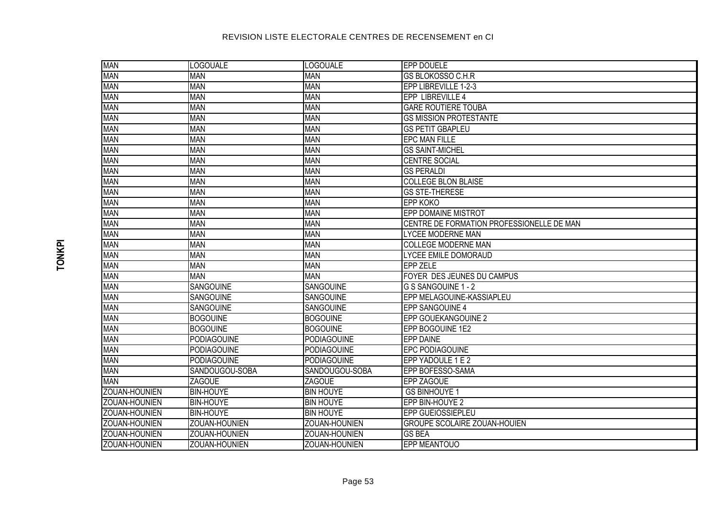| <b>MAN</b>           | <b>LOGOUALE</b>    | <b>LOGOUALE</b>    | <b>EPP DOUELE</b>                         |  |
|----------------------|--------------------|--------------------|-------------------------------------------|--|
| MAN                  | <b>MAN</b>         | <b>MAN</b>         | <b>GS BLOKOSSO C.H.R</b>                  |  |
| <b>MAN</b>           | <b>MAN</b>         | <b>MAN</b>         | EPP LIBREVILLE 1-2-3                      |  |
| <b>MAN</b>           | <b>MAN</b>         | <b>MAN</b>         | EPP LIBREVILLE 4                          |  |
| MAN                  | <b>MAN</b>         | <b>MAN</b>         | <b>GARE ROUTIERE TOUBA</b>                |  |
| MAN                  | <b>MAN</b>         | <b>MAN</b>         | <b>GS MISSION PROTESTANTE</b>             |  |
| <b>MAN</b>           | <b>MAN</b>         | <b>MAN</b>         | <b>GS PETIT GBAPLEU</b>                   |  |
| <b>MAN</b>           | <b>MAN</b>         | <b>MAN</b>         | <b>EPC MAN FILLE</b>                      |  |
| <b>MAN</b>           | <b>MAN</b>         | <b>MAN</b>         | <b>GS SAINT-MICHEL</b>                    |  |
| <b>MAN</b>           | <b>MAN</b>         | <b>MAN</b>         | <b>CENTRE SOCIAL</b>                      |  |
| <b>MAN</b>           | <b>MAN</b>         | <b>MAN</b>         | <b>GS PERALDI</b>                         |  |
| MAN                  | <b>MAN</b>         | <b>MAN</b>         | <b>COLLEGE BLON BLAISE</b>                |  |
| MAN                  | <b>MAN</b>         | <b>MAN</b>         | <b>GS STE-THERESE</b>                     |  |
| MAN                  | <b>MAN</b>         | <b>MAN</b>         | <b>EPP KOKO</b>                           |  |
| <b>MAN</b>           | <b>MAN</b>         | <b>MAN</b>         | <b>EPP DOMAINE MISTROT</b>                |  |
| MAN                  | <b>MAN</b>         | <b>MAN</b>         | CENTRE DE FORMATION PROFESSIONELLE DE MAN |  |
| MAN                  | <b>MAN</b>         | <b>MAN</b>         | <b>LYCEE MODERNE MAN</b>                  |  |
| MAN                  | <b>MAN</b>         | <b>MAN</b>         | <b>COLLEGE MODERNE MAN</b>                |  |
| MAN                  | <b>MAN</b>         | <b>MAN</b>         | LYCEE EMILE DOMORAUD                      |  |
| MAN                  | <b>MAN</b>         | <b>MAN</b>         | <b>EPP ZELE</b>                           |  |
| MAN                  | <b>MAN</b>         | <b>MAN</b>         | FOYER DES JEUNES DU CAMPUS                |  |
| MAN                  | SANGOUINE          | SANGOUINE          | G S SANGOUINE 1 - 2                       |  |
| MAN                  | SANGOUINE          | SANGOUINE          | EPP MELAGOUINE-KASSIAPLEU                 |  |
| MAN                  | SANGOUINE          | SANGOUINE          | EPP SANGOUINE 4                           |  |
| <b>MAN</b>           | <b>BOGOUINE</b>    | <b>BOGOUINE</b>    | EPP GOUEKANGOUINE 2                       |  |
| <b>MAN</b>           | <b>BOGOUINE</b>    | <b>BOGOUINE</b>    | EPP BOGOUINE 1E2                          |  |
| MAN                  | <b>PODIAGOUINE</b> | <b>PODIAGOUINE</b> | EPP DAINE                                 |  |
| MAN                  | <b>PODIAGOUINE</b> | <b>PODIAGOUINE</b> | EPC PODIAGOUINE                           |  |
| <b>MAN</b>           | <b>PODIAGOUINE</b> | <b>PODIAGOUINE</b> | EPP YADOULE 1 E 2                         |  |
| MAN                  | SANDOUGOU-SOBA     | SANDOUGOU-SOBA     | EPP BOFESSO-SAMA                          |  |
| MAN                  | <b>ZAGOUE</b>      | <b>ZAGOUE</b>      | EPP ZAGOUE                                |  |
| ZOUAN-HOUNIEN        | <b>BIN-HOUYE</b>   | <b>BIN HOUYE</b>   | <b>GS BINHOUYE 1</b>                      |  |
| ZOUAN-HOUNIEN        | <b>BIN-HOUYE</b>   | <b>BIN HOUYE</b>   | EPP BIN-HOUYE 2                           |  |
| <b>ZOUAN-HOUNIEN</b> | <b>BIN-HOUYE</b>   | <b>BIN HOUYE</b>   | EPP GUEIOSSIEPLEU                         |  |
| ZOUAN-HOUNIEN        | ZOUAN-HOUNIEN      | ZOUAN-HOUNIEN      | <b>GROUPE SCOLAIRE ZOUAN-HOUIEN</b>       |  |
| ZOUAN-HOUNIEN        | ZOUAN-HOUNIEN      | ZOUAN-HOUNIEN      | <b>GS BEA</b>                             |  |
| <b>ZOUAN-HOUNIEN</b> | ZOUAN-HOUNIEN      | ZOUAN-HOUNIEN      | <b>EPP MEANTOUO</b>                       |  |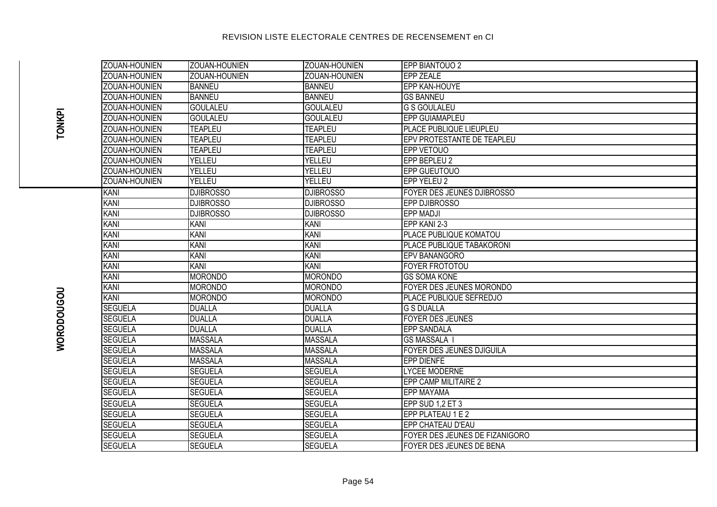| <b>ZOUAN-HOUNIEN</b> | ZOUAN-HOUNIEN    | ZOUAN-HOUNIEN    | EPP BIANTOUO 2                 |
|----------------------|------------------|------------------|--------------------------------|
| ZOUAN-HOUNIEN        | ZOUAN-HOUNIEN    | ZOUAN-HOUNIEN    | <b>EPP ZEALE</b>               |
| ZOUAN-HOUNIEN        | <b>BANNEU</b>    | <b>BANNEU</b>    | EPP KAN-HOUYE                  |
| <b>ZOUAN-HOUNIEN</b> | <b>BANNEU</b>    | <b>BANNEU</b>    | <b>GS BANNEU</b>               |
| ZOUAN-HOUNIEN        | <b>GOULALEU</b>  | <b>GOULALEU</b>  | <b>G S GOULALEU</b>            |
| ZOUAN-HOUNIEN        | <b>GOULALEU</b>  | <b>GOULALEU</b>  | <b>EPP GUIAMAPLEU</b>          |
| ZOUAN-HOUNIEN        | <b>TEAPLEU</b>   | <b>TEAPLEU</b>   | PLACE PUBLIQUE LIEUPLEU        |
| ZOUAN-HOUNIEN        | <b>TEAPLEU</b>   | <b>TEAPLEU</b>   | EPV PROTESTANTE DE TEAPLEU     |
| ZOUAN-HOUNIEN        | <b>TEAPLEU</b>   | <b>TEAPLEU</b>   | EPP VETOUO                     |
| ZOUAN-HOUNIEN        | YELLEU           | YELLEU           | EPP BEPLEU 2                   |
| ZOUAN-HOUNIEN        | YELLEU           | YELLEU           | EPP GUEUTOUO                   |
| ZOUAN-HOUNIEN        | YELLEU           | YELLEU           | <b>EPP YELEU 2</b>             |
| KANI                 | <b>DJIBROSSO</b> | <b>DJIBROSSO</b> | FOYER DES JEUNES DJIBROSSO     |
| <b>KANI</b>          | <b>DJIBROSSO</b> | <b>DJIBROSSO</b> | EPP DJIBROSSO                  |
| KANI                 | <b>DJIBROSSO</b> | <b>DJIBROSSO</b> | <b>EPP MADJI</b>               |
| KANI                 | <b>KANI</b>      | <b>KANI</b>      | EPP KANI 2-3                   |
| KANI                 | KANI             | <b>KANI</b>      | PLACE PUBLIQUE KOMATOU         |
| <b>KANI</b>          | <b>KANI</b>      | KANI             | PLACE PUBLIQUE TABAKORONI      |
| KANI                 | KANI             | <b>KANI</b>      | EPV BANANGORO                  |
| <b>KANI</b>          | <b>KANI</b>      | <b>KANI</b>      | FOYER FROTOTOU                 |
| KANI                 | <b>MORONDO</b>   | <b>MORONDO</b>   | <b>GS SOMA KONE</b>            |
| <b>KANI</b>          | <b>MORONDO</b>   | MORONDO          | FOYER DES JEUNES MORONDO       |
| <b>KANI</b>          | <b>MORONDO</b>   | MORONDO          | PLACE PUBLIQUE SEFREDJO        |
| <b>SEGUELA</b>       | <b>DUALLA</b>    | <b>DUALLA</b>    | <b>G S DUALLA</b>              |
| <b>SEGUELA</b>       | <b>DUALLA</b>    | <b>DUALLA</b>    | <b>FOYER DES JEUNES</b>        |
| <b>SEGUELA</b>       | <b>DUALLA</b>    | <b>DUALLA</b>    | <b>EPP SANDALA</b>             |
| <b>SEGUELA</b>       | <b>MASSALA</b>   | <b>MASSALA</b>   | <b>GS MASSALA I</b>            |
| <b>SEGUELA</b>       | <b>MASSALA</b>   | <b>MASSALA</b>   | FOYER DES JEUNES DJIGUILA      |
| <b>SEGUELA</b>       | <b>MASSALA</b>   | <b>MASSALA</b>   | <b>EPP DIENFE</b>              |
| <b>SEGUELA</b>       | <b>SEGUELA</b>   | <b>SEGUELA</b>   | <b>LYCEE MODERNE</b>           |
| <b>SEGUELA</b>       | <b>SEGUELA</b>   | <b>SEGUELA</b>   | EPP CAMP MILITAIRE 2           |
| <b>SEGUELA</b>       | <b>SEGUELA</b>   | <b>SEGUELA</b>   | EPP MAYAMA                     |
| <b>SEGUELA</b>       | <b>SEGUELA</b>   | <b>SEGUELA</b>   | EPP SUD 1,2 ET 3               |
| <b>SEGUELA</b>       | <b>SEGUELA</b>   | <b>SEGUELA</b>   | EPP PLATEAU 1 E 2              |
| <b>SEGUELA</b>       | <b>SEGUELA</b>   | <b>SEGUELA</b>   | EPP CHATEAU D'EAU              |
| <b>SEGUELA</b>       | <b>SEGUELA</b>   | <b>SEGUELA</b>   | FOYER DES JEUNES DE FIZANIGORO |
| <b>SEGUELA</b>       | <b>SEGUELA</b>   | <b>SEGUELA</b>   | FOYER DES JEUNES DE BENA       |

**TONKPI**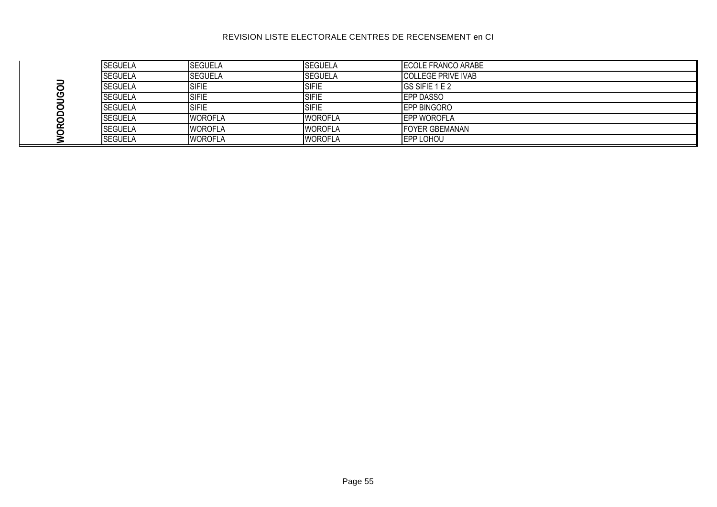|  | <b>SEGUELA</b> | <b>SEGUELA</b> | <b>SEGUELA</b> | ECOLE FRANCO ARABE        |
|--|----------------|----------------|----------------|---------------------------|
|  | <b>SEGUELA</b> | <b>SEGUELA</b> | <b>SEGUELA</b> | <b>COLLEGE PRIVE IVAB</b> |
|  | <b>SEGUELA</b> | <b>SIFIE</b>   | <b>SIFIE</b>   | GS SIFIE 1 E 2            |
|  | <b>SEGUELA</b> | <b>SIFIE</b>   | <b>SIFIE</b>   | <b>EPP DASSO</b>          |
|  | <b>SEGUELA</b> | <b>SIFIE</b>   | <b>ISIFIE</b>  | <b>EPP BINGORO</b>        |
|  | <b>SEGUELA</b> | <b>WOROFLA</b> | <b>WOROFLA</b> | <b>EPP WOROFLA</b>        |
|  | <b>SEGUELA</b> | <b>WOROFLA</b> | <b>WOROFLA</b> | <b>IFOYER GBEMANAN</b>    |
|  | <b>SEGUELA</b> | <b>WOROFLA</b> | <b>WOROFLA</b> | <b>EPP LOHOU</b>          |